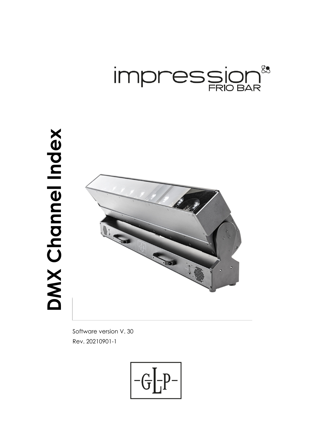

# **DMX Channel Index**  DMX Channel Index



Software version V. 30 Rev. 20210901-1

$$
\boxed{-G\boxed{-P^-}}
$$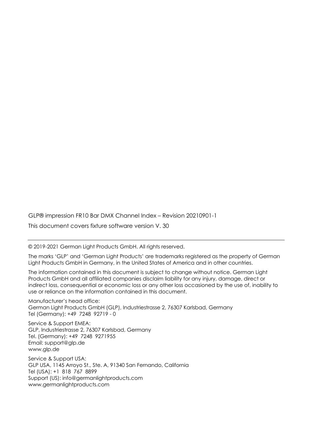GLP® impression FR10 Bar DMX Channel Index – Revision 20210901-1

This document covers fixture software version V. 30

© 2019-2021 German Light Products GmbH. All rights reserved.

The marks 'GLP' and 'German Light Products' are trademarks registered as the property of German Light Products GmbH in Germany, in the United States of America and in other countries.

The information contained in this document is subject to change without notice. German Light Products GmbH and all affiliated companies disclaim liability for any injury, damage, direct or indirect loss, consequential or economic loss or any other loss occasioned by the use of, inability to use or reliance on the information contained in this document.

Manufacturer's head office: German Light Products GmbH (GLP), Industriestrasse 2, 76307 Karlsbad, Germany Tel (Germany): +49 7248 92719 - 0

Service & Support EMEA: GLP, Industriestrasse 2, 76307 Karlsbad, Germany Tel. (Germany): +49 7248 9271955 Email: support@glp.de www.glp.de

Service & Support USA: GLP USA, 1145 Arroyo St., Ste. A, 91340 San Fernando, California Tel (USA): +1 818 767 8899 Support (US): info@germanlightproducts.com www.germanlightproducts.com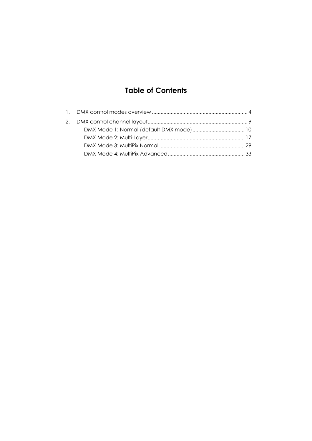# **Table of Contents**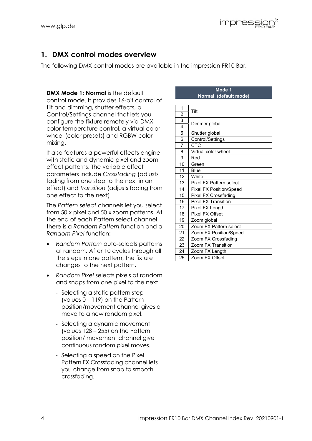# **1. DMX control modes overview**

The following DMX control modes are available in the impression FR10 Bar.

**DMX Mode 1: Normal** is the default control mode. It provides 16-bit control of tilt and dimming, shutter effects, a Control/Settings channel that lets you configure the fixture remotely via DMX, color temperature control, a virtual color wheel (color presets) and RGBW color mixing.

It also features a powerful effects engine with static and dynamic pixel and zoom effect patterns. The variable effect parameters include *Crossfading* (adjusts fading from one step to the next in an effect) and *Transition* (adjusts fading from one effect to the next).

The *Pattern select* channels let you select from 50 x pixel and 50 x zoom patterns. At the end of each Pattern select channel there is a *Random Pattern* function and a *Random Pixel* function:

- *Random Pattern* auto-selects patterns at random. After 10 cycles through all the steps in one pattern, the fixture changes to the next pattern.
- *Random Pixel* selects pixels at random and snaps from one pixel to the next.
	- Selecting a static pattern step (values 0 – 119) on the Pattern position/movement channel gives a move to a new random pixel.
	- Selecting a dynamic movement (values 128 – 255) on the Pattern position/ movement channel give continuous random pixel moves.
	- Selecting a speed on the Pixel Pattern FX Crossfading channel lets you change from snap to smooth crossfading.

## **Mode 1 Normal (default mode)**

| 1              |                                |
|----------------|--------------------------------|
| $\overline{c}$ | Tilt                           |
| 3              |                                |
| $\overline{4}$ | Dimmer global                  |
| $\overline{5}$ | Shutter global                 |
| 6              | Control/Settings               |
| $\overline{7}$ | CTC                            |
| 8              | Virtual color wheel            |
| 9              | Red                            |
| 10             | Green                          |
| 11             | Blue                           |
| 12             | White                          |
| 13             | Pixel FX Pattern select        |
| 14             | <b>Pixel FX Position/Speed</b> |
| 15             | Pixel FX Crossfading           |
| 16             | <b>Pixel FX Transition</b>     |
| 17             | Pixel FX Length                |
| 18             | Pixel FX Offset                |
| 19             | Zoom global                    |
| 20             | Zoom FX Pattern select         |
| 21             | Zoom FX Position/Speed         |
| 22             | Zoom FX Crossfading            |
| 23             | Zoom FX Transition             |
| 24             | Zoom FX Length                 |
| 25             | Zoom FX Offset                 |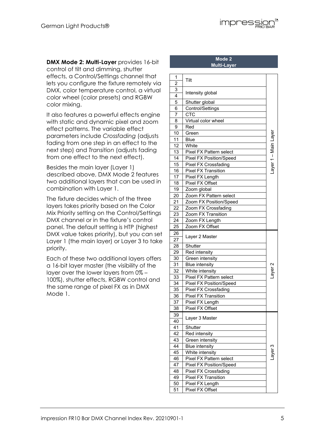

It also features a powerful effects engine with static and dynamic pixel and zoom effect patterns. The variable effect parameters include *Crossfading* (adjusts fading from one step in an effect to the next step) and *Transition* (adjusts fading from one effect to the next effect).

Besides the main layer (Layer 1) described above, DMX Mode 2 features two additional layers that can be used in combination with Layer 1.

The fixture decides which of the three layers takes priority based on the Color Mix Priority setting on the Control/Settings DMX channel or in the fixture's control panel. The default setting is HTP (highest DMX value takes priority), but you can set Layer 1 (the main layer) or Layer 3 to take priority.

Each of these two additional layers offers a 16-bit layer master (the visibility of the layer over the lower layers from 0% – 100%), shutter effects, RGBW control and the same range of pixel FX as in DMX Mode 1.

### **Mode 2 Multi-Layer**

**Impressior** 

| 1              | Tilt                           |                      |
|----------------|--------------------------------|----------------------|
| $\overline{2}$ |                                |                      |
| 3              | Intensity global               |                      |
| 4              |                                |                      |
| 5              | Shutter global                 |                      |
| 6              | Control/Settings               |                      |
| 7              | <b>CTC</b>                     |                      |
| 8              | Virtual color wheel            |                      |
| 9              | Red                            |                      |
| 10             | Green                          | Layer 1 - Main Layer |
| 11             | Blue                           |                      |
| 12             | White                          |                      |
| 13             | Pixel FX Pattern select        |                      |
| 14             | Pixel FX Position/Speed        |                      |
| 15             | <b>Pixel FX Crossfading</b>    |                      |
| 16             | <b>Pixel FX Transition</b>     |                      |
| 17             | Pixel FX Length                |                      |
| 18             | Pixel FX Offset                |                      |
| 19             | Zoom global                    |                      |
| 20             | Zoom FX Pattern select         |                      |
| 21             | Zoom FX Position/Speed         |                      |
| 22             | Zoom FX Crossfading            |                      |
| 23             | Zoom FX Transition             |                      |
| 24             | Zoom FX Length                 |                      |
| 25             | Zoom FX Offset                 |                      |
| 26             | Layer 2 Master                 |                      |
| 27             |                                |                      |
| 28             | Shutter                        |                      |
| 29             | Red intensity                  |                      |
| 30             | Green intensity                |                      |
| 31             | <b>Blue intensity</b>          | ayer 2               |
| 32             | White intensity                |                      |
| 33             | Pixel FX Pattern select        |                      |
| 34             | <b>Pixel FX Position/Speed</b> |                      |
| 35             | Pixel FX Crossfading           |                      |
| 36             | <b>Pixel FX Transition</b>     |                      |
| 37             | Pixel FX Length                |                      |
| 38             | Pixel FX Offset                |                      |
| 39             | Layer 3 Master                 |                      |
| 40             |                                |                      |
| 41             | Shutter                        |                      |
| 42             | Red intensity                  |                      |
| 43             | Green intensity                |                      |
| 44             | <b>Blue intensity</b>          |                      |
| 45             | White intensity                | ayer 3               |
| 46             | Pixel FX Pattern select        |                      |
| 47             | Pixel FX Position/Speed        |                      |
| 48             | Pixel FX Crossfading           |                      |
| 49             | <b>Pixel FX Transition</b>     |                      |
| 50             | Pixel FX Length                |                      |
| 51             | Pixel FX Offset                |                      |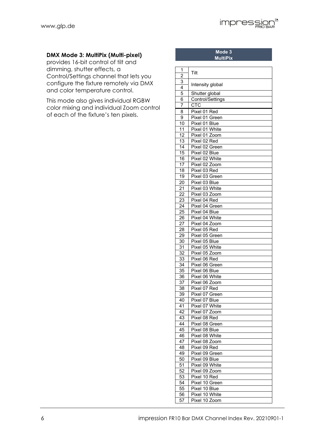**Mode 3 MultiPix**

## **DMX Mode 3: MultiPix (Multi-pixel)**

provides 16-bit control of tilt and dimming, shutter effects, a Control/Settings channel that lets you configure the fixture remotely via DMX and color temperature control.

This mode also gives individual RGBW color mixing and individual Zoom control of each of the fixture's ten pixels.

| 1<br>$\overline{c}$ | Tilt                          |
|---------------------|-------------------------------|
|                     |                               |
| 3<br>4              | Intensity global              |
| 5                   | Shutter global                |
| 6                   | Control/Settings              |
| 7                   | <b>CTC</b>                    |
| 8                   | Pixel 01 Red                  |
| 9                   | Pixel 01 Green                |
| $\overline{10}$     | Pixel 01 Blue                 |
| 11                  | Pixel 01 White                |
| 12                  | Pixel 01 Zoom                 |
| 13                  | Pixel 02 Red                  |
| 14                  | Pixel 02 Green                |
| 15                  | Pixel 02 Blue                 |
| 16                  | Pixel 02 White                |
| 17                  | Pixel 02 Zoom                 |
| 18                  | Pixel 03 Red                  |
| $\overline{19}$     | Pixel 03 Green                |
| 20                  | Pixel 03 Blue                 |
| 21                  | Pixel 03 White                |
| 22                  | Pixel 03 Zoom                 |
| 23                  | Pixel 04 Red                  |
| 24                  | Pixel 04 Green                |
| 25                  | Pixel 04 Blue                 |
| 26                  | Pixel 04 White                |
| $\overline{2}$      | Pixel 04 Zoom                 |
| $\overline{28}$     | Pixel 05 Red                  |
| 29                  | Pixel 05 Green                |
| 30                  | Pixel 05 Blue                 |
| 31                  | Pixel 05 White                |
| 32                  | Pixel 05 Zoom                 |
| 33                  | Pixel 06 Red                  |
| 34                  | Pixel 06 Green                |
| $\overline{35}$     | Pixel 06 Blue                 |
| 36                  | Pixel 06 White                |
| 37                  | Pixel 06 Zoom                 |
| 38                  | Pixel 07 Red                  |
| 39                  | Pixel 07 Green                |
| $\overline{40}$     | Pixel 07 Blue                 |
| 41                  | Pixel 07 White                |
| 42<br>43            | Pixel 07 Zoom<br>Pixel 08 Red |
| 44                  | Pixel 08 Green                |
| 45                  | Pixel 08 Blue                 |
| 46                  | Pixel 08 White                |
| 47                  | Pixel 08 Zoom                 |
| 48                  | Pixel 09 Red                  |
| 49                  | Pixel 09 Green                |
| 50                  | Pixel 09 Blue                 |
| 51                  | Pixel 09 White                |
| 52                  | Pixel 09 Zoom                 |
| 53                  | Pixel 10 Red                  |
| 54                  | Pixel 10 Green                |
| 55                  | Pixel 10 Blue                 |
| 56                  | Pixel 10 White                |
| 57                  | Pixel 10 Zoom                 |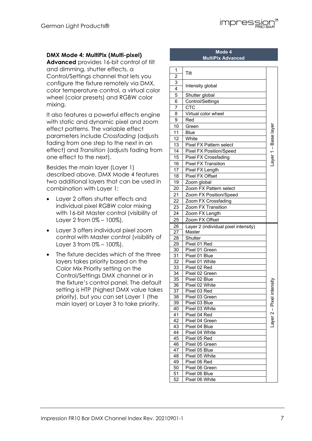

## **DMX Mode 4: MultiPix (Multi-pixel)**

**Advanced** provides 16-bit control of tilt and dimming, shutter effects, a Control/Settings channel that lets you configure the fixture remotely via DMX, color temperature control, a virtual color wheel (color presets) and RGBW color mixing.

It also features a powerful effects engine with static and dynamic pixel and zoom effect patterns. The variable effect parameters include *Crossfading* (adjusts fading from one step to the next in an effect) and *Transition* (adjusts fading from one effect to the next).

Besides the main layer (Layer 1) described above, DMX Mode 4 features two additional layers that can be used in combination with Layer 1:

- Layer 2 offers shutter effects and individual pixel RGBW color mixing with 16-bit Master control (visibility of Layer 2 from 0% – 100%).
- Layer 3 offers individual pixel zoom control with Master control (visibility of Layer 3 from 0% – 100%).
- The fixture decides which of the three layers takes priority based on the Color Mix Priority setting on the Control/Settings DMX channel or in the fixture's control panel. The default setting is HTP (highest DMX value takes priority), but you can set Layer 1 (the main layer) or Layer 3 to take priority.

## **Mode 4 MultiPix Advanced**

| 1<br>$\overline{c}$   | Tilt                                 |                      |
|-----------------------|--------------------------------------|----------------------|
| 3<br>$\overline{4}$   | Intensity global                     |                      |
|                       |                                      |                      |
| 5                     | Shutter global                       |                      |
| 6                     | Control/Settings                     |                      |
| 7                     | CTC                                  |                      |
| 8                     | Virtual color wheel                  |                      |
| 9                     | Red                                  |                      |
| 10                    | Green                                | Layer 1 - Base layer |
| 11                    | <b>Blue</b>                          |                      |
| 12                    | White                                |                      |
| 13                    | Pixel FX Pattern select              |                      |
| 14                    | Pixel FX Position/Speed              |                      |
| 15                    | <b>Pixel FX Crossfading</b>          |                      |
| 16                    | <b>Pixel FX Transition</b>           |                      |
| 17                    | Pixel FX Length                      |                      |
| 18                    | Pixel FX Offset                      |                      |
| 19                    | Zoom global                          |                      |
| 20                    | Zoom FX Pattern select               |                      |
| 21                    | Zoom FX Position/Speed               |                      |
| $\overline{22}$       | Zoom FX Crossfading                  |                      |
| 23                    | Zoom FX Transition                   |                      |
| 24                    | Zoom FX Length                       |                      |
| 25                    | Zoom FX Offset                       |                      |
| 26                    | Layer 2 (individual pixel intensity) |                      |
| 27                    | Master                               |                      |
| 28                    | Shutter                              |                      |
| 29                    | Pixel 01 Red                         |                      |
| 30                    | Pixel 01 Green                       |                      |
| 31                    | Pixel 01 Blue                        |                      |
| 32                    | Pixel 01 White                       |                      |
| 33                    | Pixel 02 Red                         |                      |
| 34                    | Pixel 02 Green                       |                      |
| 35                    | Pixel 02 Blue                        |                      |
| 36                    | Pixel 02 White                       |                      |
| 37                    | Pixel 03 Red                         | el intensit          |
| 38                    | Pixel 03 Green                       |                      |
| 39                    | Pixel 03 Blue                        |                      |
| 40                    |                                      |                      |
|                       | Pixel 03 White                       | ĉ<br>$\mathbf{I}$    |
| 41                    | Pixel 04 Red                         |                      |
| 42                    | Pixel 04 Green                       |                      |
| 43                    | Pixel 04 Blue                        | -ayer 2              |
| 44                    | Pixel 04 White                       |                      |
| 45                    | Pixel 05 Red                         |                      |
| 46                    | Pixel 05 Green                       |                      |
| 47                    | Pixel 05 Blue                        |                      |
| 48                    | Pixel 05 White                       |                      |
| 49                    | Pixel 06 Red                         |                      |
| 50                    | Pixel 06 Green                       |                      |
| 51<br>$\overline{52}$ | Pixel 06 Blue<br>Pixel 06 White      |                      |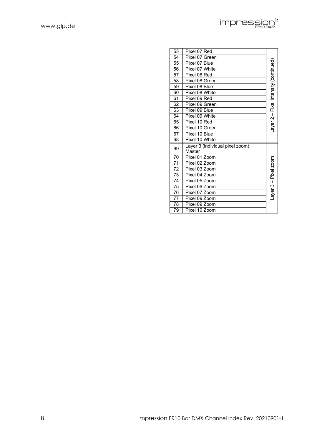| www.glp.de |  |
|------------|--|
|            |  |

| 53              | Pixel 07 Red                              |                                      |
|-----------------|-------------------------------------------|--------------------------------------|
| 54              | Pixel 07 Green                            |                                      |
| 55              | Pixel 07 Blue                             |                                      |
| 56              | Pixel 07 White                            | ayer 2 – Pixel intensity (continued) |
| 57              | Pixel 08 Red                              |                                      |
| 58              | Pixel 08 Green                            |                                      |
| 59              | Pixel 08 Blue                             |                                      |
| 60              | Pixel 08 White                            |                                      |
| 61              | Pixel 09 Red                              |                                      |
| 62              | Pixel 09 Green                            |                                      |
| 63              | Pixel 09 Blue                             |                                      |
| 64              | Pixel 09 White                            |                                      |
| 65              | Pixel 10 Red                              |                                      |
| 66              | Pixel 10 Green                            |                                      |
| 67              | Pixel 10 Blue                             |                                      |
| 68              | Pixel 10 White                            |                                      |
| 69              | Layer 3 (individual pixel zoom)<br>Master |                                      |
| 70              | Pixel 01 Zoom                             |                                      |
| 71              | Pixel 02 Zoom                             | ayer 3 - Pixel zoom                  |
| $\overline{72}$ | Pixel 03 Zoom                             |                                      |
| 73              | Pixel 04 Zoom                             |                                      |
| 74              | Pixel 05 Zoom                             |                                      |
| 75              | Pixel 06 Zoom                             |                                      |
| 76              | Pixel 07 Zoom                             |                                      |
| 77              | Pixel 09 Zoom                             |                                      |
| 78              | Pixel 09 Zoom                             |                                      |
|                 |                                           |                                      |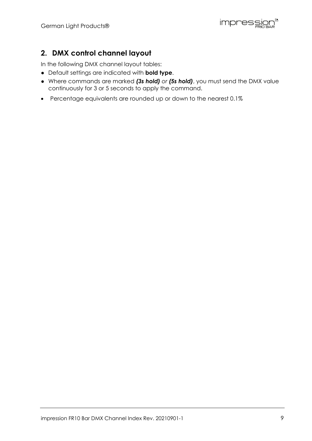impression®

# **2. DMX control channel layout**

In the following DMX channel layout tables:

- Default settings are indicated with **bold type**.
- Where commands are marked *(3s hold) or (5s hold)*, you must send the DMX value continuously for 3 or 5 seconds to apply the command.
- Percentage equivalents are rounded up or down to the nearest 0.1%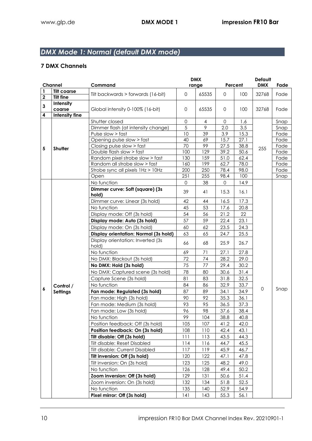# *DMX Mode 1: Normal (default DMX mode)*

| Percent<br>range<br><b>Tilt coarse</b><br>1<br>65535<br>Tilt backwards > forwards (16-bit)<br>$\mathbf{O}$<br>$\mathbf{0}$<br>100<br>32768<br>Fade<br>$\mathbf 2$<br><b>Tilt fine</b><br>Intensity<br>3<br>Global intensity 0-100% (16-bit)<br>0<br>65535<br>32768<br>Fade<br>coarse<br>0<br>100<br>Intensity fine<br>4<br>$\mathbf{O}$<br>Shutter closed<br>4<br>0<br>1.6<br>Snap<br>5<br>9<br>Dimmer flash (at intensity change)<br>2.0<br>3.5<br>Snap<br>39<br>10<br>3.9<br>15.3<br>Pulse slow > fast<br>Fade<br>Opening pulse slow > fast<br>40<br>69<br>15.7<br>27.1<br>Fade<br>Closing pulse slow > fast<br>70<br>99<br>27.5<br>38.8<br>Fade<br>5<br>Shutter<br>255<br>129<br>39.2<br>Double flash slow > fast<br>100<br>50.6<br>Fade<br>Random pixel strobe slow > fast<br>130<br>159<br>51.0<br>62.4<br>Fade<br>Random all strobe slow > fast<br>199<br>78.0<br>160<br>62.7<br>Fade<br>200<br>250<br>98.0<br>Strobe sync all pixels 1Hz > 10Hz<br>78.4<br>Fade<br>251<br>255<br>98.4<br>100<br>Snap<br>Open<br>No function<br>38<br>$\mathbf{O}$<br>0<br>14.9<br>Dimmer curve: Soft (square) (3s<br>39<br>41<br>15.3<br>16.1<br>hold)<br>Dimmer curve: Linear (3s hold)<br>42<br>44<br>16.5<br>17.3<br>45<br>53<br>20.8<br>No function<br>17.6<br>22<br>Display mode: Off (3s hold)<br>54<br>56<br>21.2<br>57<br>59<br>22.4<br>23.1<br>Display mode: Auto (3s hold)<br>Display mode: On (3s hold)<br>62<br>60<br>23.5<br>24.3<br>25.5<br>Display orientation: Normal (3s hold)<br>63<br>65<br>24.7<br>Display orientation: Inverted (3s<br>25.9<br>68<br>26.7<br>66<br>hold)<br>No function<br>69<br>71<br>27.1<br>27.8<br>72<br>28.2<br>29.0<br>No DMX: Blackout (3s hold)<br>74<br>75<br>77<br>29.4<br>30.2<br>No DMX: Hold (3s hold)<br>78<br>31.4<br>No DMX: Captured scene (3s hold)<br>80<br>30.6<br>32.5<br>81<br>83<br>31.8<br>Capture Scene (3s hold)<br>No function<br>84<br>86<br>32.9<br>33.7<br>Control /<br>6<br>$\mathbf 0$<br>Snap<br>87<br>89<br>34.9<br>Fan mode: Regulated (3s hold)<br>34.1<br><b>Settings</b><br>90<br>92<br>Fan mode: High (3s hold)<br>35.3<br>36.1<br>93<br>95<br>Fan mode: Medium (3s hold)<br>36.5<br>37.3<br>96<br>98<br>37.6<br>38.4<br>Fan mode: Low (3s hold)<br>99<br>No function<br>104<br>38.8<br>40.8<br>Position feedback: Off (3s hold)<br>107<br>105<br>41.2<br>42.0<br>Position feedback: On (3s hold)<br>108<br>110<br>42.4<br>43.1<br>Tilt disable: Off (3s hold)<br>111<br>113<br>43.5<br>44.3<br>45.5<br>Tilt disable: Reset Disabled<br>114<br>116<br>44.7<br>Tilt disable: Current Disabled<br>117<br>119<br>45.9<br>46.7<br>Tilt inversion: Off (3s hold)<br>120<br>122<br>47.8<br>47.1<br>Tilt inversion: On (3s hold)<br>123<br>125<br>48.2<br>49.0<br>50.2<br>No function<br>126<br>128<br>49.4<br>Zoom inversion: Off (3s hold)<br>129<br>131<br>51.4<br>50.6<br>132<br>134<br>51.8<br>52.5<br>Zoom inversion: On (3s hold)<br>52.9<br>No function<br>135<br>140<br>54.9<br>Pixel mirror: Off (3s hold)<br>55.3<br>141<br>143<br>56.1 | <b>Channel</b> |  | Command | <b>DMX</b> |  | Default    |      |  |
|----------------------------------------------------------------------------------------------------------------------------------------------------------------------------------------------------------------------------------------------------------------------------------------------------------------------------------------------------------------------------------------------------------------------------------------------------------------------------------------------------------------------------------------------------------------------------------------------------------------------------------------------------------------------------------------------------------------------------------------------------------------------------------------------------------------------------------------------------------------------------------------------------------------------------------------------------------------------------------------------------------------------------------------------------------------------------------------------------------------------------------------------------------------------------------------------------------------------------------------------------------------------------------------------------------------------------------------------------------------------------------------------------------------------------------------------------------------------------------------------------------------------------------------------------------------------------------------------------------------------------------------------------------------------------------------------------------------------------------------------------------------------------------------------------------------------------------------------------------------------------------------------------------------------------------------------------------------------------------------------------------------------------------------------------------------------------------------------------------------------------------------------------------------------------------------------------------------------------------------------------------------------------------------------------------------------------------------------------------------------------------------------------------------------------------------------------------------------------------------------------------------------------------------------------------------------------------------------------------------------------------------------------------------------------------------------------------------------------------------------------------------------------------------------------------------------------------------------------------------------------------------------------------------------------------------------------------------------------------------------------------------|----------------|--|---------|------------|--|------------|------|--|
|                                                                                                                                                                                                                                                                                                                                                                                                                                                                                                                                                                                                                                                                                                                                                                                                                                                                                                                                                                                                                                                                                                                                                                                                                                                                                                                                                                                                                                                                                                                                                                                                                                                                                                                                                                                                                                                                                                                                                                                                                                                                                                                                                                                                                                                                                                                                                                                                                                                                                                                                                                                                                                                                                                                                                                                                                                                                                                                                                                                                                |                |  |         |            |  | <b>DMX</b> | Fade |  |
|                                                                                                                                                                                                                                                                                                                                                                                                                                                                                                                                                                                                                                                                                                                                                                                                                                                                                                                                                                                                                                                                                                                                                                                                                                                                                                                                                                                                                                                                                                                                                                                                                                                                                                                                                                                                                                                                                                                                                                                                                                                                                                                                                                                                                                                                                                                                                                                                                                                                                                                                                                                                                                                                                                                                                                                                                                                                                                                                                                                                                |                |  |         |            |  |            |      |  |
|                                                                                                                                                                                                                                                                                                                                                                                                                                                                                                                                                                                                                                                                                                                                                                                                                                                                                                                                                                                                                                                                                                                                                                                                                                                                                                                                                                                                                                                                                                                                                                                                                                                                                                                                                                                                                                                                                                                                                                                                                                                                                                                                                                                                                                                                                                                                                                                                                                                                                                                                                                                                                                                                                                                                                                                                                                                                                                                                                                                                                |                |  |         |            |  |            |      |  |
|                                                                                                                                                                                                                                                                                                                                                                                                                                                                                                                                                                                                                                                                                                                                                                                                                                                                                                                                                                                                                                                                                                                                                                                                                                                                                                                                                                                                                                                                                                                                                                                                                                                                                                                                                                                                                                                                                                                                                                                                                                                                                                                                                                                                                                                                                                                                                                                                                                                                                                                                                                                                                                                                                                                                                                                                                                                                                                                                                                                                                |                |  |         |            |  |            |      |  |
|                                                                                                                                                                                                                                                                                                                                                                                                                                                                                                                                                                                                                                                                                                                                                                                                                                                                                                                                                                                                                                                                                                                                                                                                                                                                                                                                                                                                                                                                                                                                                                                                                                                                                                                                                                                                                                                                                                                                                                                                                                                                                                                                                                                                                                                                                                                                                                                                                                                                                                                                                                                                                                                                                                                                                                                                                                                                                                                                                                                                                |                |  |         |            |  |            |      |  |
|                                                                                                                                                                                                                                                                                                                                                                                                                                                                                                                                                                                                                                                                                                                                                                                                                                                                                                                                                                                                                                                                                                                                                                                                                                                                                                                                                                                                                                                                                                                                                                                                                                                                                                                                                                                                                                                                                                                                                                                                                                                                                                                                                                                                                                                                                                                                                                                                                                                                                                                                                                                                                                                                                                                                                                                                                                                                                                                                                                                                                |                |  |         |            |  |            |      |  |
|                                                                                                                                                                                                                                                                                                                                                                                                                                                                                                                                                                                                                                                                                                                                                                                                                                                                                                                                                                                                                                                                                                                                                                                                                                                                                                                                                                                                                                                                                                                                                                                                                                                                                                                                                                                                                                                                                                                                                                                                                                                                                                                                                                                                                                                                                                                                                                                                                                                                                                                                                                                                                                                                                                                                                                                                                                                                                                                                                                                                                |                |  |         |            |  |            |      |  |
|                                                                                                                                                                                                                                                                                                                                                                                                                                                                                                                                                                                                                                                                                                                                                                                                                                                                                                                                                                                                                                                                                                                                                                                                                                                                                                                                                                                                                                                                                                                                                                                                                                                                                                                                                                                                                                                                                                                                                                                                                                                                                                                                                                                                                                                                                                                                                                                                                                                                                                                                                                                                                                                                                                                                                                                                                                                                                                                                                                                                                |                |  |         |            |  |            |      |  |
|                                                                                                                                                                                                                                                                                                                                                                                                                                                                                                                                                                                                                                                                                                                                                                                                                                                                                                                                                                                                                                                                                                                                                                                                                                                                                                                                                                                                                                                                                                                                                                                                                                                                                                                                                                                                                                                                                                                                                                                                                                                                                                                                                                                                                                                                                                                                                                                                                                                                                                                                                                                                                                                                                                                                                                                                                                                                                                                                                                                                                |                |  |         |            |  |            |      |  |
|                                                                                                                                                                                                                                                                                                                                                                                                                                                                                                                                                                                                                                                                                                                                                                                                                                                                                                                                                                                                                                                                                                                                                                                                                                                                                                                                                                                                                                                                                                                                                                                                                                                                                                                                                                                                                                                                                                                                                                                                                                                                                                                                                                                                                                                                                                                                                                                                                                                                                                                                                                                                                                                                                                                                                                                                                                                                                                                                                                                                                |                |  |         |            |  |            |      |  |
|                                                                                                                                                                                                                                                                                                                                                                                                                                                                                                                                                                                                                                                                                                                                                                                                                                                                                                                                                                                                                                                                                                                                                                                                                                                                                                                                                                                                                                                                                                                                                                                                                                                                                                                                                                                                                                                                                                                                                                                                                                                                                                                                                                                                                                                                                                                                                                                                                                                                                                                                                                                                                                                                                                                                                                                                                                                                                                                                                                                                                |                |  |         |            |  |            |      |  |
|                                                                                                                                                                                                                                                                                                                                                                                                                                                                                                                                                                                                                                                                                                                                                                                                                                                                                                                                                                                                                                                                                                                                                                                                                                                                                                                                                                                                                                                                                                                                                                                                                                                                                                                                                                                                                                                                                                                                                                                                                                                                                                                                                                                                                                                                                                                                                                                                                                                                                                                                                                                                                                                                                                                                                                                                                                                                                                                                                                                                                |                |  |         |            |  |            |      |  |
|                                                                                                                                                                                                                                                                                                                                                                                                                                                                                                                                                                                                                                                                                                                                                                                                                                                                                                                                                                                                                                                                                                                                                                                                                                                                                                                                                                                                                                                                                                                                                                                                                                                                                                                                                                                                                                                                                                                                                                                                                                                                                                                                                                                                                                                                                                                                                                                                                                                                                                                                                                                                                                                                                                                                                                                                                                                                                                                                                                                                                |                |  |         |            |  |            |      |  |
|                                                                                                                                                                                                                                                                                                                                                                                                                                                                                                                                                                                                                                                                                                                                                                                                                                                                                                                                                                                                                                                                                                                                                                                                                                                                                                                                                                                                                                                                                                                                                                                                                                                                                                                                                                                                                                                                                                                                                                                                                                                                                                                                                                                                                                                                                                                                                                                                                                                                                                                                                                                                                                                                                                                                                                                                                                                                                                                                                                                                                |                |  |         |            |  |            |      |  |
|                                                                                                                                                                                                                                                                                                                                                                                                                                                                                                                                                                                                                                                                                                                                                                                                                                                                                                                                                                                                                                                                                                                                                                                                                                                                                                                                                                                                                                                                                                                                                                                                                                                                                                                                                                                                                                                                                                                                                                                                                                                                                                                                                                                                                                                                                                                                                                                                                                                                                                                                                                                                                                                                                                                                                                                                                                                                                                                                                                                                                |                |  |         |            |  |            |      |  |
|                                                                                                                                                                                                                                                                                                                                                                                                                                                                                                                                                                                                                                                                                                                                                                                                                                                                                                                                                                                                                                                                                                                                                                                                                                                                                                                                                                                                                                                                                                                                                                                                                                                                                                                                                                                                                                                                                                                                                                                                                                                                                                                                                                                                                                                                                                                                                                                                                                                                                                                                                                                                                                                                                                                                                                                                                                                                                                                                                                                                                |                |  |         |            |  |            |      |  |
|                                                                                                                                                                                                                                                                                                                                                                                                                                                                                                                                                                                                                                                                                                                                                                                                                                                                                                                                                                                                                                                                                                                                                                                                                                                                                                                                                                                                                                                                                                                                                                                                                                                                                                                                                                                                                                                                                                                                                                                                                                                                                                                                                                                                                                                                                                                                                                                                                                                                                                                                                                                                                                                                                                                                                                                                                                                                                                                                                                                                                |                |  |         |            |  |            |      |  |
|                                                                                                                                                                                                                                                                                                                                                                                                                                                                                                                                                                                                                                                                                                                                                                                                                                                                                                                                                                                                                                                                                                                                                                                                                                                                                                                                                                                                                                                                                                                                                                                                                                                                                                                                                                                                                                                                                                                                                                                                                                                                                                                                                                                                                                                                                                                                                                                                                                                                                                                                                                                                                                                                                                                                                                                                                                                                                                                                                                                                                |                |  |         |            |  |            |      |  |
|                                                                                                                                                                                                                                                                                                                                                                                                                                                                                                                                                                                                                                                                                                                                                                                                                                                                                                                                                                                                                                                                                                                                                                                                                                                                                                                                                                                                                                                                                                                                                                                                                                                                                                                                                                                                                                                                                                                                                                                                                                                                                                                                                                                                                                                                                                                                                                                                                                                                                                                                                                                                                                                                                                                                                                                                                                                                                                                                                                                                                |                |  |         |            |  |            |      |  |
|                                                                                                                                                                                                                                                                                                                                                                                                                                                                                                                                                                                                                                                                                                                                                                                                                                                                                                                                                                                                                                                                                                                                                                                                                                                                                                                                                                                                                                                                                                                                                                                                                                                                                                                                                                                                                                                                                                                                                                                                                                                                                                                                                                                                                                                                                                                                                                                                                                                                                                                                                                                                                                                                                                                                                                                                                                                                                                                                                                                                                |                |  |         |            |  |            |      |  |
|                                                                                                                                                                                                                                                                                                                                                                                                                                                                                                                                                                                                                                                                                                                                                                                                                                                                                                                                                                                                                                                                                                                                                                                                                                                                                                                                                                                                                                                                                                                                                                                                                                                                                                                                                                                                                                                                                                                                                                                                                                                                                                                                                                                                                                                                                                                                                                                                                                                                                                                                                                                                                                                                                                                                                                                                                                                                                                                                                                                                                |                |  |         |            |  |            |      |  |
|                                                                                                                                                                                                                                                                                                                                                                                                                                                                                                                                                                                                                                                                                                                                                                                                                                                                                                                                                                                                                                                                                                                                                                                                                                                                                                                                                                                                                                                                                                                                                                                                                                                                                                                                                                                                                                                                                                                                                                                                                                                                                                                                                                                                                                                                                                                                                                                                                                                                                                                                                                                                                                                                                                                                                                                                                                                                                                                                                                                                                |                |  |         |            |  |            |      |  |
|                                                                                                                                                                                                                                                                                                                                                                                                                                                                                                                                                                                                                                                                                                                                                                                                                                                                                                                                                                                                                                                                                                                                                                                                                                                                                                                                                                                                                                                                                                                                                                                                                                                                                                                                                                                                                                                                                                                                                                                                                                                                                                                                                                                                                                                                                                                                                                                                                                                                                                                                                                                                                                                                                                                                                                                                                                                                                                                                                                                                                |                |  |         |            |  |            |      |  |
|                                                                                                                                                                                                                                                                                                                                                                                                                                                                                                                                                                                                                                                                                                                                                                                                                                                                                                                                                                                                                                                                                                                                                                                                                                                                                                                                                                                                                                                                                                                                                                                                                                                                                                                                                                                                                                                                                                                                                                                                                                                                                                                                                                                                                                                                                                                                                                                                                                                                                                                                                                                                                                                                                                                                                                                                                                                                                                                                                                                                                |                |  |         |            |  |            |      |  |
|                                                                                                                                                                                                                                                                                                                                                                                                                                                                                                                                                                                                                                                                                                                                                                                                                                                                                                                                                                                                                                                                                                                                                                                                                                                                                                                                                                                                                                                                                                                                                                                                                                                                                                                                                                                                                                                                                                                                                                                                                                                                                                                                                                                                                                                                                                                                                                                                                                                                                                                                                                                                                                                                                                                                                                                                                                                                                                                                                                                                                |                |  |         |            |  |            |      |  |
|                                                                                                                                                                                                                                                                                                                                                                                                                                                                                                                                                                                                                                                                                                                                                                                                                                                                                                                                                                                                                                                                                                                                                                                                                                                                                                                                                                                                                                                                                                                                                                                                                                                                                                                                                                                                                                                                                                                                                                                                                                                                                                                                                                                                                                                                                                                                                                                                                                                                                                                                                                                                                                                                                                                                                                                                                                                                                                                                                                                                                |                |  |         |            |  |            |      |  |
|                                                                                                                                                                                                                                                                                                                                                                                                                                                                                                                                                                                                                                                                                                                                                                                                                                                                                                                                                                                                                                                                                                                                                                                                                                                                                                                                                                                                                                                                                                                                                                                                                                                                                                                                                                                                                                                                                                                                                                                                                                                                                                                                                                                                                                                                                                                                                                                                                                                                                                                                                                                                                                                                                                                                                                                                                                                                                                                                                                                                                |                |  |         |            |  |            |      |  |
|                                                                                                                                                                                                                                                                                                                                                                                                                                                                                                                                                                                                                                                                                                                                                                                                                                                                                                                                                                                                                                                                                                                                                                                                                                                                                                                                                                                                                                                                                                                                                                                                                                                                                                                                                                                                                                                                                                                                                                                                                                                                                                                                                                                                                                                                                                                                                                                                                                                                                                                                                                                                                                                                                                                                                                                                                                                                                                                                                                                                                |                |  |         |            |  |            |      |  |
|                                                                                                                                                                                                                                                                                                                                                                                                                                                                                                                                                                                                                                                                                                                                                                                                                                                                                                                                                                                                                                                                                                                                                                                                                                                                                                                                                                                                                                                                                                                                                                                                                                                                                                                                                                                                                                                                                                                                                                                                                                                                                                                                                                                                                                                                                                                                                                                                                                                                                                                                                                                                                                                                                                                                                                                                                                                                                                                                                                                                                |                |  |         |            |  |            |      |  |
|                                                                                                                                                                                                                                                                                                                                                                                                                                                                                                                                                                                                                                                                                                                                                                                                                                                                                                                                                                                                                                                                                                                                                                                                                                                                                                                                                                                                                                                                                                                                                                                                                                                                                                                                                                                                                                                                                                                                                                                                                                                                                                                                                                                                                                                                                                                                                                                                                                                                                                                                                                                                                                                                                                                                                                                                                                                                                                                                                                                                                |                |  |         |            |  |            |      |  |
|                                                                                                                                                                                                                                                                                                                                                                                                                                                                                                                                                                                                                                                                                                                                                                                                                                                                                                                                                                                                                                                                                                                                                                                                                                                                                                                                                                                                                                                                                                                                                                                                                                                                                                                                                                                                                                                                                                                                                                                                                                                                                                                                                                                                                                                                                                                                                                                                                                                                                                                                                                                                                                                                                                                                                                                                                                                                                                                                                                                                                |                |  |         |            |  |            |      |  |
|                                                                                                                                                                                                                                                                                                                                                                                                                                                                                                                                                                                                                                                                                                                                                                                                                                                                                                                                                                                                                                                                                                                                                                                                                                                                                                                                                                                                                                                                                                                                                                                                                                                                                                                                                                                                                                                                                                                                                                                                                                                                                                                                                                                                                                                                                                                                                                                                                                                                                                                                                                                                                                                                                                                                                                                                                                                                                                                                                                                                                |                |  |         |            |  |            |      |  |
|                                                                                                                                                                                                                                                                                                                                                                                                                                                                                                                                                                                                                                                                                                                                                                                                                                                                                                                                                                                                                                                                                                                                                                                                                                                                                                                                                                                                                                                                                                                                                                                                                                                                                                                                                                                                                                                                                                                                                                                                                                                                                                                                                                                                                                                                                                                                                                                                                                                                                                                                                                                                                                                                                                                                                                                                                                                                                                                                                                                                                |                |  |         |            |  |            |      |  |
|                                                                                                                                                                                                                                                                                                                                                                                                                                                                                                                                                                                                                                                                                                                                                                                                                                                                                                                                                                                                                                                                                                                                                                                                                                                                                                                                                                                                                                                                                                                                                                                                                                                                                                                                                                                                                                                                                                                                                                                                                                                                                                                                                                                                                                                                                                                                                                                                                                                                                                                                                                                                                                                                                                                                                                                                                                                                                                                                                                                                                |                |  |         |            |  |            |      |  |
|                                                                                                                                                                                                                                                                                                                                                                                                                                                                                                                                                                                                                                                                                                                                                                                                                                                                                                                                                                                                                                                                                                                                                                                                                                                                                                                                                                                                                                                                                                                                                                                                                                                                                                                                                                                                                                                                                                                                                                                                                                                                                                                                                                                                                                                                                                                                                                                                                                                                                                                                                                                                                                                                                                                                                                                                                                                                                                                                                                                                                |                |  |         |            |  |            |      |  |
|                                                                                                                                                                                                                                                                                                                                                                                                                                                                                                                                                                                                                                                                                                                                                                                                                                                                                                                                                                                                                                                                                                                                                                                                                                                                                                                                                                                                                                                                                                                                                                                                                                                                                                                                                                                                                                                                                                                                                                                                                                                                                                                                                                                                                                                                                                                                                                                                                                                                                                                                                                                                                                                                                                                                                                                                                                                                                                                                                                                                                |                |  |         |            |  |            |      |  |
|                                                                                                                                                                                                                                                                                                                                                                                                                                                                                                                                                                                                                                                                                                                                                                                                                                                                                                                                                                                                                                                                                                                                                                                                                                                                                                                                                                                                                                                                                                                                                                                                                                                                                                                                                                                                                                                                                                                                                                                                                                                                                                                                                                                                                                                                                                                                                                                                                                                                                                                                                                                                                                                                                                                                                                                                                                                                                                                                                                                                                |                |  |         |            |  |            |      |  |
|                                                                                                                                                                                                                                                                                                                                                                                                                                                                                                                                                                                                                                                                                                                                                                                                                                                                                                                                                                                                                                                                                                                                                                                                                                                                                                                                                                                                                                                                                                                                                                                                                                                                                                                                                                                                                                                                                                                                                                                                                                                                                                                                                                                                                                                                                                                                                                                                                                                                                                                                                                                                                                                                                                                                                                                                                                                                                                                                                                                                                |                |  |         |            |  |            |      |  |
|                                                                                                                                                                                                                                                                                                                                                                                                                                                                                                                                                                                                                                                                                                                                                                                                                                                                                                                                                                                                                                                                                                                                                                                                                                                                                                                                                                                                                                                                                                                                                                                                                                                                                                                                                                                                                                                                                                                                                                                                                                                                                                                                                                                                                                                                                                                                                                                                                                                                                                                                                                                                                                                                                                                                                                                                                                                                                                                                                                                                                |                |  |         |            |  |            |      |  |
|                                                                                                                                                                                                                                                                                                                                                                                                                                                                                                                                                                                                                                                                                                                                                                                                                                                                                                                                                                                                                                                                                                                                                                                                                                                                                                                                                                                                                                                                                                                                                                                                                                                                                                                                                                                                                                                                                                                                                                                                                                                                                                                                                                                                                                                                                                                                                                                                                                                                                                                                                                                                                                                                                                                                                                                                                                                                                                                                                                                                                |                |  |         |            |  |            |      |  |
|                                                                                                                                                                                                                                                                                                                                                                                                                                                                                                                                                                                                                                                                                                                                                                                                                                                                                                                                                                                                                                                                                                                                                                                                                                                                                                                                                                                                                                                                                                                                                                                                                                                                                                                                                                                                                                                                                                                                                                                                                                                                                                                                                                                                                                                                                                                                                                                                                                                                                                                                                                                                                                                                                                                                                                                                                                                                                                                                                                                                                |                |  |         |            |  |            |      |  |
|                                                                                                                                                                                                                                                                                                                                                                                                                                                                                                                                                                                                                                                                                                                                                                                                                                                                                                                                                                                                                                                                                                                                                                                                                                                                                                                                                                                                                                                                                                                                                                                                                                                                                                                                                                                                                                                                                                                                                                                                                                                                                                                                                                                                                                                                                                                                                                                                                                                                                                                                                                                                                                                                                                                                                                                                                                                                                                                                                                                                                |                |  |         |            |  |            |      |  |
|                                                                                                                                                                                                                                                                                                                                                                                                                                                                                                                                                                                                                                                                                                                                                                                                                                                                                                                                                                                                                                                                                                                                                                                                                                                                                                                                                                                                                                                                                                                                                                                                                                                                                                                                                                                                                                                                                                                                                                                                                                                                                                                                                                                                                                                                                                                                                                                                                                                                                                                                                                                                                                                                                                                                                                                                                                                                                                                                                                                                                |                |  |         |            |  |            |      |  |
|                                                                                                                                                                                                                                                                                                                                                                                                                                                                                                                                                                                                                                                                                                                                                                                                                                                                                                                                                                                                                                                                                                                                                                                                                                                                                                                                                                                                                                                                                                                                                                                                                                                                                                                                                                                                                                                                                                                                                                                                                                                                                                                                                                                                                                                                                                                                                                                                                                                                                                                                                                                                                                                                                                                                                                                                                                                                                                                                                                                                                |                |  |         |            |  |            |      |  |
|                                                                                                                                                                                                                                                                                                                                                                                                                                                                                                                                                                                                                                                                                                                                                                                                                                                                                                                                                                                                                                                                                                                                                                                                                                                                                                                                                                                                                                                                                                                                                                                                                                                                                                                                                                                                                                                                                                                                                                                                                                                                                                                                                                                                                                                                                                                                                                                                                                                                                                                                                                                                                                                                                                                                                                                                                                                                                                                                                                                                                |                |  |         |            |  |            |      |  |
|                                                                                                                                                                                                                                                                                                                                                                                                                                                                                                                                                                                                                                                                                                                                                                                                                                                                                                                                                                                                                                                                                                                                                                                                                                                                                                                                                                                                                                                                                                                                                                                                                                                                                                                                                                                                                                                                                                                                                                                                                                                                                                                                                                                                                                                                                                                                                                                                                                                                                                                                                                                                                                                                                                                                                                                                                                                                                                                                                                                                                |                |  |         |            |  |            |      |  |
|                                                                                                                                                                                                                                                                                                                                                                                                                                                                                                                                                                                                                                                                                                                                                                                                                                                                                                                                                                                                                                                                                                                                                                                                                                                                                                                                                                                                                                                                                                                                                                                                                                                                                                                                                                                                                                                                                                                                                                                                                                                                                                                                                                                                                                                                                                                                                                                                                                                                                                                                                                                                                                                                                                                                                                                                                                                                                                                                                                                                                |                |  |         |            |  |            |      |  |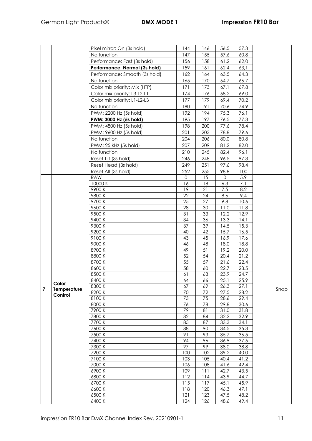|                |             | Pixel mirror: On (3s hold)    | 144        | 146        | 56.5         | 57.3         |      |
|----------------|-------------|-------------------------------|------------|------------|--------------|--------------|------|
|                |             | No function                   | 147        | 155        | 57.6         | 60.8         |      |
|                |             | Performance: Fast (3s hold)   | 156        | 158        | 61,2         | 62,0         |      |
|                |             | Performance: Normal (3s hold) | 159        | 161        | 62,4         | 63,1         |      |
|                |             | Performance: Smooth (3s hold) | 162        | 164        | 63.5         | 64.3         |      |
|                |             | No function                   | 165        | 170        | 64.7         | 66.7         |      |
|                |             |                               | 171        | 173        |              | 67.8         |      |
|                |             | Color mix priority: Mix (HTP) |            |            | 67.1         |              |      |
|                |             | Color mix priority: L3-L2-L1  | 174        | 176        | 68.2         | 69.0         |      |
|                |             | Color mix priority: L1-L2-L3  | 177        | 179        | 69.4         | 70.2         |      |
|                |             | No function                   | 180        | 191        | 70.6         | 74.9         |      |
|                |             | PWM: 2200 Hz (5s hold)        | 192        | 194        | 75.3         | 76.1         |      |
|                |             | PWM: 3000 Hz (5s hold)        | 195        | 197        | 76.5         | 77.3         |      |
|                |             | PWM: 4800 Hz (5s hold)        | 198        | 200        | 77.6         | 78.4         |      |
|                |             | PWM: 9600 Hz (5s hold)        | 201        | 203        | 78.8         | 79.6         |      |
|                |             | No function                   | 204        | 206        | 80.0         | 80.8         |      |
|                |             | PWM: 25 kHz (5s hold)         | 207        | 209        | 81.2         | 82.0         |      |
|                |             | No function                   | 210        | 245        | 82.4         | 96.1         |      |
|                |             | Reset Tilt (3s hold)          | 246        | 248        | 96.5         | 97.3         |      |
|                |             | Reset Head (3s hold)          | 249        | 251        | 97.6         | 98.4         |      |
|                |             | Reset All (3s hold)           | 252        | 255        | 98.8         | 100          |      |
|                |             | <b>RAW</b>                    | 0          | 15         | $\Omega$     | 5.9          |      |
|                |             | 10000 K<br>9900K              | 16<br>19   | 18<br>21   | 6.3          | 7.1<br>8.2   |      |
|                |             | 9800K                         | 22         | 24         | 7.5<br>8.6   | 9.4          |      |
|                |             | 9700 K                        | 25         | 27         | 9.8          | 10.6         |      |
|                |             | 9600K                         | 28         | 30         | 11.0         | 11.8         |      |
|                |             | 9500K                         | 31         | 33         | 12.2         | 12.9         |      |
|                |             | 9400K                         | 34         | 36         | 13.3         | 14.1         |      |
|                |             | 9300K                         | 37         | 39         | 14.5         | 15.3         |      |
|                |             | 9200K                         | 40         | 42         | 15.7         | 16.5         |      |
|                |             | 9100K                         | 43         | 45         | 16.9         | 17.6         |      |
|                |             | 9000 K                        | 46         | 48         | 18.0         | 18.8         |      |
|                |             | 8900K                         | 49         | 51         | 19.2         | 20.0         |      |
|                |             | 8800K                         | 52         | 54         | 20.4         | 21.2         |      |
|                |             | 8700K                         | 55         | 57         | 21.6         | 22.4         |      |
|                |             | 8600K                         | 58         | 60         | 22.7         | 23.5         |      |
|                |             | 8500K                         | 61         | 63         | 23.9         | 24.7         |      |
|                | Color       | 8400 K                        | 64         | 66         | 25.1         | 25.9         |      |
| $\overline{7}$ | Temperature | 8300 K                        | 67         | 69         | 26.3         | 27.1         | Snap |
|                | Control     | 8200 K<br>8100K               | 70<br>73   | 72<br>75   | 27.5<br>28.6 | 28.2<br>29.4 |      |
|                |             | 8000 K                        | 76         | 78         | 29.8         | 30.6         |      |
|                |             | 7900 K                        | 79         | 81         | 31.0         | 31.8         |      |
|                |             | 7800 K                        | 82         | 84         | 32.2         | 32.9         |      |
|                |             | 7700 K                        | 85         | 87         | 33.3         | 34.1         |      |
|                |             | 7600 K                        | 88         | 90         | 34.5         | 35.3         |      |
|                |             | 7500 K                        | 91         | 93         | 35.7         | 36.5         |      |
|                |             | 7400 K                        | 94         | 96         | 36.9         | 37.6         |      |
|                |             | 7300 K                        | 97         | 99         | 38.0         | 38.8         |      |
|                |             | 7200 K                        | 100        | 102        | 39.2         | 40.0         |      |
|                |             | 7100 K                        | 103        | 105        | 40.4         | 41.2         |      |
|                |             | 7000 K                        | 106        | 108        | 41.6         | 42.4         |      |
|                |             | 6900K                         | 109        | 111        | 42.7         | 43.5         |      |
|                |             | 6800K                         | 112        | 114        | 43.9         | 44.7         |      |
|                |             | 6700K                         | 115        | 117        | 45.1         | 45.9         |      |
|                |             | 6600K                         | 118<br>121 | 120        | 46.3         | 47.1         |      |
|                |             | 6500K<br>6400K                | 124        | 123<br>126 | 47.5<br>48.6 | 48.2<br>49.4 |      |
|                |             |                               |            |            |              |              |      |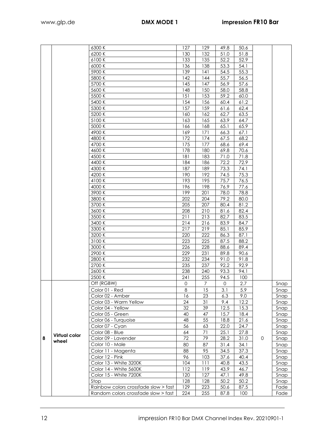|   |                      | 6300 K                                           | 127          | 129            | 49.8         | 50.6         |   |              |
|---|----------------------|--------------------------------------------------|--------------|----------------|--------------|--------------|---|--------------|
|   |                      | 6200K                                            | 130          | 132            | 51.0         | 51.8         |   |              |
|   |                      | 6100K<br>6000 K                                  | 133<br>136   | 135<br>138     | 52.2         | 52.9<br>54.1 |   |              |
|   |                      | 5900 K                                           | 139          | 4              | 53.3<br>54.5 | 55.3         |   |              |
|   |                      | 5800K                                            | 142          | 144            | 55.7         | 56.5         |   |              |
|   |                      | 5700 K                                           | 145          | 147            | 56.9         | 57.6         |   |              |
|   |                      | 5600 K                                           | 148          | 150            | 58.0         | 58.8         |   |              |
|   |                      | 5500 K                                           | 151          | 153            | 59.2         | 60.0         |   |              |
|   |                      | 5400 K                                           | 154          | 156            | 60.4         | 61.2         |   |              |
|   |                      | 5300 K                                           | 157          | 159            | 61.6         | 62.4         |   |              |
|   |                      | 5200 K                                           | 160          | 162            | 62.7         | 63.5         |   |              |
|   |                      | 5100 K                                           | 163          | 165            | 63.9         | 64.7         |   |              |
|   |                      | 5000 K                                           | 166          | 168            | 65.1         | 65.9         |   |              |
|   |                      | 4900K                                            | 169          | 171            | 66.3         | 67.1         |   |              |
|   |                      | 4800 K                                           | 172          | 174            | 67.5         | 68.2         |   |              |
|   |                      | 4700 K                                           | 175          | 177            | 68.6         | 69.4         |   |              |
|   |                      | 4600 K                                           | 178          | 180            | 69.8         | 70.6         |   |              |
|   |                      | 4500 K                                           | 181          | 183            | 71.0         | 71.8         |   |              |
|   |                      | 4400 K                                           | 184          | 186            | 72.2         | 72.9         |   |              |
|   |                      | 4300 K                                           | 187          | 189            | 73.3         | 74.1         |   |              |
|   |                      | 4200 K                                           | 190          | 192            | 74.5         | 75.3         |   |              |
|   |                      | 4100 K                                           | 193          | 195            | 75.7         | 76.5         |   |              |
|   |                      | 4000 K                                           | 196          | 198            | 76.9         | 77.6         |   |              |
|   |                      | 3900 K                                           | 199          | 201            | 78.0         | 78.8         |   |              |
|   |                      | 3800K                                            | 202          | 204            | 79.2         | 80.0         |   |              |
|   |                      | 3700 K                                           | 205          | 207            | 80.4         | 81.2         |   |              |
|   |                      | 3600K<br>3500 K                                  | 208<br>211   | 210<br>213     | 81.6<br>82.7 | 82.4<br>83.5 |   |              |
|   |                      | 3400 K                                           | 214          | 216            | 83.9         | 84.7         |   |              |
|   |                      | 3300 K                                           | 217          | 219            | 85.1         | 85.9         |   |              |
|   |                      | 3200 K                                           | 220          | 222            | 86.3         | 87.1         |   |              |
|   |                      | 3100 K                                           | 223          | 225            | 87.5         | 88.2         |   |              |
|   |                      | 3000 K                                           | 226          | 228            | 88.6         | 89.4         |   |              |
|   |                      | 2900 K                                           | 229          | 231            | 89.8         | 90.6         |   |              |
|   |                      | 2800 K                                           | 232          | 234            | 91.0         | 91.8         |   |              |
|   |                      | 2700 K                                           | 235          | 237            | 92.2         | 92.9         |   |              |
|   |                      | 2600K                                            | 238          | 240            | 93.3         | 94.1         |   |              |
|   |                      | 2500 K                                           | 241          | 255            | 94.5         | 100          |   |              |
|   |                      | Off (RGBW)                                       | $\mathbf{O}$ | $\overline{7}$ | $\mathsf{O}$ | 2.7          |   | Snap         |
|   |                      | Color 01 - Red                                   | $\,8\,$      | 15             | 3.1          | 5.9          |   | Snap         |
|   |                      | Color 02 - Amber                                 | 16           | 23             | 6.3          | 9.0          |   | Snap         |
|   |                      | Color 03 - Warm Yellow                           | 24           | 31             | 9.4          | 12.2         |   | Snap         |
|   |                      | Color 04 - Yellow                                | 32           | 39             | 12.5         | 15.3         |   | Snap         |
|   |                      | Color 05 - Green                                 | 40           | 47             | 15.7         | 18.4         |   | Snap         |
|   |                      | Color 06 - Turquoise                             | 48           | 55             | 18.8         | 21.6         |   | Snap         |
|   |                      | Color 07 - Cyan                                  | 56           | 63             | 22.0         | 24.7         |   | Snap         |
|   | <b>Virtual color</b> | Color 08 - Blue                                  | 64           | 71             | 25.1         | 27.8         |   | Snap         |
| 8 | wheel                | Color 09 - Lavender                              | 72           | 79             | 28.2         | 31.0         | 0 | Snap         |
|   |                      | Color 10 - Male                                  | 80           | 87             | 31.4         | 34.1         |   | Snap         |
|   |                      | Color 11 - Magenta                               | 88           | 95             | 34.5         | 37.3         |   | Snap         |
|   |                      | Color 12 - Pink                                  | 96           | 103            | 37.6         | 40.4         |   | Snap         |
|   |                      | Color 13 - White 3200K<br>Color 14 - White 5600K | 104<br>112   | 111<br>119     | 40.8<br>43.9 | 43.5<br>46.7 |   | Snap         |
|   |                      | Color 15 - White 7200K                           | 120          | 127            | 47.1         | 49.8         |   | Snap<br>Snap |
|   |                      | Stop                                             | 128          | 128            | 50.2         | 50.2         |   | Snap         |
|   |                      |                                                  |              | 000            | $\sqrt{2}$   | 07r          |   |              |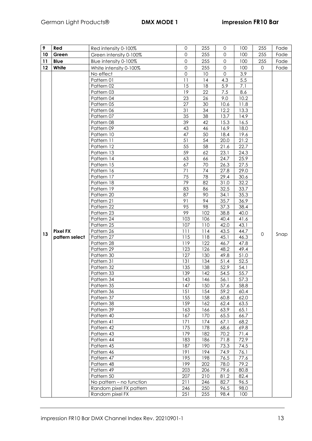| 9       | Red             | Red intensity 0-100%     | $\mathbf{0}$        | 255        | $\Omega$     | 100          | 255          | Fade |
|---------|-----------------|--------------------------|---------------------|------------|--------------|--------------|--------------|------|
| 10      | Green           | Green intensity 0-100%   | $\mathbf{0}$        | 255        | 0            | 100          | 255          | Fade |
| 11      | <b>Blue</b>     | Blue intensity 0-100%    | $\mathsf{O}\xspace$ | 255        | $\mathbf 0$  | 100          | 255          | Fade |
| $12 \,$ | White           | White intensity 0-100%   | $\mathbf 0$         | 255        | $\mathbf 0$  | 100          | $\Omega$     | Fade |
|         |                 | No effect                | 0                   | 10         | 0            | 3.9          |              |      |
|         |                 | Pattern 01               | 11                  | 14         | 4.3          | 5.5          |              |      |
|         |                 | Pattern 02               | 15                  | 18         | 5.9          | 7.1          |              |      |
|         |                 | Pattern 03               | 19                  | 22         | 7.5          | 8.6          |              |      |
|         |                 | Pattern 04               | 23                  | 26         | 9.0          | 10.2         |              |      |
|         |                 | Pattern 05               | 27                  | 30         | 10.6         | 11.8         |              |      |
|         |                 | Pattern 06               | 31                  | 34         | 12.2         | 13.3         |              |      |
|         |                 | Pattern 07               | 35                  | 38         | 13.7         | 14.9         |              |      |
|         |                 | Pattern 08               | 39                  | 42         | 15.3         | 16.5         |              |      |
|         |                 | Pattern 09               | 43                  | 46         | 16.9         | 18.0         |              |      |
|         |                 | Pattern 10               | 47                  | 50         | 18.4         | 19.6         |              |      |
|         |                 | Pattern 11               | 51                  | 54         | 20.0         | 21.2         |              |      |
|         |                 | Pattern 12               | 55                  | 58         | 21.6         | 22.7         |              |      |
|         |                 | Pattern 13               | 59                  | 62         | 23.1         | 24.3         |              |      |
|         |                 | Pattern 14               | 63                  | 66         | 24.7         | 25.9         |              |      |
|         |                 | Pattern 15               | 67                  | 70         | 26.3         | 27.5         |              |      |
|         |                 | Pattern 16               | 71                  | 74         | 27.8         | 29.0         |              |      |
|         |                 | Pattern 17               | 75                  | 78         | 29.4         | 30.6         |              |      |
|         |                 | Pattern 18               | 79                  | 82         | 31.0         | 32.2         |              |      |
|         |                 | Pattern 19               | 83                  | 86         | 32.5         | 33.7         |              |      |
|         |                 | Pattern 20               | 87                  | 90         | 34.1         | 35.3         |              |      |
|         |                 | Pattern 21               | 91                  | 94         | 35.7         | 36.9         |              |      |
|         |                 | Pattern 22               | 95                  | 98         | 37.3         | 38.4         |              |      |
|         |                 | Pattern 23               | 99                  | 102        | 38.8         | 40.0         |              |      |
|         |                 | Pattern 24<br>Pattern 25 | 103<br>107          | 106<br>110 | 40.4<br>42.0 | 41.6<br>43.1 |              |      |
|         | <b>Pixel FX</b> | Pattern 26               | 111                 | 114        | 43.5         | 44.7         |              |      |
| 13      | pattern select  | Pattern 27               | 115                 | 118        | 45.1         | 46.3         | $\mathbf{O}$ | Snap |
|         |                 | Pattern 28               | 119                 | 122        | 46.7         | 47.8         |              |      |
|         |                 | Pattern 29               | 123                 | 126        | 48.2         | 49.4         |              |      |
|         |                 | Pattern 30               | 127                 | 130        | 49.8         | 51.0         |              |      |
|         |                 | Pattern 31               | 131                 | 134        | 51.4         | 52.5         |              |      |
|         |                 | Pattern 32               | 135                 | 138        | 52.9         | 54.1         |              |      |
|         |                 | Pattern 33               | 139                 | 142        | 54.5         | 55.7         |              |      |
|         |                 | Pattern 34               | 143                 | 146        | 56.1         | 57.3         |              |      |
|         |                 | Pattern 35               | 147                 | 150        | 57.6         | 58.8         |              |      |
|         |                 | Pattern 36               | 151                 | 154        | 59.2         | 60.4         |              |      |
|         |                 | Pattern 37               | 155                 | 158        | 60.8         | 62.0         |              |      |
|         |                 | Pattern 38               | 159                 | 162        | 62.4         | 63.5         |              |      |
|         |                 | Pattern 39               | 163                 | 166        | 63.9         | 65.1         |              |      |
|         |                 | Pattern 40               | 167                 | 170        | 65.5         | 66.7         |              |      |
|         |                 | Pattern 41               | 171                 | 174        | 67.1         | 68.2         |              |      |
|         |                 | Pattern 42               | 175                 | 178        | 68.6         | 69.8         |              |      |
|         |                 | Pattern 43               | 179                 | 182        | 70.2         | 71.4         |              |      |
|         |                 | Pattern 44               | 183                 | 186        | 71.8         | 72.9         |              |      |
|         |                 | Pattern 45               | 187                 | 190        | 73.3         | 74.5         |              |      |
|         |                 | Pattern 46               | 191                 | 194        | 74.9         | 76.1         |              |      |
|         |                 | Pattern 47               | 195                 | 198        | 76.5         | 77.6         |              |      |
|         |                 | Pattern 48               | 199                 | 202        | 78.0         | 79.2         |              |      |
|         |                 | Pattern 49               | 203                 | 206        | 79.6         | 80.8         |              |      |
|         |                 | Pattern 50               | 207                 | 210        | 81.2         | 82.4         |              |      |
|         |                 | No pattern - no function | 211                 | 246        | 82.7         | 96.5         |              |      |
|         |                 | Random pixel FX pattern  | 246                 | 250        | 96.5         | 98.0         |              |      |
|         |                 | Random pixel FX          | 251                 | 255        | 98.4         | 100          |              |      |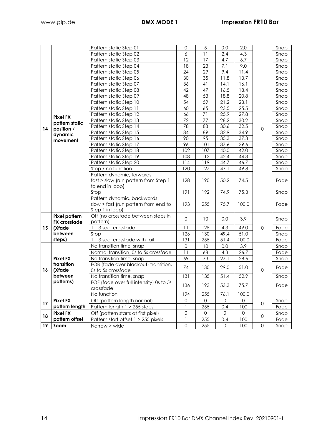|    |                      | Pattern static Step 01                  | 0                   | 5               | 0.0  | 2.0          |                     | Snap |
|----|----------------------|-----------------------------------------|---------------------|-----------------|------|--------------|---------------------|------|
|    |                      | Pattern static Step 02                  | 6                   | 11              | 2.4  | 4.3          |                     | Snap |
|    |                      | Pattern static Step 03                  | 12                  | 17              | 4.7  | 6.7          |                     | Snap |
|    |                      | Pattern static Step 04                  | 18                  | 23              | 7.1  | 9.0          |                     | Snap |
|    |                      | Pattern static Step 05                  | 24                  | $\overline{29}$ | 9.4  | 11.4         |                     | Snap |
|    |                      | Pattern static Step 06                  | 30                  | 35              | 11.8 | 13.7         |                     | Snap |
|    |                      | Pattern static Step 07                  | 36                  | 41              | 14.1 | 16.1         |                     | Snap |
|    |                      | Pattern static Step 08                  | 42                  | 47              | 16.5 | 18.4         |                     | Snap |
|    |                      | Pattern static Step 09                  | 48                  | 53              | 18.8 | 20.8         |                     | Snap |
|    |                      | Pattern static Step 10                  | 54                  | 59              | 21.2 | 23.1         |                     | Snap |
|    |                      | Pattern static Step 11                  | 60                  | 65              | 23.5 | 25.5         |                     | Snap |
|    |                      | Pattern static Step 12                  | 66                  | 71              | 25.9 | 27.8         |                     | Snap |
|    | <b>Pixel FX</b>      | Pattern static Step 13                  | 72                  | 77              | 28.2 | 30.2         |                     | Snap |
|    | pattern static       | Pattern static Step 14                  | 78                  | 83              | 30.6 | 32.5         |                     | Snap |
| 14 | position /           | Pattern static Step 15                  | 84                  | 89              | 32.9 | 34.9         | $\mathsf{O}\xspace$ | Snap |
|    | dynamic              | Pattern static Step 16                  | 90                  | 95              | 35.3 | 37.3         |                     | Snap |
|    | movement             | Pattern static Step 17                  | 96                  | 101             | 37.6 | 39.6         |                     | Snap |
|    |                      | Pattern static Step 18                  | 102                 | 107             | 40.0 | 42.0         |                     | Snap |
|    |                      | Pattern static Step 19                  | 108                 | 113             | 42.4 | 44.3         |                     | Snap |
|    |                      | Pattern static Step 20                  | 114                 | 119             | 44.7 | 46.7         |                     | Snap |
|    |                      | Stop / no function                      | 120                 | 127             | 47.1 | 49.8         |                     | Snap |
|    |                      | Pattern dynamic, forwards               |                     |                 |      |              |                     |      |
|    |                      | fast > slow (run pattern from Step 1    | 128                 | 190             | 50.2 | 74.5         |                     | Fade |
|    |                      | to end in loop)                         |                     |                 |      |              |                     |      |
|    |                      | Stop                                    | 191                 | 192             | 74.9 | 75.3         |                     | Snap |
|    |                      | Pattern dynamic, backwards              |                     |                 |      |              |                     |      |
|    |                      | slow > fast (run pattern from end to    | 193                 | 255             | 75.7 | 100.0        |                     | Fade |
|    |                      | Step 1 in loop)                         |                     |                 |      |              |                     |      |
|    | <b>Pixel pattern</b> | Off (no crossfade between steps in      | $\mathbf 0$         | 10 <sup>°</sup> | 0.0  | 3.9          |                     | Snap |
|    | <b>FX</b> crossfade  | pattern)                                |                     |                 |      |              |                     |      |
| 15 | (Xfade               | $1 - 3$ sec. crossfade                  | 11                  | 125             | 4.3  | 49.0         | $\mathsf{O}\xspace$ | Fade |
|    | between              | Stop                                    | 126                 | 130             | 49.4 | 51.0         |                     | Snap |
|    | steps)               | 1-3 sec. crossfade with tail            | 131                 | 255             | 51.4 | 100.0        |                     | Fade |
|    |                      | No transition time, snap                | $\mathbf 0$         | 10              | 0.0  | 3.9          |                     | Snap |
|    |                      | Normal transition, 0s to 5s crossfade   | 11                  | 68              | 4.3  | 26.7         |                     | Fade |
|    | <b>Pixel FX</b>      | No transition time, snap                | 69                  | 73              | 27.1 | 28.6         |                     | Snap |
|    | transition           | FOB (fade over blackout) transition,    | 74                  | 130             | 29.0 | 51.0         |                     | Fade |
| 16 | (Xfade               | Os to 5s crossfade                      |                     |                 |      |              | $\mathsf{O}\xspace$ |      |
|    | between              | No transition time, snap                | 131                 | 135             | 51.4 | 52.9         |                     | Snap |
|    | patterns)            | FOF (fade over full intensity) 0s to 5s | 136                 | 193             | 53.3 | 75.7         |                     | Fade |
|    |                      | crossfade                               |                     |                 |      |              |                     |      |
|    |                      | No function                             | 194                 | 255             | 76.1 | 100.0        |                     |      |
| 17 | <b>Pixel FX</b>      | Off (pattern length normal)             | $\mathbf{O}$        | $\Omega$        | 0    | $\mathbf{0}$ | $\mathbf 0$         | Snap |
|    | pattern length       | Pattern length 1 > 255 steps            | 1                   | 255             | 0.4  | 100          |                     | Fade |
| 18 | <b>Pixel FX</b>      | Off (pattern starts at first pixel)     | $\mathsf{O}\xspace$ | $\mathbf 0$     | 0    | 0            | 0                   | Snap |
|    | pattern offset       | Pattern start offset 1 > 255 pixels     | 1                   | 255             | 0.4  | 100          |                     | Fade |
| 19 | <b>Zoom</b>          | Narrow > wide                           | $\mathsf{O}\xspace$ | 255             | 0    | 100          | 0                   | Snap |
|    |                      |                                         |                     |                 |      |              |                     |      |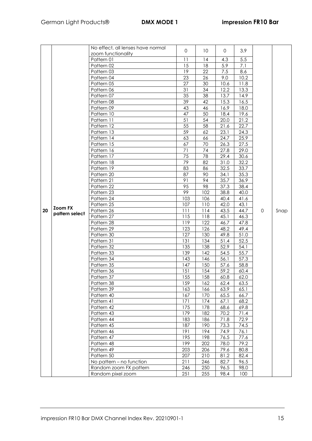|    |                | No effect, all lenses have normal | 0          | 10         | $\mathsf{O}$ | 3.9          |                     |      |
|----|----------------|-----------------------------------|------------|------------|--------------|--------------|---------------------|------|
|    |                | zoom functionality                |            |            |              |              |                     |      |
|    |                | Pattern 01                        | 11         | 14         | 4.3          | 5.5          |                     |      |
|    |                | Pattern 02                        | 15         | 18         | 5.9          | 7.1          |                     |      |
|    |                | Pattern 03                        | 19         | 22         | 7.5          | 8.6          |                     |      |
|    |                | Pattern 04                        | 23         | 26         | 9.0          | 10.2         |                     |      |
|    |                | Pattern 05                        | 27         | 30         | 10.6         | 11.8         |                     |      |
|    |                | Pattern 06                        | 31         | 34         | 12.2         | 13.3         |                     |      |
|    |                | Pattern 07                        | 35         | 38         | 13.7         | 14.9         |                     |      |
|    |                | Pattern 08                        | 39         | 42         | 15.3         | 16.5         |                     |      |
|    |                | Pattern 09                        | 43         | 46         | 16.9         | 18.0         |                     |      |
|    |                | Pattern 10                        | 47         | 50         | 18.4         | 19.6         |                     |      |
|    |                | Pattern 11                        | 51         | 54         | 20.0         | 21.2         |                     |      |
|    |                | Pattern 12                        | 55         | 58         | 21.6         | 22.7         |                     |      |
|    |                | Pattern 13                        | 59         | 62         | 23.1         | 24.3         |                     |      |
|    |                | Pattern 14                        | 63         | 66         | 24.7         | 25.9         |                     |      |
|    |                | Pattern 15                        | 67         | 70         | 26.3         | 27.5         |                     |      |
|    |                | Pattern 16                        | 71         | 74         | 27.8         | 29.0         |                     |      |
|    |                | Pattern 17                        | 75         | 78         | 29.4         | 30.6         |                     |      |
|    |                | Pattern 18                        | 79         | 82         | 31.0         | 32.2         |                     |      |
|    |                | Pattern 19                        | 83         | 86         | 32.5         | 33.7         |                     |      |
|    |                | Pattern 20                        | 87         | 90         | 34.1         | 35.3         |                     |      |
|    |                | Pattern 21                        | 91         | 94         | 35.7         | 36.9         |                     |      |
|    |                | Pattern 22                        | 95         | 98         | 37.3         | 38.4         |                     |      |
|    |                | Pattern 23                        | 99         | 102        | 38.8         | 40.0         |                     |      |
|    |                | Pattern 24                        | 103        | 106        | 40.4         | 41.6         |                     |      |
|    | <b>Zoom FX</b> | Pattern 25                        | 107        | 110        | 42.0         | 43.1         |                     |      |
| 20 | pattern select | Pattern 26                        | 111        | 114        | 43.5         | 44.7         | $\mathsf{O}\xspace$ | Snap |
|    |                | Pattern 27                        | 115        | 118        | 45.1         | 46.3         |                     |      |
|    |                | Pattern 28                        | 119        | 122        | 46.7         | 47.8         |                     |      |
|    |                | Pattern 29                        | 123        | 126        | 48.2         | 49.4         |                     |      |
|    |                | Pattern 30                        | 127        | 130        | 49.8         | 51.0         |                     |      |
|    |                | Pattern 31                        | 131        | 134        | 51.4         | 52.5         |                     |      |
|    |                | Pattern 32                        | 135        | 138        | 52.9         | 54.1         |                     |      |
|    |                | Pattern 33                        | 139        | 142        | 54.5         | 55.7         |                     |      |
|    |                | Pattern 34                        | 143        | 146        | 56.1         | 57.3         |                     |      |
|    |                | Pattern 35                        | 147        | 150        | 57.6         | 58.8         |                     |      |
|    |                | Pattern 36                        | 151        | 154        | 59.2         | 60.4         |                     |      |
|    |                | Pattern 37                        | 155        | 158        | 60.8         | 62.0         |                     |      |
|    |                | Pattern 38                        | 159        | 162        | 62.4         | 63.5         |                     |      |
|    |                | Pattern 39                        | 163<br>167 | 166<br>170 | 63.9<br>65.5 | 65.1<br>66.7 |                     |      |
|    |                | Pattern 40                        |            | 174        |              |              |                     |      |
|    |                | Pattern 41                        | 171<br>175 |            | 67.1         | 68.2         |                     |      |
|    |                | Pattern 42                        |            | 178        | 68.6         | 69.8         |                     |      |
|    |                | Pattern 43                        | 179        | 182        | 70.2         | 71.4         |                     |      |
|    |                | Pattern 44                        | 183        | 186        | 71.8         | 72.9         |                     |      |
|    |                | Pattern 45                        | 187        | 190        | 73.3         | 74.5         |                     |      |
|    |                | Pattern 46                        | 191        | 194        | 74.9         | 76.1         |                     |      |
|    |                | Pattern 47                        | 195        | 198        | 76.5         | 77.6         |                     |      |
|    |                | Pattern 48<br>Pattern 49          | 199<br>203 | 202<br>206 | 78.0         | 79.2         |                     |      |
|    |                | Pattern 50                        | 207        | 210        | 79.6<br>81.2 | 80.8<br>82.4 |                     |      |
|    |                |                                   |            |            |              |              |                     |      |
|    |                | No pattern - no function          | 211        | 246        | 82.7         | 96.5         |                     |      |
|    |                | Random zoom FX pattern            | 246        | 250        | 96.5         | 98.0         |                     |      |
|    |                | Random pixel zoom                 | 251        | 255        | 98.4         | 100          |                     |      |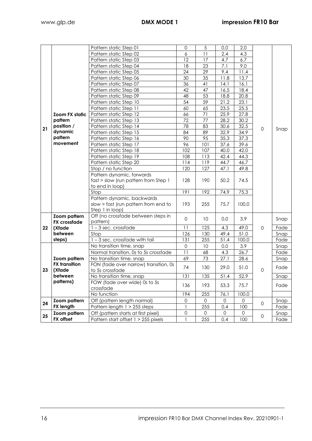|    |                       | Pattern static Step 01                | $\mathbf{0}$       | 5                   | 0.0                 | 2.0          |                     |      |
|----|-----------------------|---------------------------------------|--------------------|---------------------|---------------------|--------------|---------------------|------|
|    |                       | Pattern static Step 02                | 6                  | 11                  | 2.4                 | 4.3          |                     |      |
|    |                       | Pattern static Step 03                | 12                 | 17                  | 4.7                 | 6.7          |                     |      |
|    |                       | Pattern static Step 04                | 18                 | 23                  | 7.1                 | 9.0          |                     |      |
|    |                       | Pattern static Step 05                | 24                 | $\overline{29}$     | 9.4                 | 11.4         |                     |      |
|    |                       | Pattern static Step 06                | 30                 | 35                  | 11.8                | 13.7         |                     |      |
|    |                       | Pattern static Step 07                | 36                 | 41                  | 14.1                | 16.1         |                     |      |
|    |                       | Pattern static Step 08                | 42                 | 47                  | 16.5                | 18.4         |                     |      |
|    |                       | Pattern static Step 09                | 48                 | 53                  |                     | 20.8         |                     |      |
|    |                       | Pattern static Step 10                | 54                 | 59                  | 18.8<br>21.2        | 23.1         |                     |      |
|    |                       |                                       | 60                 | 65                  | 23.5                | 25.5         |                     |      |
|    |                       | Pattern static Step 11                |                    |                     |                     |              |                     |      |
|    | Zoom FX static        | Pattern static Step 12                | 66                 | 71                  | 25.9                | 27.8         |                     |      |
|    | pattern               | Pattern static Step 13                | 72                 | 77                  | 28.2                | 30.2         |                     |      |
| 21 | position /<br>dynamic | Pattern static Step 14                | 78                 | 83                  | 30.6                | 32.5         | $\mathbf{0}$        | Snap |
|    | pattern               | Pattern static Step 15                | 84                 | 89                  | 32.9                | 34.9         |                     |      |
|    | movement              | Pattern static Step 16                | 90                 | 95                  | 35.3                | 37.3         |                     |      |
|    |                       | Pattern static Step 17                | 96                 | 101                 | 37.6                | 39.6         |                     |      |
|    |                       | Pattern static Step 18                | 102                | 107                 | 40.0                | 42.0         |                     |      |
|    |                       | Pattern static Step 19                | 108                | 113                 | 42.4                | 44.3         |                     |      |
|    |                       | Pattern static Step 20                | 114                | 119                 | 44.7                | 46.7         |                     |      |
|    |                       | Stop / no function                    | 120                | 127                 | 47.1                | 49.8         |                     |      |
|    |                       | Pattern dynamic, forwards             |                    |                     |                     |              |                     |      |
|    |                       | fast > slow (run pattern from Step 1  | 128                | 190                 | 50.2                | 74.5         |                     |      |
|    |                       | to end in loop)                       |                    |                     |                     |              |                     |      |
|    |                       | Stop                                  | 191                | 192                 | 74.9                | 75.3         |                     |      |
|    |                       | Pattern dynamic, backwards            |                    |                     |                     |              |                     |      |
|    |                       | slow > fast (run pattern from end to  | 193                | 255                 | 75.7                | 100.0        |                     |      |
|    |                       | Step 1 in loop)                       |                    |                     |                     |              |                     |      |
|    | Zoom pattern          | Off (no crossfade between steps in    | $\mathbf 0$        | 10                  | 0.0                 | 3.9          |                     | Snap |
|    | <b>FX</b> crossfade   | pattern)                              |                    |                     |                     |              |                     |      |
| 22 | (Xfade                | 1-3 sec. crossfade                    | 11                 | 125                 | 4.3                 | 49.0         | $\mathsf{O}\xspace$ | Fade |
|    | between               | Stop                                  | 126                | 130                 | 49.4                | 51.0         |                     | Snap |
|    | steps)                | $1-3$ sec. crossfade with tail        | 131                | 255                 | 51.4                | 100.0        |                     | Fade |
|    |                       | No transition time, snap              | $\mathbf 0$        | 10                  | 0.0                 | 3.9          |                     | Snap |
|    |                       | Normal transition, 0s to 5s crossfade | $\overline{11}$    | 68                  | 4.3                 | 26.7         |                     | Fade |
|    | Zoom pattern          | No transition time, snap              | 69                 | 73                  | 27.1                | 28.6         |                     | Snap |
|    | <b>FX</b> transition  | FON (fade over narrow) transition, 0s | 74                 | 130                 | 29.0                | 51.0         |                     | Fade |
| 23 | (Xfade                | to 5s crossfade                       |                    |                     |                     |              | $\mathbf 0$         |      |
|    | between<br>patterns)  | No transition time, snap              | 131                | 135                 | 51.4                | 52.9         |                     | Snap |
|    |                       | FOW (fade over wide) 0s to 5s         | 136                | 193                 | 53.3                | 75.7         |                     | Fade |
|    |                       | crossfade                             |                    |                     |                     |              |                     |      |
|    |                       | No function                           | 194<br>$\mathbf 0$ | 255                 | 76.1                | 100.0        |                     |      |
| 24 | Zoom pattern          | Off (pattern length normal)           |                    | $\mathsf{O}\xspace$ | $\mathsf{O}$        | $\mathsf{O}$ | 0                   | Snap |
|    | <b>FX length</b>      | Pattern length 1 > 255 steps          | $\mathbf{1}$       | 255                 | 0.4                 | 100          |                     | Fade |
| 25 | Zoom pattern          | Off (pattern starts at first pixel)   | $\mathsf{O}$       | 0                   | $\mathsf{O}\xspace$ | 0            | $\mathsf{O}\xspace$ | Snap |
|    | FX offset             | Pattern start offset 1 > 255 pixels   |                    | 255                 | 0.4                 | 100          |                     | Fade |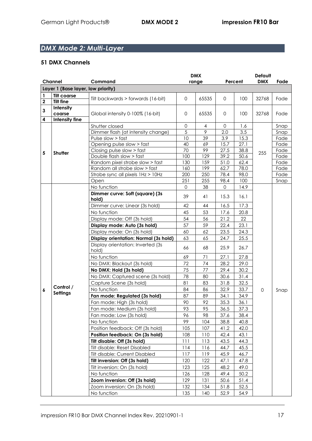# *DMX Mode 2: Multi-Layer*

|             |                                                                                                                               |                                                                            | <b>DMX</b>   | Default        |                                    |                                    |             |              |
|-------------|-------------------------------------------------------------------------------------------------------------------------------|----------------------------------------------------------------------------|--------------|----------------|------------------------------------|------------------------------------|-------------|--------------|
|             | Channel                                                                                                                       | Command                                                                    |              | range          |                                    | Percent                            | <b>DMX</b>  | Fade         |
|             | Layer 1 (Base layer, low priority)                                                                                            |                                                                            |              |                |                                    |                                    |             |              |
| 1           | <b>Tilt coarse</b>                                                                                                            |                                                                            | $\mathbf{0}$ |                | $\mathbf 0$                        |                                    |             |              |
| $\mathbf 2$ | <b>Tilt fine</b>                                                                                                              | Tilt backwards > forwards (16-bit)                                         |              | 65535          |                                    | 100                                | 32768       | Fade         |
| 3           | Intensity                                                                                                                     |                                                                            |              |                |                                    |                                    |             |              |
|             | coarse                                                                                                                        | Global intensity 0-100% (16-bit)                                           | $\mathbf 0$  | 65535          | $\mathbf 0$                        | 100                                | 32768       | Fade         |
| 4           | Intensity fine                                                                                                                |                                                                            |              |                |                                    |                                    |             |              |
|             |                                                                                                                               | Shutter closed                                                             | 0            | $\overline{4}$ | $\mathbf 0$                        | 1.6                                |             | Snap         |
|             |                                                                                                                               | Dimmer flash (at intensity change)                                         | 5            | 9              | 2.0                                | 3.5                                |             | Snap         |
|             |                                                                                                                               | Pulse slow > fast                                                          | 10           | 39             | 3.9                                | 15.3                               |             | Fade         |
|             | Shutter                                                                                                                       | Opening pulse slow > fast                                                  | 40           | 69             | 15.7                               | 27.1                               |             | Fade         |
| 5           |                                                                                                                               | Closing pulse slow > fast                                                  | 70           | 99             | 27.5                               | 38.8                               | 255         | Fade         |
|             |                                                                                                                               | Double flash slow > fast                                                   | 100          | 129            | 39.2                               | 50.6                               |             | Fade         |
|             |                                                                                                                               | Random pixel strobe slow > fast                                            | 130          | 159<br>199     | 51.0<br>62.7                       | 62.4<br>78.0                       |             | Fade         |
|             |                                                                                                                               | Random all strobe slow > fast                                              | 160<br>200   | 250            | 78.4                               | 98.0                               |             | Fade<br>Fade |
|             |                                                                                                                               | Strobe sync all pixels 1Hz > 10Hz<br>Open                                  | 251          | 255            | 98.4                               | 100                                |             | Snap         |
|             |                                                                                                                               | No function                                                                | $\Omega$     | 38             | $\mathbf 0$                        | 14.9                               |             |              |
|             |                                                                                                                               |                                                                            |              |                |                                    |                                    |             |              |
|             |                                                                                                                               | Dimmer curve: Soft (square) (3s<br>hold)                                   | 39           | 41             | 15.3                               | 16.1                               |             |              |
|             |                                                                                                                               | Dimmer curve: Linear (3s hold)                                             | 42           | 44             | 16.5                               |                                    |             |              |
|             |                                                                                                                               | No function                                                                | 45           | 53             | 17.6                               | 17.3<br>20.8<br>22<br>23.1<br>24.3 |             |              |
|             |                                                                                                                               |                                                                            |              |                | 21.2                               |                                    |             |              |
|             | 54<br>56<br>Display mode: Off (3s hold)<br>59<br>Display mode: Auto (3s hold)<br>57<br>Display mode: On (3s hold)<br>62<br>60 |                                                                            |              |                |                                    |                                    |             |              |
|             |                                                                                                                               |                                                                            |              |                | 22.4<br>23.5<br>65<br>25.5<br>24.7 |                                    |             |              |
|             |                                                                                                                               |                                                                            |              |                |                                    |                                    |             |              |
|             |                                                                                                                               | Display orientation: Normal (3s hold)<br>Display orientation: Inverted (3s | 63           |                |                                    |                                    |             |              |
|             |                                                                                                                               | hold)                                                                      | 66           | 68             | 25.9                               | 26.7                               |             |              |
|             |                                                                                                                               | No function                                                                |              |                |                                    |                                    |             |              |
|             |                                                                                                                               |                                                                            | 69           | 71             | 27.1                               | 27.8                               |             |              |
|             |                                                                                                                               | No DMX: Blackout (3s hold)                                                 | 72           | 74             | 28.2                               | 29.0                               |             |              |
|             |                                                                                                                               | No DMX: Hold (3s hold)                                                     | 75           | 77             | 29.4                               | 30.2                               |             |              |
|             |                                                                                                                               | No DMX: Captured scene (3s hold)                                           | 78           | 80             | 30.6                               | 31.4                               |             |              |
|             | Control /                                                                                                                     | Capture Scene (3s hold)                                                    | 81           | 83             | 31.8                               | 32.5                               |             |              |
| 6           | <b>Settings</b>                                                                                                               | No function                                                                | 84           | 86             | 32.9                               | 33.7                               | $\mathbf 0$ | Snap         |
|             |                                                                                                                               | Fan mode: Regulated (3s hold)                                              | 87           | 89             | 34.1                               | 34.9                               |             |              |
|             |                                                                                                                               | Fan mode: High (3s hold)                                                   | 90           | 92             | 35.3                               | 36.1                               |             |              |
|             |                                                                                                                               | Fan mode: Medium (3s hold)                                                 | 93           | 95             | 36.5                               | 37.3                               |             |              |
|             |                                                                                                                               | Fan mode: Low (3s hold)                                                    | 96           | 98             | 37.6                               | 38.4                               |             |              |
|             |                                                                                                                               | No function                                                                | 99           | 104            | 38.8                               | 40.8                               |             |              |
|             |                                                                                                                               | Position feedback: Off (3s hold)                                           | 105          | 107            | 41.2                               | 42.0                               |             |              |
|             |                                                                                                                               | Position feedback: On (3s hold)                                            | 108          | 110            | 42.4                               | 43.1                               |             |              |
|             |                                                                                                                               | Tilt disable: Off (3s hold)                                                | 111          | 113            | 43.5                               | 44.3                               |             |              |
|             |                                                                                                                               | Tilt disable: Reset Disabled                                               | 114          | 116            | 44.7                               | 45.5                               |             |              |
|             |                                                                                                                               | Tilt disable: Current Disabled                                             | 117          | 119            | 45.9                               | 46.7                               |             |              |
|             |                                                                                                                               | Tilt inversion: Off (3s hold)                                              | 120          | 122            | 47.1                               | 47.8                               |             |              |
|             |                                                                                                                               | Tilt inversion: On (3s hold)                                               | 123          | 125            | 48.2                               | 49.0                               |             |              |
|             |                                                                                                                               | No function                                                                | 126          | 128            | 49.4                               | 50.2                               |             |              |
|             |                                                                                                                               | Zoom inversion: Off (3s hold)                                              | 129          | 131            | 50.6                               | 51.4                               |             |              |
|             |                                                                                                                               | Zoom inversion: On (3s hold)                                               | 132          | 134            | 51.8                               | 52.5                               |             |              |
|             |                                                                                                                               | No function                                                                | 135          | 140            | 52.9                               | 54.9                               |             |              |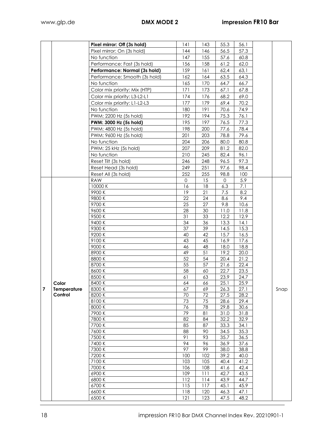|                |                        | Pixel mirror: Off (3s hold)   | 141        | 143       | 55.3         | 56.1         |      |
|----------------|------------------------|-------------------------------|------------|-----------|--------------|--------------|------|
|                |                        | Pixel mirror: On (3s hold)    | 144        | 146       | 56.5         | 57.3         |      |
|                |                        | No function                   | 147        | 155       | 57.6         | 60.8         |      |
|                |                        | Performance: Fast (3s hold)   | 156        | 158       | 61,2         | 62,0         |      |
|                |                        | Performance: Normal (3s hold) | 159        | 161       | 62,4         | 63,1         |      |
|                |                        | Performance: Smooth (3s hold) | 162        | 164       | 63.5         | 64.3         |      |
|                |                        |                               |            |           |              |              |      |
|                |                        | No function                   | 165        | 170       | 64.7         | 66.7         |      |
|                |                        | Color mix priority: Mix (HTP) | 171        | 173       | 67.1         | 67.8         |      |
|                |                        | Color mix priority: L3-L2-L1  | 174        | 176       | 68.2         | 69.0         |      |
|                |                        | Color mix priority: L1-L2-L3  | 177        | 179       | 69.4         | 70.2         |      |
|                |                        | No function                   | 180        | 191       | 70.6         | 74.9         |      |
|                |                        | PWM: 2200 Hz (5s hold)        | 192        | 194       | 75.3         | 76.1         |      |
|                |                        | PWM: 3000 Hz (5s hold)        | 195        | 197       | 76.5         | 77.3         |      |
|                |                        | PWM: 4800 Hz (5s hold)        | 198        | 200       | 77.6         | 78.4         |      |
|                |                        | PWM: 9600 Hz (5s hold)        | 201        | 203       | 78.8         | 79.6         |      |
|                |                        | No function                   | 204        | 206       | 80.0         | 80.8         |      |
|                |                        | PWM: 25 kHz (5s hold)         | 207        | 209       | 81.2         | 82.0         |      |
|                |                        | No function                   | 210        | 245       | 82.4         | 96.1         |      |
|                |                        |                               |            |           |              | 97.3         |      |
|                |                        | Reset Tilt (3s hold)          | 246        | 248       | 96.5         |              |      |
|                |                        | Reset Head (3s hold)          | 249        | 251       | 97.6         | 98.4         |      |
|                |                        | Reset All (3s hold)           | 252        | 255       | 98.8         | 100          |      |
|                |                        | <b>RAW</b>                    | $\Omega$   | 15        | 0            | 5.9          |      |
|                |                        | 10000 K                       | 16         | 18        | 6.3          | 7.1          |      |
|                |                        | 9900K                         | 19         | 21        | 7.5          | 8.2          |      |
|                |                        | 9800K                         | 22         | 24        | 8.6          | 9.4          |      |
|                |                        | 9700K                         | 25         | 27        | 9.8          | 10.6         |      |
|                |                        | 9600K                         | 28         | 30        | 11.0         | 11.8         |      |
|                |                        | 9500 K                        | 31         | 33        | 12.2         | 12.9         |      |
|                |                        | 9400K                         | 34         | 36        | 13.3         | 14.1         |      |
|                |                        | 9300 K                        | 37         | 39        | 14.5         | 15.3         |      |
|                |                        | 9200K                         | 40         | 42        | 15.7         | 16.5         |      |
|                |                        | 9100K                         | 43         | 45        | 16.9         | 17.6         |      |
|                |                        | 9000 K                        | 46         | 48        | 18.0         | 18.8         |      |
|                |                        | 8900K                         | 49<br>52   | 51        | 19.2         | 20.0         |      |
|                |                        | 8800K                         |            | 54        | 20.4         | 21.2         |      |
|                |                        | 8700K                         | 55         | 57        | 21.6         | 22.4         |      |
|                |                        | 8600K                         | 58         | 60        | 22.7         | 23.5         |      |
|                |                        | 8500 K                        | 61         | 63        | 23.9         | 24.7         |      |
|                | Color                  | 8400K                         | 64         | 66        | 25.1         | 25.9         |      |
| $\overline{7}$ | Temperature<br>Control | 8300 K                        | 67         | 69        | 26.3         | 27.1         | Snap |
|                |                        | 8200K                         | 70         | 72        | 27.5         | 28.2         |      |
|                |                        | 8100K                         | 73         | 75        | 28.6         | 29.4         |      |
|                |                        | 8000 K                        | 76         | 78        | 29.8         | 30.6<br>31.8 |      |
|                |                        | 7900 K                        | 79         | 81        | 31.0         |              |      |
|                |                        | 7800 K                        | 82         | 84        | 32.2         | 32.9         |      |
|                |                        | 7700 K                        | 85         | 87        | 33.3         | 34.1         |      |
|                |                        | 7600 K<br>7500 K              | 88<br>91   | 90        | 34.5         | 35.3         |      |
|                |                        |                               | 94         | 93        | 35.7         | 36.5         |      |
|                |                        | 7400 K                        | 97         | 96        | 36.9         | 37.6         |      |
|                |                        | 7300 K<br>7200 K              |            | 99<br>102 | 38.0         | 38.8         |      |
|                |                        | 7100K                         | 100<br>103 | 105       | 39.2<br>40.4 | 40.0<br>41.2 |      |
|                |                        | 7000 K                        | 106        | 108       | 41.6         | 42.4         |      |
|                |                        | 6900K                         | 109        | 111       | 42.7         | 43.5         |      |
|                |                        | 6800K                         | 112        | 114       | 43.9         | 44.7         |      |
|                |                        | 6700 K                        | 115        | 117       | 45.1         | 45.9         |      |
|                |                        | 6600K                         | 118        | 120       | 46.3         | 47.1         |      |
|                |                        | 6500 K                        | 121        | 123       | 47.5         | 48.2         |      |
|                |                        |                               |            |           |              |              |      |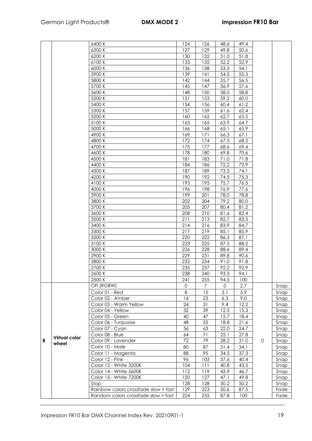|   |                      | 6400 K                                  | 124         | 126 | 48.6         | 49.4 |   |      |
|---|----------------------|-----------------------------------------|-------------|-----|--------------|------|---|------|
|   |                      | 6300 K                                  | 127         | 129 | 49.8         | 50.6 |   |      |
|   |                      | 6200K                                   | 130         | 132 | 51.0         | 51.8 |   |      |
|   |                      | 6100K                                   | 133         | 135 | 52.2         | 52.9 |   |      |
|   |                      | 6000 K                                  | 136         | 138 | 53.3         | 54.1 |   |      |
|   |                      | 5900 K                                  | 139         | 141 | 54.5         | 55.3 |   |      |
|   |                      |                                         |             |     | 55.7         |      |   |      |
|   |                      | 5800 K                                  | 142         | 144 |              | 56.5 |   |      |
|   |                      | 5700 K                                  | 145         | 147 | 56.9         | 57.6 |   |      |
|   |                      | 5600 K                                  | 148         | 150 | 58.0         | 58.8 |   |      |
|   |                      | 5500 K                                  | 151         | 153 | 59.2         | 60.0 |   |      |
|   |                      | 5400 K                                  | 154         | 156 | 60.4         | 61.2 |   |      |
|   |                      | 5300 K                                  | 157         | 159 | 61.6         | 62.4 |   |      |
|   |                      | 5200 K                                  | 160         | 162 | 62.7         | 63.5 |   |      |
|   |                      | 5100 K                                  | 163         | 165 | 63.9         | 64.7 |   |      |
|   |                      | 5000 K                                  | 166         | 168 | 65.1         | 65.9 |   |      |
|   |                      | 4900 K                                  | 169         | 171 | 66.3         | 67.1 |   |      |
|   |                      | 4800 K                                  | 172         | 174 | 67.5         | 68.2 |   |      |
|   |                      | 4700 K                                  | 175         | 177 | 68.6         | 69.4 |   |      |
|   |                      | 4600K                                   | 178         | 180 | 69.8         | 70.6 |   |      |
|   |                      |                                         |             |     |              |      |   |      |
|   |                      | 4500 K                                  | 181         | 183 | 71.0         | 71.8 |   |      |
|   |                      | 4400 K                                  | 184         | 186 | 72.2         | 72.9 |   |      |
|   |                      | 4300 K                                  | 187         | 189 | 73.3         | 74.1 |   |      |
|   |                      | 4200 K                                  | 190         | 192 | 74.5         | 75.3 |   |      |
|   |                      | 4100 K                                  | 193         | 195 | 75.7         | 76.5 |   |      |
|   |                      | 4000 K                                  | 196         | 198 | 76.9         | 77.6 |   |      |
|   |                      | 3900K                                   | 199         | 201 | 78.0         | 78.8 |   |      |
|   |                      | 3800 K                                  | 202         | 204 | 79.2         | 80.0 |   |      |
|   |                      | 3700 K                                  | 205         | 207 | 80.4         | 81.2 |   |      |
|   |                      | 3600 K                                  | 208         | 210 | 81.6         | 82.4 |   |      |
|   |                      | 3500 K                                  | 211         | 213 | 82.7         | 83.5 |   |      |
|   |                      | 3400 K                                  | 214         | 216 | 83.9         | 84.7 |   |      |
|   |                      | 3300 K                                  | 217         | 219 | 85.1         | 85.9 |   |      |
|   |                      | 3200 K                                  | 220         | 222 | 86.3         | 87.1 |   |      |
|   |                      | 3100 K                                  | 223         | 225 | 87.5         | 88.2 |   |      |
|   |                      |                                         |             |     |              |      |   |      |
|   |                      | 3000 K                                  | 226         | 228 | 88.6         | 89.4 |   |      |
|   |                      | 2900 K                                  | 229         | 231 | 89.8         | 90.6 |   |      |
|   |                      | 2800K                                   | 232         | 234 | 91.0         | 91.8 |   |      |
|   |                      | 2700 K                                  | 235         | 237 | 92.2         | 92.9 |   |      |
|   |                      | 2600 K                                  | 238         | 240 | 93.3         | 94.1 |   |      |
|   |                      | 2500 K                                  | 241         | 255 | 94.5         | 100  |   |      |
|   |                      | Off (RGBW)                              | $\mathbf 0$ | 7   | 0            | 2.7  |   | Snap |
|   |                      | Color 01 - Red                          | $\,8\,$     | 15  | 3.1          | 5.9  |   | Snap |
|   |                      | Color 02 - Amber                        | 16          | 23  | 6.3          | 9.0  |   | Snap |
|   |                      | Color 03 - Warm Yellow                  | 24          | 31  | 9.4          | 12.2 |   | Snap |
|   |                      | Color 04 - Yellow                       | 32          | 39  | 12.5         | 15.3 |   | Snap |
|   |                      | Color 05 - Green                        | 40          | 47  | 15.7         | 18.4 |   | Snap |
|   |                      |                                         | 48          | 55  |              | 21.6 |   |      |
|   |                      | Color 06 - Turquoise<br>Color 07 - Cyan | 56          | 63  | 18.8<br>22.0 | 24.7 |   | Snap |
|   |                      |                                         |             |     |              |      |   | Snap |
|   | <b>Virtual color</b> | Color 08 - Blue                         | 64          | 71  | 25.1         | 27.8 |   | Snap |
| 8 | wheel                | Color 09 - Lavender                     | 72          | 79  | 28.2         | 31.0 | 0 | Snap |
|   |                      | Color 10 - Male                         | 80          | 87  | 31.4         | 34.1 |   | Snap |
|   |                      | Color 11 - Magenta                      | 88          | 95  | 34.5         | 37.3 |   | Snap |
|   |                      | Color 12 - Pink                         | 96          | 103 | 37.6         | 40.4 |   | Snap |
|   |                      | Color 13 - White 3200K                  | 104         | 111 | 40.8         | 43.5 |   | Snap |
|   |                      | Color 14 - White 5600K                  | 112         | 119 | 43.9         | 46.7 |   | Snap |
|   |                      | Color 15 - White 7200K                  | 120         | 127 | 47.1         | 49.8 |   | Snap |
|   |                      | Stop                                    | 128         | 128 | 50.2         | 50.2 |   | Snap |
|   |                      | Rainbow colors crossfade slow > fast    | 129         | 223 | 50.6         | 87.5 |   | Fade |
|   |                      | Random colors crossfade slow > fast     | 224         | 255 | 87.8         | 100  |   | Fade |
|   |                      |                                         |             |     |              |      |   |      |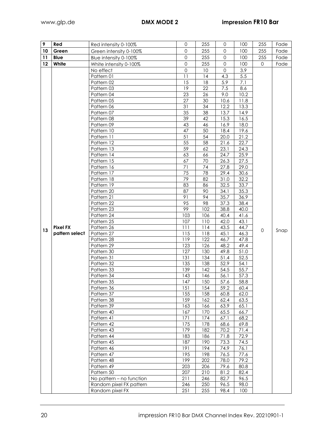| 9  | Red             | Red intensity 0-100%     | $\mathbf{O}$ | 255        | $\mathbf 0$  | 100          | 255          | Fade |
|----|-----------------|--------------------------|--------------|------------|--------------|--------------|--------------|------|
| 10 | Green           | Green intensity 0-100%   | $\Omega$     | 255        | $\Omega$     | 100          | 255          | Fade |
| 11 | Blue            | Blue intensity 0-100%    | $\Omega$     | 255        | $\mathbf 0$  | 100          | 255          | Fade |
| 12 | White           | White intensity 0-100%   | $\mathbf 0$  | 255        | $\Omega$     | 100          | $\mathbf{O}$ | Fade |
|    |                 | No effect                | $\mathbf 0$  | 10         | $\Omega$     | 3.9          |              |      |
|    |                 | Pattern 01               | 11           | 14         | 4.3          | 5.5          |              |      |
|    |                 | Pattern 02               | 15           | 18         | 5.9          | 7.1          |              |      |
|    |                 | Pattern 03               | 19           | 22         | 7.5          | 8.6          |              |      |
|    |                 | Pattern 04               | 23           | 26         | 9.0          | 10.2         |              |      |
|    |                 | Pattern 05               | 27           | 30         | 10.6         | 11.8         |              |      |
|    |                 | Pattern 06               | 31           | 34         | 12.2         | 13.3         |              |      |
|    |                 | Pattern 07               | 35           | 38         | 13.7         | 14.9         |              |      |
|    |                 | Pattern 08               | 39           | 42         | 15.3         | 16.5         |              |      |
|    |                 | Pattern 09               | 43           | 46         | 16.9         | 18.0         |              |      |
|    |                 | Pattern 10               | 47           | 50         | 18.4         | 19.6         |              |      |
|    |                 | Pattern 11               | 51           | 54         | 20.0         | 21.2         |              |      |
|    |                 | Pattern 12               | 55           | 58         | 21.6         | 22.7         |              |      |
|    |                 | Pattern 13               | 59<br>63     | 62<br>66   | 23.1<br>24.7 | 24.3<br>25.9 |              |      |
|    |                 | Pattern 14               | 67           | 70         |              | 27.5         |              |      |
|    |                 | Pattern 15<br>Pattern 16 | 71           | 74         | 26.3<br>27.8 | 29.0         |              |      |
|    |                 | Pattern 17               | 75           | 78         | 29.4         | 30.6         |              |      |
|    |                 | Pattern 18               | 79           | 82         | 31.0         | 32.2         |              |      |
|    |                 | Pattern 19               | 83           | 86         | 32.5         | 33.7         |              |      |
|    |                 | Pattern 20               | 87           | 90         | 34.1         | 35.3         |              |      |
|    |                 | Pattern 21               | 91           | 94         | 35.7         | 36.9         |              |      |
|    |                 | Pattern 22               | 95           | 98         | 37.3         | 38.4         |              |      |
|    |                 | Pattern 23               | 99           | 102        | 38.8         | 40.0         |              |      |
|    |                 | Pattern 24               | 103          | 106        | 40.4         | 41.6         |              |      |
|    |                 | Pattern 25               | 107          | 110        | 42.0         | 43.1         |              |      |
|    | <b>Pixel FX</b> | Pattern 26               | 111          | 114        | 43.5         | 44.7         |              |      |
| 13 | pattern select  | Pattern 27               | 115          | 118        | 45.1         | 46.3         | 0            | Snap |
|    |                 | Pattern 28               | 119          | 122        | 46.7         | 47.8         |              |      |
|    |                 | Pattern 29               | 123          | 126        | 48.2         | 49.4         |              |      |
|    |                 | Pattern 30               | 127          | 130        | 49.8         | 51.0         |              |      |
|    |                 | Pattern 31               | 131          | 134        | 51.4         | 52.5         |              |      |
|    |                 | Pattern 32               | 135          | 138        | 52.9         | 54.1         |              |      |
|    |                 | Pattern 33               | 139          | 142        | 54.5         | 55.7         |              |      |
|    |                 | Pattern 34               | 143          | 146        | 56. I        | 57.3         |              |      |
|    |                 | Pattern 35               | 147          | 150        | 57.6         | 58.8         |              |      |
|    |                 | Pattern 36               | 151          | 154        | 59.2         | 60.4         |              |      |
|    |                 | Pattern 37               | 155          | 158        | 60.8         | 62.0         |              |      |
|    |                 | Pattern 38               | 159          | 162        | 62.4         | 63.5         |              |      |
|    |                 | Pattern 39               | 163          | 166        | 63.9         | 65.1         |              |      |
|    |                 | Pattern 40               | 167          | 170        | 65.5         | 66.7         |              |      |
|    |                 | Pattern 41               | 171<br>175   | 174        | 67.1         | 68.2         |              |      |
|    |                 | Pattern 42<br>Pattern 43 | 179          | 178<br>182 | 68.6<br>70.2 | 69.8<br>71.4 |              |      |
|    |                 | Pattern 44               | 183          | 186        | 71.8         | 72.9         |              |      |
|    |                 | Pattern 45               | 187          | 190        | 73.3         | 74.5         |              |      |
|    |                 | Pattern 46               | 191          | 194        | 74.9         | 76.1         |              |      |
|    |                 | Pattern 47               | 195          | 198        | 76.5         | 77.6         |              |      |
|    |                 | Pattern 48               | 199          | 202        | 78.0         | 79.2         |              |      |
|    |                 | Pattern 49               | 203          | 206        | 79.6         | 80.8         |              |      |
|    |                 | Pattern 50               | 207          | 210        | 81.2         | 82.4         |              |      |
|    |                 | No pattern - no function | 211          | 246        | 82.7         | 96.5         |              |      |
|    |                 | Random pixel FX pattern  | 246          | 250        | 96.5         | 98.0         |              |      |
|    |                 | Random pixel FX          | 251          | 255        | 98.4         | 100          |              |      |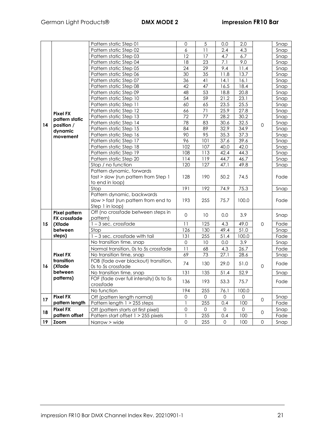|    |                                             | Pattern static Step 01                                | 0                   | 5               | 0.0      | 2.0         |                     | Snap |
|----|---------------------------------------------|-------------------------------------------------------|---------------------|-----------------|----------|-------------|---------------------|------|
|    |                                             | Pattern static Step 02                                | 6                   | 11              | 2.4      | 4.3         |                     | Snap |
|    |                                             | Pattern static Step 03                                | 12                  | 17              | 4.7      | 6.7         |                     | Snap |
|    |                                             | Pattern static Step 04                                | 18                  | 23              | 7.1      | 9.0         |                     | Snap |
|    |                                             | Pattern static Step 05                                | 24                  | 29              | 9.4      | $11.4$      |                     | Snap |
|    |                                             | Pattern static Step 06                                | 30                  | $\overline{35}$ | 11.8     | 13.7        |                     | Snap |
|    |                                             | Pattern static Step 07                                | 36                  | 41              | 14.1     | 16.1        |                     | Snap |
|    |                                             | Pattern static Step 08                                | 42                  | 47              | 16.5     | 18.4        |                     | Snap |
|    |                                             | Pattern static Step 09                                | 48                  | 53              | 18.8     | 20.8        |                     | Snap |
|    |                                             | Pattern static Step 10                                | 54                  | $\overline{59}$ | 21.2     | 23.1        |                     | Snap |
|    |                                             | Pattern static Step 11                                | 60                  | 65              | 23.5     | 25.5        | $\mathsf{O}\xspace$ | Snap |
|    |                                             | Pattern static Step 12                                | 66                  | 71              | 25.9     | 27.8        |                     | Snap |
|    | <b>Pixel FX</b>                             | Pattern static Step 13                                | 72                  | 77              | 28.2     | 30.2        |                     | Snap |
| 14 | pattern static<br>position /                | Pattern static Step 14                                | 78                  | 83              | 30.6     | 32.5        |                     | Snap |
|    | dynamic                                     | Pattern static Step 15                                | 84                  | 89              | 32.9     | 34.9        |                     | Snap |
|    | movement                                    | Pattern static Step 16                                | 90                  | 95              | 35.3     | 37.3        |                     | Snap |
|    |                                             | Pattern static Step 17                                | 96                  | 101             | 37.6     | 39.6        |                     | Snap |
|    |                                             | Pattern static Step 18                                | 102                 | 107             | 40.0     | 42.0        |                     | Snap |
|    |                                             | Pattern static Step 19                                | 108                 | 113             | 42.4     | 44.3        |                     | Snap |
|    |                                             | Pattern static Step 20                                | 114                 | 119             | 44.7     | 46.7        | $\mathsf{O}\xspace$ | Snap |
|    |                                             | Stop / no function                                    | 120                 | 127             | 47.1     | 49.8        |                     | Snap |
|    |                                             | Pattern dynamic, forwards                             |                     |                 |          |             |                     |      |
|    |                                             | fast > slow (run pattern from Step 1                  | 128                 | 190             | 50.2     | 74.5        |                     | Fade |
|    |                                             | to end in loop)                                       |                     |                 | 74.9     |             |                     |      |
|    |                                             | Stop                                                  | 191                 | 192             |          | 75.3        |                     | Snap |
|    |                                             | Pattern dynamic, backwards                            |                     |                 |          |             |                     |      |
|    |                                             | slow > fast (run pattern from end to                  | 193                 | 255             | 75.7     | 100.0       |                     | Fade |
|    |                                             | Step 1 in loop)<br>Off (no crossfade between steps in |                     |                 |          |             |                     |      |
|    | <b>Pixel pattern</b><br><b>FX</b> crossfade | pattern)                                              | $\mathbf 0$         | 10              | 0.0      | 3.9         |                     | Snap |
| 15 | (Xfade                                      | $1 - 3$ sec. crossfade                                | 11                  | 125             | 4.3      | 49.0        |                     | Fade |
|    | between                                     | Stop                                                  | 126                 | 130             | 49.4     | 51.0        |                     | Snap |
|    | steps)                                      | 1-3 sec. crossfade with tail                          | 131                 | 255             | 51.4     | 100.0       |                     | Fade |
|    |                                             | No transition time, snap                              | $\mathsf{O}\xspace$ | 10              | 0.0      | 3.9         |                     | Snap |
|    |                                             | Normal transition, 0s to 5s crossfade                 | 11                  | 68              | 4.3      | 26.7        |                     | Fade |
|    | <b>Pixel FX</b>                             | No transition time, snap                              | 69                  | 73              | 27.1     | 28.6        |                     | Snap |
|    | transition                                  | FOB (fade over blackout) transition,                  |                     |                 |          |             |                     |      |
| 16 | (Xfade                                      | Os to 5s crossfade                                    | 74                  | 130             | 29.0     | 51.0        | $\mathsf{O}\xspace$ | Fade |
|    | between                                     | No transition time, snap                              | 131                 | 135             | 51.4     | 52.9        |                     | Snap |
|    | patterns)                                   | FOF (fade over full intensity) 0s to 5s               |                     |                 |          |             |                     |      |
|    |                                             | crossfade                                             | 136                 | 193             | 53.3     | 75.7        |                     | Fade |
|    |                                             | No function                                           | 194                 | 255             | 76.1     | 100.0       |                     |      |
| 17 | <b>Pixel FX</b>                             | Off (pattern length normal)                           | 0                   | $\Omega$        | $\Omega$ | 0           |                     | Snap |
|    | pattern length                              | Pattern length 1 > 255 steps                          | 1                   | 255             | 0.4      | 100         | $\mathbf 0$         | Fade |
|    | <b>Pixel FX</b>                             | Off (pattern starts at first pixel)                   | 0                   | 0               | $\Omega$ | $\mathbf 0$ | $\mathbf{O}$        | Snap |
| 18 | pattern offset                              | Pattern start offset 1 > 255 pixels                   | 1                   | 255             | 0.4      | 100         |                     | Fade |
| 19 | <b>Zoom</b>                                 | Narrow > wide                                         | $\mathsf{O}\xspace$ | 255             | 0        | 100         | $\mathsf{O}\xspace$ | Snap |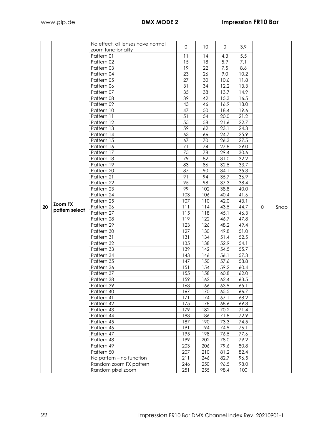|    |                | No effect, all lenses have normal |                 |                 |              |      |             |      |
|----|----------------|-----------------------------------|-----------------|-----------------|--------------|------|-------------|------|
|    |                | zoom functionality                | $\Omega$        | 10 <sup>°</sup> | $\mathbf{0}$ | 3.9  |             |      |
|    |                | Pattern 01                        | 11              | 14              | 4.3          | 5.5  |             |      |
|    |                | Pattern 02                        | 15              | 18              | 5.9          | 7.1  |             |      |
|    |                | Pattern 03                        | 19              | 22              | 7.5          | 8.6  |             |      |
|    |                | Pattern 04                        | 23              | 26              | 9.0          | 10.2 |             |      |
|    |                | Pattern 05                        | 27              | 30              | 10.6         | 11.8 |             |      |
|    |                | Pattern 06                        | 31              | 34              | 12.2         | 13.3 |             |      |
|    |                | Pattern 07                        | 35              | 38              | 13.7         | 14.9 |             |      |
|    |                | Pattern 08                        | 39              | 42              | 15.3         | 16.5 |             |      |
|    |                | Pattern 09                        | 43              | 46              | 16.9         | 18.0 |             |      |
|    |                | Pattern 10                        | 47              | 50              | 18.4         | 19.6 |             |      |
|    |                | Pattern 11                        | $\overline{51}$ | 54              | 20.0         | 21.2 |             |      |
|    |                | Pattern 12                        | 55              | 58              | 21.6         | 22.7 |             |      |
|    |                | Pattern 13                        | 59              | 62              | 23.1         | 24.3 |             |      |
|    |                | Pattern 14                        | 63              | 66              | 24.7         | 25.9 |             |      |
|    |                | Pattern 15                        | 67              | 70              | 26.3         | 27.5 |             |      |
|    |                | Pattern 16                        | 71              | 74              | 27.8         | 29.0 |             |      |
|    |                | Pattern 17                        | 75              | 78              | 29.4         | 30.6 |             |      |
|    |                | Pattern 18                        | 79              | 82              | 31.0         | 32.2 |             |      |
|    |                | Pattern 19                        | 83              | 86              | 32.5         | 33.7 |             |      |
|    |                | Pattern 20                        | 87              | 90              | 34.1         | 35.3 |             |      |
|    |                | Pattern 21                        | 91              | 94              | 35.7         | 36.9 |             |      |
|    |                | Pattern 22                        | 95              | 98              | 37.3         | 38.4 |             |      |
|    |                | Pattern 23                        | 99              | 102             | 38.8         | 40.0 |             |      |
|    |                | Pattern 24                        | 103             | 106             | 40.4         | 41.6 |             |      |
|    | <b>Zoom FX</b> | Pattern 25                        | 107             | 110             | 42.0         | 43.1 |             |      |
| 20 | pattern select | Pattern 26                        | 111             | 114             | 43.5         | 44.7 | $\mathbf 0$ | Snap |
|    |                | Pattern 27                        | 115             | 118             | 45.1         | 46.3 |             |      |
|    |                | Pattern 28                        | 119             | 122             | 46.7         | 47.8 |             |      |
|    |                | Pattern 29                        | 123             | 126             | 48.2         | 49.4 |             |      |
|    |                | Pattern 30                        | 127             | 130             | 49.8         | 51.0 |             |      |
|    |                | Pattern 31                        | 131             | 134             | 51.4         | 52.5 |             |      |
|    |                | Pattern 32                        | 135             | 138             | 52.9         | 54.1 |             |      |
|    |                | Pattern 33                        | 139             | 142             | 54.5         | 55.7 |             |      |
|    |                | Pattern 34                        | 143             | 146             | 56.1         | 57.3 |             |      |
|    |                | Pattern 35                        | 147             | 150             | 57.6         | 58.8 |             |      |
|    |                | Pattern 36                        | 151             | 154             | 59.2         | 60.4 |             |      |
|    |                | Pattern 37                        | 155             | 158             | 60.8         | 62.0 |             |      |
|    |                | Pattern 38                        | 159             | 162             | 62.4         | 63.5 |             |      |
|    |                | Pattern 39                        | 163             | 166             | 63.9         | 65.1 |             |      |
|    |                | Pattern 40                        | 167             | 170             | 65.5         | 66.7 |             |      |
|    |                | Pattern 41                        | 171             | 174             | 67.1         | 68.2 |             |      |
|    |                | Pattern 42                        | 175             | 178             | 68.6         | 69.8 |             |      |
|    |                | Pattern 43                        | 179             | 182             | 70.2         | 71.4 |             |      |
|    |                | Pattern 44                        | 183             | 186             | 71.8         | 72.9 |             |      |
|    |                | Pattern 45                        | 187             | 190             | 73.3         | 74.5 |             |      |
|    |                | Pattern 46                        | 191             | 194             | 74.9         | 76.1 |             |      |
|    |                | Pattern 47                        | 195             | 198             | 76.5         | 77.6 |             |      |
|    |                | Pattern 48                        | 199             | 202             | 78.0         | 79.2 |             |      |
|    |                | Pattern 49                        | 203             | 206             | 79.6         | 80.8 |             |      |
|    |                | Pattern 50                        | 207             | 210             | 81.2         | 82.4 |             |      |
|    |                | No pattern - no function          | 211             | 246             | 82.7         | 96.5 |             |      |
|    |                | Random zoom FX pattern            | 246             | 250             | 96.5         | 98.0 |             |      |
|    |                | Random pixel zoom                 | 251             | 255             | 98.4         | 100  |             |      |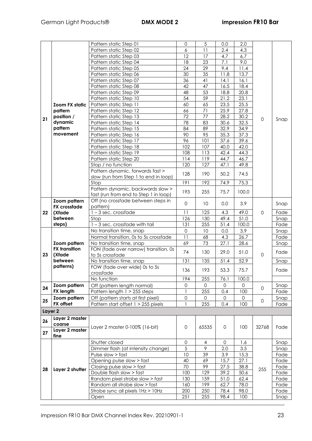|         |                      | Pattern static Step 01                | 0                     | $\sqrt{5}$      | 0.0          | 2.0    |              |      |
|---------|----------------------|---------------------------------------|-----------------------|-----------------|--------------|--------|--------------|------|
|         |                      | Pattern static Step 02                | $\boldsymbol{6}$      | 11              | 2.4          | 4.3    |              |      |
|         |                      | Pattern static Step 03                | 12                    | 17              | 4.7          | 6.7    |              |      |
|         |                      | Pattern static Step 04                | 18                    | 23              | 7.1          | 9.0    |              |      |
|         |                      | Pattern static Step 05                | 24                    | 29              | 9.4          | $11.4$ |              |      |
|         |                      | Pattern static Step 06                | 30                    | 35              | 11.8         | 13.7   |              |      |
|         |                      | Pattern static Step 07                | 36                    | 41              | 14.1         | 16.1   |              |      |
|         |                      | Pattern static Step 08                | 42                    | 47              | 16.5         | 18.4   |              |      |
|         |                      |                                       |                       | 53              |              |        |              |      |
|         |                      | Pattern static Step 09                | 48<br>$\overline{54}$ | $\overline{59}$ | 18.8         | 20.8   |              |      |
|         |                      | Pattern static Step 10                |                       |                 | 21.2         | 23.1   |              |      |
|         | Zoom FX static       | Pattern static Step 11                | 60                    | 65              | 23.5         | 25.5   |              |      |
|         | pattern              | Pattern static Step 12                | 66                    | 71              | 25.9         | 27.8   |              |      |
| 21      | position /           | Pattern static Step 13                | 72                    | $\overline{77}$ | 28.2         | 30.2   | 0            | Snap |
|         | dynamic              | Pattern static Step 14                | 78                    | 83              | 30.6         | 32.5   |              |      |
|         | pattern              | Pattern static Step 15                | 84                    | 89              | 32.9         | 34.9   |              |      |
|         | movement             | Pattern static Step 16                | 90                    | 95              | 35.3         | 37.3   |              |      |
|         |                      | Pattern static Step 17                | 96                    | 101             | 37.6         | 39.6   |              |      |
|         |                      | Pattern static Step 18                | 102                   | 107             | 40.0         | 42.0   |              |      |
|         |                      | Pattern static Step 19                | 108                   | 113             | 42.4         | 44.3   |              |      |
|         |                      | Pattern static Step 20                | 114                   | 119             | 44.7         | 46.7   |              |      |
|         |                      |                                       |                       |                 |              |        |              |      |
|         |                      | Stop / no function                    | 120                   | 127             | 47.1         | 49.8   |              |      |
|         |                      | Pattern dynamic, forwards fast >      | 128                   | 190             | 50.2         | 74.5   |              |      |
|         |                      | slow (run from Step 1 to end in loop) |                       |                 |              |        |              |      |
|         |                      | Stop                                  | 191                   | 192             | 74.9         | 75.3   |              |      |
|         |                      | Pattern dynamic, backwards slow >     | 193                   | 255             | 75.7         | 100.0  |              |      |
|         |                      | fast (run from end to Step 1 in loop) |                       |                 |              |        |              |      |
|         | Zoom pattern         | Off (no crossfade between steps in    | 0                     | 10              | 0.0          | 3.9    |              | Snap |
|         | <b>FX</b> crossfade  | pattern)                              |                       |                 |              |        |              |      |
| 22      | (Xfade               | $1 - 3$ sec. crossfade                | 11                    | 125             | 4.3          | 49.0   | 0            | Fade |
|         | between              | Stop                                  | 126                   | 130             | 49.4         | 51.0   |              | Snap |
|         | steps)               | 1-3 sec. crossfade with tail          | 131                   | 255             | 51.4         | 100.0  |              | Fade |
|         |                      | No transition time, snap              | $\mathbf 0$           | 10              | 0.0          | 3.9    |              | Snap |
|         |                      | Normal transition, 0s to 5s crossfade | 11                    | 68              | 4.3          | 26.7   |              | Fade |
|         | Zoom pattern         | No transition time, snap              | 69                    | 73              | 27.1         | 28.6   |              | Snap |
|         | <b>FX</b> transition |                                       |                       |                 |              |        |              |      |
| 23      | (Xfade               | FON (fade over narrow) transition, 0s | 74                    | 130             | 29.0         | 51.0   | $\mathbf 0$  | Fade |
|         | between              | to 5s crossfade                       |                       |                 |              |        |              |      |
|         |                      | No transition time, snap              | 131                   | 135             | 51.4         | 52.9   |              | Snap |
|         | patterns)            | FOW (fade over wide) 0s to 5s         | 136                   | 193             | 53.3         | 75.7   |              | Fade |
|         |                      | crossfade                             |                       |                 |              |        |              |      |
|         |                      | No function                           | 194                   | 255             | 76.1         | 100.0  |              |      |
| 24      | Zoom pattern         | Off (pattern length normal)           | $\mathsf{O}\xspace$   | 0               | 0            | 0      | $\mathbf{0}$ | Snap |
|         | <b>FX length</b>     | Pattern length 1 > 255 steps          | 1                     | 255             | 0.4          | 100    |              | Fade |
|         | Zoom pattern         | Off (pattern starts at first pixel)   | $\mathsf O$           | 0               | $\mathbf{0}$ | 0      |              | Snap |
| 25      | FX offset            | Pattern start offset 1 > 255 pixels   | 1                     | 255             | 0.4          | 100    | 0            | Fade |
| Layer 2 |                      |                                       |                       |                 |              |        |              |      |
|         |                      |                                       |                       |                 |              |        |              |      |
| 26      | Layer 2 master       |                                       |                       |                 |              |        |              |      |
|         | coarse               | Layer 2 master 0-100% (16-bit)        | $\mathsf{O}\xspace$   | 65535           | $\mathbf 0$  | 100    | 32768        | Fade |
| 27      | Layer 2 master       |                                       |                       |                 |              |        |              |      |
|         | fine                 |                                       |                       |                 |              |        |              |      |
|         |                      | Shutter closed                        | $\mathsf{O}\xspace$   | 4               | $\mathbf 0$  | 1.6    |              | Snap |
|         |                      | Dimmer flash (at intensity change)    | 5                     | $\mathcal{P}$   | 2.0          | 3.5    |              | Snap |
|         |                      | Pulse slow > fast                     | 10                    | 39              | 3.9          | 15.3   |              | Fade |
|         |                      | Opening pulse slow > fast             | 40                    | 69              | 15.7         | 27.1   |              | Fade |
|         |                      | Closing pulse slow > fast             | 70                    | 99              | 27.5         | 38.8   |              | Fade |
| 28      | Layer 2 shutter      | Double flash slow > fast              | 100                   | 129             | 39.2         | 50.6   | 255          | Fade |
|         |                      | Random pixel strobe slow > fast       | 130                   | 159             | 51.0         | 62.4   |              | Fade |
|         |                      | Random all strobe slow > fast         | 160                   | 199             | 62.7         | 78.0   |              | Fade |
|         |                      | Strobe sync all pixels 1Hz > 10Hz     | 200                   | 250             | 78.4         | 98.0   |              | Fade |
|         |                      |                                       |                       |                 |              |        |              |      |
|         |                      | Open                                  | 251                   | 255             | 98.4         | 100    |              | Snap |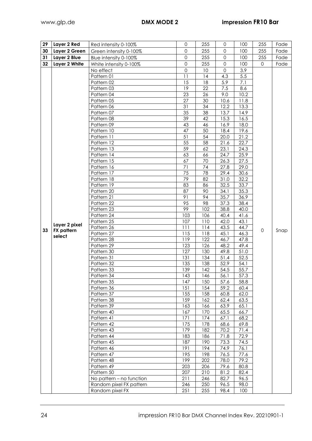| 29 | Layer 2 Red       | Red intensity 0-100%                                | $\mathbf{0}$     | 255                     | 0            | 100          | 255                 | Fade |
|----|-------------------|-----------------------------------------------------|------------------|-------------------------|--------------|--------------|---------------------|------|
| 30 | Layer 2 Green     | Green intensity 0-100%                              | $\Omega$         | 255                     | $\mathsf{O}$ | 100          | 255                 | Fade |
| 31 | Layer 2 Blue      | Blue intensity 0-100%                               | $\Omega$         | 255                     | $\mathsf{O}$ | 100          | 255                 | Fade |
| 32 | Layer 2 White     | White intensity 0-100%                              | $\mathbf 0$      | 255                     | $\Omega$     | 100          | $\mathbf{O}$        | Fade |
|    |                   | No effect                                           | $\overline{0}$   | 10                      | $\Omega$     | 3.9          |                     |      |
|    |                   | Pattern 01                                          | 11               | 14                      | 4.3          | 5.5          |                     |      |
|    |                   | Pattern 02                                          | 15               | 18                      | 5.9          | 7.1          |                     |      |
|    |                   | Pattern 03                                          | 19               | 22                      | 7.5          | 8.6          |                     |      |
|    |                   | Pattern 04                                          | 23               | 26                      | 9.0          | 10.2         |                     |      |
|    |                   | Pattern 05                                          | 27               | 30                      | 10.6         | 11.8         |                     |      |
|    |                   | Pattern 06                                          | 31               | 34                      | 12.2         | 13.3         |                     |      |
|    |                   | Pattern 07                                          | 35               | 38                      | 13.7         | 14.9         |                     |      |
|    |                   | Pattern 08                                          | 39               | 42                      | 15.3         | 16.5         |                     |      |
|    |                   | Pattern 09                                          | 43               | 46                      | 16.9         | 18.0         |                     |      |
|    |                   | Pattern 10                                          | 47               | 50                      | 18.4         | 19.6         |                     |      |
|    |                   | Pattern 11                                          | 51               | 54                      | 20.0         | 21.2         |                     |      |
|    |                   | Pattern 12                                          | 55               | 58                      | 21.6         | 22.7         |                     |      |
|    |                   | Pattern 13                                          | 59               | 62                      | 23.1         | 24.3         |                     |      |
|    |                   | Pattern 14                                          | 63               | 66                      | 24.7         | 25.9         |                     |      |
|    |                   | Pattern 15                                          | 67               | 70                      | 26.3         | 27.5         |                     |      |
|    |                   | Pattern 16                                          | 71               | 74                      | 27.8         | 29.0         |                     |      |
|    |                   | Pattern 17                                          | 75               | 78                      | 29.4         | 30.6         |                     |      |
|    |                   | Pattern 18                                          | 79               | 82                      | 31.0         | 32.2         |                     |      |
|    |                   | Pattern 19                                          | 83               | 86                      | 32.5         | 33.7         |                     |      |
|    |                   | Pattern 20                                          | 87               | 90                      | 34.1         | 35.3         |                     |      |
|    |                   | Pattern 21                                          | 91               | 94                      | 35.7         | 36.9         |                     |      |
|    |                   | Pattern 22                                          | 95               | 98                      | 37.3         | 38.4         |                     |      |
|    |                   | Pattern 23                                          | 99               | 102                     | 38.8         | 40.0         |                     |      |
|    |                   | Pattern 24<br>Pattern 25                            | 103<br>107       | 106<br>$\overline{110}$ | 40.4<br>42.0 | 41.6<br>43.1 |                     |      |
|    | Layer 2 pixel     | Pattern 26                                          | 111              | 114                     | 43.5         | 44.7         |                     |      |
| 33 | <b>FX</b> pattern | Pattern 27                                          | 115              | 118                     | 45.1         | 46.3         | $\mathsf{O}\xspace$ | Snap |
|    | select            | Pattern 28                                          | 119              | 122                     | 46.7         | 47.8         |                     |      |
|    |                   | Pattern 29                                          | 123              | 126                     | 48.2         | 49.4         |                     |      |
|    |                   | Pattern 30                                          | 127              | 130                     | 49.8         | 51.0         |                     |      |
|    |                   | Pattern 31                                          | 131              | 134                     | 51.4         | 52.5         |                     |      |
|    |                   | Pattern 32                                          | 135              | 138                     | 52.9         | 54.1         |                     |      |
|    |                   | Pattern 33                                          | 139              | 142                     | 54.5         | 55.7         |                     |      |
|    |                   | Pattern 34                                          | $\overline{143}$ | 146                     | 56.1         | 57.3         |                     |      |
|    |                   | Pattern 35                                          | 147              | 150                     | 57.6         | 58.8         |                     |      |
|    |                   | Pattern 36                                          | 151              | 154                     | 59.2         | 60.4         |                     |      |
|    |                   | Pattern 37                                          | 155              | 158                     | 60.8         | 62.0         |                     |      |
|    |                   | Pattern 38                                          | 159              | 162                     | 62.4         | 63.5         |                     |      |
|    |                   | Pattern 39                                          | 163              | 166                     | 63.9         | 65.1         |                     |      |
|    |                   | Pattern 40                                          | 167              | 170                     | 65.5         | 66.7         |                     |      |
|    |                   | Pattern 41                                          | 171              | 174                     | 67.1         | 68.2         |                     |      |
|    |                   | Pattern 42                                          | 175              | 178                     | 68.6         | 69.8         |                     |      |
|    |                   | Pattern 43                                          | 179              | 182                     | 70.2         | 71.4         |                     |      |
|    |                   | Pattern 44                                          | 183              | 186                     | 71.8         | 72.9         |                     |      |
|    |                   | Pattern 45                                          | 187              | 190                     | 73.3         | 74.5         |                     |      |
|    |                   | Pattern 46                                          | 191              | 194                     | 74.9         | 76.1         |                     |      |
|    |                   | Pattern 47                                          | 195              | 198                     | 76.5         | 77.6         |                     |      |
|    |                   | Pattern 48                                          | 199              | 202                     | 78.0         | 79.2         |                     |      |
|    |                   | Pattern 49                                          | 203              | 206                     | 79.6         | 80.8         |                     |      |
|    |                   | Pattern 50                                          | 207<br>211       | 210<br>246              | 81.2<br>82.7 | 82.4<br>96.5 |                     |      |
|    |                   | No pattern - no function<br>Random pixel FX pattern | 246              | 250                     | 96.5         | 98.0         |                     |      |
|    |                   | Random pixel FX                                     | 251              | 255                     | 98.4         | 100          |                     |      |
|    |                   |                                                     |                  |                         |              |              |                     |      |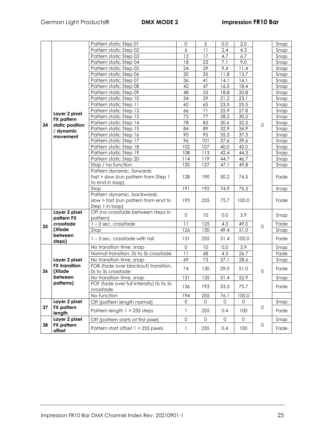|    |                             | Pattern static Step 01                  | 0                   | 5          | 0.0  | 2.0                 |                     | Snap |
|----|-----------------------------|-----------------------------------------|---------------------|------------|------|---------------------|---------------------|------|
|    |                             | Pattern static Step 02                  | 6                   | 11         | 2.4  | 4.3                 |                     | Snap |
|    |                             | Pattern static Step 03                  | 12                  | 17         | 4.7  | 6.7                 |                     | Snap |
|    |                             | Pattern static Step 04                  | 18                  | 23         | 7.1  | 9.0                 |                     | Snap |
|    |                             | Pattern static Step 05                  | 24                  | 29         | 9.4  | 11.4                |                     | Snap |
|    |                             | Pattern static Step 06                  | $\overline{30}$     | 35         | 11.8 | 13.7                |                     | Snap |
|    |                             | Pattern static Step 07                  | 36                  | 41         | 14.1 | 16.1                |                     | Snap |
|    |                             | Pattern static Step 08                  | 42                  | 47         | 16.5 | 18.4                |                     | Snap |
|    |                             | Pattern static Step 09                  | 48                  | 53         | 18.8 | 20.8                |                     | Snap |
|    |                             | Pattern static Step 10                  | $\overline{54}$     | 59         | 21.2 | 23.1                |                     | Snap |
|    |                             | Pattern static Step 11                  | 60                  | 65         | 23.5 | 25.5                | $\mathsf{O}\xspace$ | Snap |
|    |                             | Pattern static Step 12                  | 66                  | 71         | 25.9 | 27.8                |                     | Snap |
|    | Layer 2 pixel               | Pattern static Step 13                  | 72                  | 77         | 28.2 | 30.2                |                     | Snap |
|    | <b>FX</b> pattern           | Pattern static Step 14                  | 78                  | 83         | 30.6 | 32.5                |                     | Snap |
| 34 | static position             | Pattern static Step 15                  | 84                  | 89         | 32.9 | 34.9                |                     | Snap |
|    | / dynamic<br>movement       | Pattern static Step 16                  | 90                  | 95         | 35.3 | 37.3                |                     | Snap |
|    |                             | Pattern static Step 17                  | 96                  | 101        | 37.6 | 39.6                |                     | Snap |
|    |                             | Pattern static Step 18                  | 102                 | 107        | 40.0 | 42.0                |                     | Snap |
|    |                             | Pattern static Step 19                  | 108                 | 113        | 42.4 | 44.3                |                     | Snap |
|    |                             | Pattern static Step 20                  | 114                 |            | 44.7 | 46.7                |                     | Snap |
|    |                             | Stop / no function                      | 120                 | 119<br>127 | 47.1 | 49.8                |                     | Snap |
|    |                             | Pattern dynamic, forwards               |                     |            |      |                     |                     |      |
|    |                             | fast > slow (run pattern from Step 1    | 128                 | 190        | 50.2 | 74.5                |                     | Fade |
|    |                             | to end in loop)                         |                     |            |      |                     |                     |      |
|    |                             | Stop                                    | 191                 | 192        | 74.9 | 75.3                |                     | Snap |
|    |                             | Pattern dynamic, backwards              |                     |            |      |                     |                     |      |
|    |                             | slow > fast (run pattern from end to    | 193                 | 255        | 75.7 | 100.0               |                     | Fade |
|    |                             | Step 1 in loop)                         |                     |            |      |                     |                     |      |
|    | Layer 2 pixel               | Off (no crossfade between steps in      | $\mathbf 0$         |            |      | 3.9                 |                     |      |
|    | pattern FX                  | pattern)                                |                     | 10         | 0.0  |                     |                     | Snap |
| 35 | crossfade                   | $1 - 3$ sec. crossfade                  | 11                  | 125        | 4.3  | 49.0                | $\mathsf O$         | Fade |
|    | (Xfade                      | Stop                                    | 126                 | 130        | 49.4 | 51.0                |                     | Snap |
|    | between                     | $1 - 3$ sec. crossfade with tail        | 131                 | 255        | 51.4 | 100.0               |                     | Fade |
|    | steps)                      |                                         |                     |            |      |                     |                     |      |
|    |                             | No transition time, snap                | $\mathsf{O}\xspace$ | 10         | 0.0  | 3.9                 |                     | Snap |
|    |                             | Normal transition, 0s to 5s crossfade   | 11                  | 68         | 4.3  | 26.7                |                     | Fade |
|    | Layer 2 pixel               | No transition time, snap                | 69                  | 73         | 27.1 | 28.6                |                     | Snap |
|    | <b>FX</b> transition        | FOB (fade over blackout) transition,    | 74                  | 130        | 29.0 | 51.0                |                     | Fade |
| 36 | (Xfade                      | Os to 5s crossfade                      |                     |            |      |                     | 0                   |      |
|    | between                     | No transition time, snap                | 131                 | 135        | 51.4 | 52.9                |                     | Snap |
|    | patterns)                   | FOF (fade over full intensity) 0s to 5s | 136                 | 193        | 53.3 | 75.7                |                     | Fade |
|    |                             | crossfade                               |                     |            |      |                     |                     |      |
|    |                             | No function                             | 194                 | 255        | 76.1 | 100.0               |                     |      |
|    | Layer 2 pixel               | Off (pattern length normal)             | 0                   | 0          | 0    | 0                   |                     | Snap |
| 37 | <b>FX</b> pattern<br>length | Pattern length 1 > 255 steps            | 1                   | 255        | 0.4  | 100                 | 0                   | Fade |
|    | Layer 2 pixel               | Off (pattern starts at first pixel)     | $\mathsf{O}$        | 0          | 0    | $\mathsf{O}\xspace$ |                     | Snap |
| 38 | <b>FX</b> pattern<br>offset | Pattern start offset 1 > 255 pixels     | 1                   | 255        | 0.4  | 100                 | 0                   | Fade |
|    |                             |                                         |                     |            |      |                     |                     |      |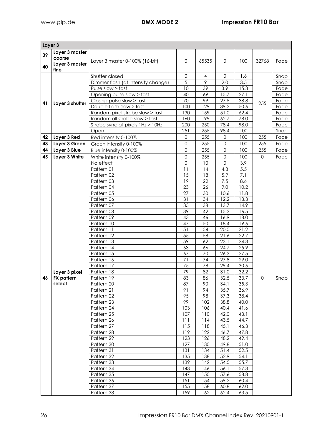|    | Layer 3                  |                                    |              |                |              |              |          |      |  |  |
|----|--------------------------|------------------------------------|--------------|----------------|--------------|--------------|----------|------|--|--|
| 39 | Layer 3 master           |                                    |              |                |              |              |          |      |  |  |
|    | coarse<br>Layer 3 master | Layer 3 master 0-100% (16-bit)     | $\mathbf 0$  | 65535          | $\mathbf{O}$ | 100          | 32768    | Fade |  |  |
| 40 | fine                     |                                    |              |                |              |              |          |      |  |  |
|    |                          | Shutter closed                     | $\mathbf{0}$ | 4              | $\Omega$     | 1.6          |          | Snap |  |  |
|    |                          | Dimmer flash (at intensity change) | 5            | $\overline{9}$ | 2.0          | 3.5          |          | Snap |  |  |
|    |                          | Pulse slow > fast                  | 10           | 39             | 3.9          | 15.3         |          | Fade |  |  |
|    |                          | Opening pulse slow > fast          | 40           | 69             | 15.7         | 27.1         |          | Fade |  |  |
|    |                          | Closing pulse slow > fast          | 70           | 99             | 27.5         | 38.8         |          | Fade |  |  |
| 41 | Layer 3 shutter          | Double flash slow > fast           | 100          | 129            | 39.2         | 50.6         | 255      | Fade |  |  |
|    |                          | Random pixel strobe slow > fast    | 130          | 159            | 51.0         | 62.4         |          | Fade |  |  |
|    |                          | Random all strobe slow > fast      | 160          | 199            | 62.7         | 78.0         |          | Fade |  |  |
|    |                          | Strobe sync all pixels 1Hz > 10Hz  | 200          | 250            | 78.4         | 98.0         |          | Fade |  |  |
|    |                          | Open                               | 251          | 255            | 98.4         | 100          |          | Snap |  |  |
| 42 | Layer 3 Red              | Red intensity 0-100%               | $\mathbf 0$  | 255            | $\mathbf 0$  | 100          | 255      | Fade |  |  |
| 43 | Layer 3 Green            | Green intensity 0-100%             | $\mathbf 0$  | 255            | $\mathbf 0$  | 100          | 255      | Fade |  |  |
| 44 | Layer 3 Blue             | Blue intensity 0-100%              | $\mathbf 0$  | 255            | $\mathbf 0$  | 100          | 255      | Fade |  |  |
| 45 | Layer 3 White            | White intensity 0-100%             | $\mathbf 0$  | 255            | $\mathbf{O}$ | 100          | $\Omega$ | Fade |  |  |
|    |                          | No effect                          | 0            | 10             | 0            | 3.9          |          |      |  |  |
|    |                          | Pattern 01                         | 11           | 14             | 4.3          | $5.5\,$      |          |      |  |  |
|    |                          | Pattern 02                         | 15           | 18             | 5.9          | 7.1          |          |      |  |  |
|    |                          | Pattern 03                         | 19           | 22             | 7.5          | 8.6          |          |      |  |  |
|    |                          | Pattern 04                         | 23           | 26             | 9.0          | 10.2         |          |      |  |  |
|    |                          | Pattern 05                         | 27           | 30             | 10.6         | 11.8         |          |      |  |  |
|    |                          | Pattern 06                         | 31           | 34             | 12.2         | 13.3         |          |      |  |  |
|    |                          | Pattern 07                         | 35           | 38             | 13.7         | 14.9         |          |      |  |  |
|    |                          | Pattern 08                         | 39           | 42             | 15.3         | 16.5         |          |      |  |  |
|    |                          | Pattern 09                         | 43<br>47     | 46<br>50       | 16.9         | 18.0<br>19.6 |          |      |  |  |
|    |                          | Pattern 10<br>Pattern 11           | 51           | 54             | 18.4<br>20.0 | 21.2         |          |      |  |  |
|    |                          | Pattern 12                         | 55           | 58             | 21.6         | 22.7         |          |      |  |  |
|    |                          | Pattern 13                         | 59           | 62             | 23.1         | 24.3         |          |      |  |  |
|    |                          | Pattern 14                         | 63           | 66             | 24.7         | 25.9         |          |      |  |  |
|    |                          | Pattern 15                         | 67           | 70             | 26.3         | 27.5         |          |      |  |  |
|    |                          | Pattern 16                         | 71           | 74             | 27.8         | 29.0         |          |      |  |  |
|    |                          | Pattern 17                         | 75           | 78             | 29.4         | 30.6         |          |      |  |  |
|    | Layer 3 pixel            | Pattern 18                         | 79           | 82             | 31.0         | 32.2         |          |      |  |  |
| 46 | <b>FX</b> pattern        | Pattern 19                         | 83           | 86             | 32.5         | 33.7         | 0        | Snap |  |  |
|    | select                   | Pattern 20                         | 87           | 90             | 34.1         | 35.3         |          |      |  |  |
|    |                          | Pattern 21                         | 91           | 94             | 35.7         | 36.9         |          |      |  |  |
|    |                          | Pattern 22                         | 95           | 98             | 37.3         | 38.4         |          |      |  |  |
|    |                          | Pattern 23                         | 99           | 102            | 38.8         | 40.0         |          |      |  |  |
|    |                          | Pattern 24                         | 103          | 106            | 40.4         | 41.6         |          |      |  |  |
|    |                          | Pattern 25                         | 107          | 110            | 42.0         | 43.1         |          |      |  |  |
|    |                          | Pattern 26                         | 111          | 114            | 43.5         | 44.7         |          |      |  |  |
|    |                          | Pattern 27                         | 115          | 118            | 45.1         | 46.3         |          |      |  |  |
|    |                          | Pattern 28                         | 119          | 122            | 46.7         | 47.8         |          |      |  |  |
|    |                          | Pattern 29                         | 123          | 126            | 48.2         | 49.4         |          |      |  |  |
|    |                          | Pattern 30<br>Pattern 31           | 127<br>131   | 130<br>134     | 49.8<br>51.4 | 51.0<br>52.5 |          |      |  |  |
|    |                          | Pattern 32                         | 135          | 138            | 52.9         | 54.1         |          |      |  |  |
|    |                          | Pattern 33                         | 139          | 142            | 54.5         | 55.7         |          |      |  |  |
|    |                          | Pattern 34                         | 143          | 146            | 56.1         | 57.3         |          |      |  |  |
|    |                          | Pattern 35                         | 147          | 150            | 57.6         | 58.8         |          |      |  |  |
|    |                          | Pattern 36                         | 151          | 154            | 59.2         | 60.4         |          |      |  |  |
|    |                          | Pattern 37                         | 155          | 158            | 60.8         | 62.0         |          |      |  |  |
|    |                          | Pattern 38                         | 159          | 162            | 62.4         | 63.5         |          |      |  |  |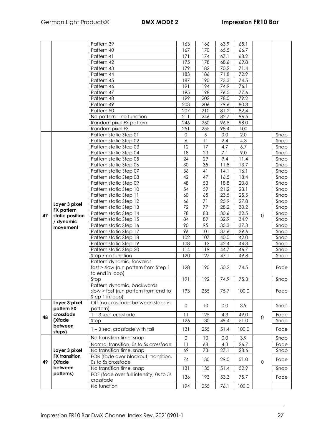|    |                      | Pattern 39                              | 163                 | 166        | 63.9 | 65.1  |                     |              |
|----|----------------------|-----------------------------------------|---------------------|------------|------|-------|---------------------|--------------|
|    |                      | Pattern 40                              | 167                 | 170        | 65.5 | 66.7  |                     |              |
|    |                      | Pattern 41                              | 171                 | 174        |      | 68.2  |                     |              |
|    |                      |                                         |                     |            | 67.1 |       |                     |              |
|    |                      | Pattern 42                              | 175                 | 178        | 68.6 | 69.8  |                     |              |
|    |                      | Pattern 43                              | 179                 | 182        | 70.2 | 71.4  |                     |              |
|    |                      | Pattern 44                              | 183                 | 186        | 71.8 | 72.9  |                     |              |
|    |                      | Pattern 45                              | 187                 | 190        | 73.3 | 74.5  |                     |              |
|    |                      | Pattern 46                              | 191                 | 194        | 74.9 | 76.1  |                     |              |
|    |                      | Pattern 47                              | 195                 | 198        | 76.5 | 77.6  |                     |              |
|    |                      | Pattern 48                              | 199                 | 202        | 78.0 | 79.2  |                     |              |
|    |                      | Pattern 49                              | 203                 | 206        | 79.6 | 80.8  |                     |              |
|    |                      | Pattern 50                              | 207                 | 210        | 81.2 | 82.4  |                     |              |
|    |                      | No pattern - no function                | 211                 | 246        | 82.7 | 96.5  |                     |              |
|    |                      | Random pixel FX pattern                 | 246                 | 250        | 96.5 | 98.0  |                     |              |
|    |                      | Random pixel FX                         | 251                 | 255        | 98.4 | 100   |                     |              |
|    |                      | Pattern static Step 01                  | $\mathsf{O}\xspace$ | $\sqrt{5}$ | 0.0  | 2.0   |                     | Snap         |
|    |                      | Pattern static Step 02                  | $\boldsymbol{6}$    | 11         | 2.4  | 4.3   |                     | Snap         |
|    |                      | Pattern static Step 03                  | 12                  | 17         | 4.7  | 6.7   |                     | Snap         |
|    |                      | Pattern static Step 04                  | 18                  | 23         | 7.1  | 9.0   |                     | Snap         |
|    |                      | Pattern static Step 05                  | 24                  | 29         | 9.4  | 11.4  |                     | Snap         |
|    |                      | Pattern static Step 06                  | 30                  | 35         | 11.8 | 13.7  |                     | Snap         |
|    |                      | Pattern static Step 07                  | 36                  | 41         | 14.1 | 16.1  |                     | Snap         |
|    |                      | Pattern static Step 08                  | 42                  | 47         | 16.5 | 18.4  |                     | Snap         |
|    |                      | Pattern static Step 09                  | 48                  | 53         | 18.8 | 20.8  |                     | Snap         |
|    |                      | Pattern static Step 10                  | 54                  | 59         | 21.2 | 23.1  |                     | Snap         |
|    |                      | Pattern static Step 11                  | 60                  | 65         | 23.5 | 25.5  |                     | Snap         |
|    |                      | Pattern static Step 12                  | 66                  | 71         | 25.9 | 27.8  |                     | Snap         |
|    | Layer 3 pixel        |                                         | 72                  | 77         | 28.2 | 30.2  |                     |              |
|    | <b>FX</b> pattern    | Pattern static Step 13                  | 78                  | 83         |      |       |                     | Snap         |
| 47 | static position      | Pattern static Step 14                  |                     |            | 30.6 | 32.5  | $\mathsf{O}\xspace$ | Snap         |
|    | / dynamic            | Pattern static Step 15                  | 84                  | 89         | 32.9 | 34.9  |                     | Snap         |
|    | movement             | Pattern static Step 16                  | 90                  | 95         | 35.3 | 37.3  |                     | Snap         |
|    |                      | Pattern static Step 17                  | 96                  | 101        | 37.6 | 39.6  |                     | Snap         |
|    |                      | Pattern static Step 18                  | 102                 | 107        | 40.0 | 42.0  |                     | Snap         |
|    |                      | Pattern static Step 19                  | 108                 | 113        | 42.4 | 44.3  |                     | Snap         |
|    |                      | Pattern static Step 20                  | 114                 | 119        | 44.7 | 46.7  |                     | Snap         |
|    |                      | Stop / no function                      | 120                 | 127        | 47.1 | 49.8  |                     | Snap         |
|    |                      | Pattern dynamic, forwards               |                     |            |      |       |                     |              |
|    |                      | fast > slow (run pattern from Step 1    | 128                 | 190        | 50.2 | 74.5  |                     | Fade         |
|    |                      | to end in loop)                         |                     |            |      |       |                     |              |
|    |                      | Stop                                    | 191                 | 192        | 74.9 | 75.3  |                     | Snap         |
|    |                      | Pattern dynamic, backwards              |                     |            |      |       |                     |              |
|    |                      | slow > fast (run pattern from end to    | 193                 | 255        | 75.7 | 100.0 |                     | Fade         |
|    |                      | Step 1 in loop)                         |                     |            |      |       |                     |              |
|    | Layer 3 pixel        | Off (no crossfade between steps in      | $\mathbf 0$         | 10         | 0.0  | 3.9   |                     | Snap         |
|    | pattern FX           | pattern)                                |                     |            |      |       |                     |              |
| 48 | crossfade            | $1 - 3$ sec. crossfade                  | 11                  | 125        | 4.3  | 49.0  | $\mathbf 0$         | Fade         |
|    | (Xfade               | Stop                                    | 126                 | 130        | 49.4 | 51.0  |                     | Snap         |
|    | between              | 1-3 sec. crossfade with tail            | 131                 | 255        | 51.4 | 100.0 |                     | Fade         |
|    | steps)               | No transition time, snap                | $\mathsf{O}\xspace$ | 10         | 0.0  | 3.9   |                     |              |
|    |                      | Normal transition, 0s to 5s crossfade   | 11                  | 68         | 4.3  | 26.7  |                     | Snap<br>Fade |
|    | Layer 3 pixel        | No transition time, snap                | 69                  | 73         | 27.1 | 28.6  |                     | Snap         |
|    | <b>FX</b> transition | FOB (fade over blackout) transition,    |                     |            |      |       |                     |              |
| 49 | (Xfade               | Os to 5s crossfade                      | 74                  | 130        | 29.0 | 51.0  | $\mathbf 0$         | Fade         |
|    | between              | No transition time, snap                | 131                 | 135        | 51.4 | 52.9  |                     | Snap         |
|    | patterns)            | FOF (fade over full intensity) 0s to 5s |                     |            |      |       |                     |              |
|    |                      | crossfade                               | 136                 | 193        | 53.3 | 75.7  |                     | Fade         |
|    |                      | No function                             | 194                 | 255        | 76.1 | 100.0 |                     |              |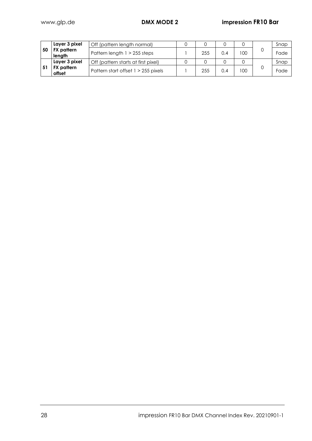|    | Layer 3 pixel        | Off (pattern length normal)         |     |     |     | Snap |
|----|----------------------|-------------------------------------|-----|-----|-----|------|
| 50 | FX pattern<br>length | Pattern length $1 > 255$ steps      | 255 | 0.4 | 100 | Fade |
|    | Layer 3 pixel        | Off (pattern starts at first pixel) |     |     |     | Snap |
|    | FX pattern<br>offset | Pattern start offset 1 > 255 pixels | 255 | 0.4 | 100 | Fade |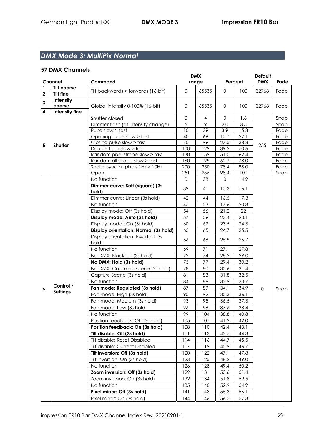# *DMX Mode 3: MultiPix Normal*

|             |                                 |                                          |              | <b>DMX</b>     |              |         | <b>Default</b> |      |
|-------------|---------------------------------|------------------------------------------|--------------|----------------|--------------|---------|----------------|------|
|             | Channel                         | Command                                  |              | range          |              | Percent | <b>DMX</b>     | Fade |
| 1           | <b>Tilt coarse</b>              | Tilt backwards > forwards (16-bit)       | $\mathbf{O}$ | 65535          | $\mathbf{O}$ | 100     | 32768          | Fade |
| $\mathbf 2$ | <b>Tilt fine</b>                |                                          |              |                |              |         |                |      |
| 3           | Intensity                       | Global intensity 0-100% (16-bit)         | $\mathbf 0$  | 65535          | 0            | 100     | 32768          | Fade |
| 4           | coarse<br><b>Intensity fine</b> |                                          |              |                |              |         |                |      |
|             |                                 | Shutter closed                           | $\Omega$     | $\overline{4}$ | $\mathsf{O}$ | 1.6     |                | Snap |
|             |                                 | Dimmer flash (at intensity change)       | 5            | $\overline{9}$ | 2.0          | 3.5     |                | Snap |
|             |                                 | Pulse slow > fast                        | 10           | 39             | 3.9          | 15.3    |                | Fade |
|             |                                 | Opening pulse slow > fast                | 40           | 69             | 15.7         | 27.1    |                | Fade |
|             |                                 | Closing pulse slow > fast                | 70           | 99             | 27.5         | 38.8    |                | Fade |
| 5           | Shutter                         | Double flash slow > fast                 | 100          | 129            | 39.2         | 50.6    | 255            | Fade |
|             |                                 | Random pixel strobe slow > fast          | 130          | 159            | 51.0         | 62.4    |                | Fade |
|             |                                 | Random all strobe slow > fast            | 160          | 199            | 62.7         | 78.0    |                | Fade |
|             |                                 | Strobe sync all pixels 1Hz > 10Hz        | 200          | 250            | 78.4         | 98.0    |                | Fade |
|             |                                 | Open                                     | 251          | 255            | 98.4         | 100     |                | Snap |
|             |                                 | No function                              | $\mathbf 0$  | 38             | 0            | 14.9    |                |      |
|             |                                 | Dimmer curve: Soft (square) (3s<br>hold) | 39           | 41             | 15.3         | 16.1    |                |      |
|             |                                 | Dimmer curve: Linear (3s hold)           | 42           | 44             | 16.5         | 17.3    |                |      |
|             |                                 | No function                              | 45           | 53             | 17.6         | 20.8    |                |      |
|             |                                 | Display mode: Off (3s hold)              | 54           | 56             | 21.2         | 22      |                |      |
|             |                                 | Display mode: Auto (3s hold)             | 57           | 59             | 22.4         | 23.1    |                |      |
|             |                                 | Display mode: On (3s hold)               | 60           | 62             | 23.5         | 24.3    |                |      |
|             |                                 | Display orientation: Normal (3s hold)    | 63           | 65             | 24.7         | 25.5    |                |      |
|             |                                 | Display orientation: Inverted (3s        | 66           | 68             | 25.9         | 26.7    |                |      |
|             |                                 | hold)<br>No function                     | 69           | 71             | 27.1         | 27.8    |                |      |
|             |                                 | No DMX: Blackout (3s hold)               | 72           | 74             | 28.2         | 29.0    |                |      |
|             |                                 | No DMX: Hold (3s hold)                   | 75           | 77             | 29.4         | 30.2    |                |      |
|             |                                 | No DMX: Captured scene (3s hold)         | 78           | 80             | 30.6         | 31.4    |                |      |
|             |                                 | Capture Scene (3s hold)                  | 81           | 83             | 31.8         | 32.5    |                |      |
|             |                                 | No function                              | 84           | 86             | 32.9         | 33.7    |                |      |
| 6           | Control /                       | Fan mode: Regulated (3s hold)            | 87           | 89             | 34.1         | 34.9    | $\mathbf 0$    | Snap |
|             | <b>Settings</b>                 | Fan mode: High (3s hold)                 | 90           | 92             | 35.3         | 36.1    |                |      |
|             |                                 | Fan mode: Medium (3s hold)               | 93           | 95             | 36.5         | 37.3    |                |      |
|             |                                 | Fan mode: Low (3s hold)                  | 96           | 98             | 37.6         | 38.4    |                |      |
|             |                                 | No function                              | 99           | 104            | 38.8         | 40.8    |                |      |
|             |                                 | Position feedback: Off (3s hold)         | 105          | 107            | 41.2         | 42.0    |                |      |
|             |                                 | Position feedback: On (3s hold)          | 108          | 110            | 42.4         | 43.1    |                |      |
|             |                                 | Tilt disable: Off (3s hold)              | 111          | 113            | 43.5         | 44.3    |                |      |
|             |                                 | Tilt disable: Reset Disabled             | 114          | 116            | 44.7         | 45.5    |                |      |
|             |                                 | Tilt disable: Current Disabled           | 117          | 119            | 45.9         | 46.7    |                |      |
|             |                                 | Tilt inversion: Off (3s hold)            | 120          | 122            | 47.1         | 47.8    |                |      |
|             |                                 | Tilt inversion: On (3s hold)             | 123          | 125            | 48.2         | 49.0    |                |      |
|             |                                 | No function                              | 126          | 128            | 49.4         | 50.2    |                |      |
|             |                                 | Zoom inversion: Off (3s hold)            | 129          | 131            | 50.6         | 51.4    |                |      |
|             |                                 | Zoom inversion: On (3s hold)             | 132          | 134            | 51.8         | 52.5    |                |      |
|             |                                 |                                          |              | 140            |              |         |                |      |
|             |                                 | No function                              | 135          | 143            | 52.9         | 54.9    |                |      |
|             |                                 | Pixel mirror: Off (3s hold)              | 141          |                | 55.3         | 56.1    |                |      |
|             |                                 | Pixel mirror: On (3s hold)               | 144          | 146            | 56.5         | 57.3    |                |      |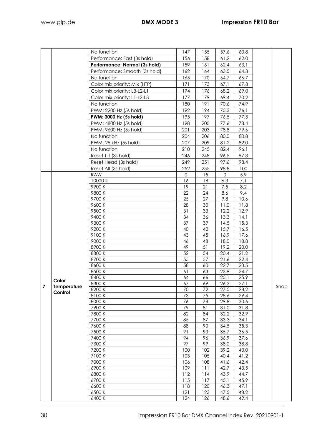|                         |             | No function                   | 147        | 155        | 57.6         | 60.8         |      |
|-------------------------|-------------|-------------------------------|------------|------------|--------------|--------------|------|
|                         |             | Performance: Fast (3s hold)   | 156        | 158        | 61,2         | 62,0         |      |
|                         |             | Performance: Normal (3s hold) | 159        | 161        | 62,4         | 63,1         |      |
|                         |             | Performance: Smooth (3s hold) | 162        | 164        | 63.5         | 64.3         |      |
|                         |             | No function                   | 165        | 170        | 64.7         | 66.7         |      |
|                         |             | Color mix priority: Mix (HTP) | 171        | 173        | 67.1         | 67.8         |      |
|                         |             | Color mix priority: L3-L2-L1  | 174        | 176        | 68.2         | 69.0         |      |
|                         |             | Color mix priority: L1-L2-L3  | 177        | 179        | 69.4         | 70.2         |      |
|                         |             | No function                   | 180        | 191        | 70.6         | 74.9         |      |
|                         |             | PWM: 2200 Hz (5s hold)        | 192        | 194        | 75.3         | 76.1         |      |
|                         |             | PWM: 3000 Hz (5s hold)        | 195        | 197        | 76.5         | 77.3         |      |
|                         |             | PWM: 4800 Hz (5s hold)        | 198        | 200        | 77.6         | 78.4         |      |
|                         |             | PWM: 9600 Hz (5s hold)        | 201        | 203        | 78.8         | 79.6         |      |
|                         |             | No function                   | 204        | 206        | 80.0         | 80.8         |      |
|                         |             | PWM: 25 kHz (5s hold)         | 207        | 209        | 81.2         | 82.0         |      |
|                         |             | No function                   | 210        | 245        | 82.4         | 96.1         |      |
|                         |             | Reset Tilt (3s hold)          | 246        | 248        | 96.5         | 97.3         |      |
|                         |             | Reset Head (3s hold)          | 249        | 251        | 97.6         | 98.4         |      |
|                         |             | Reset All (3s hold)           | 252        | 255        | 98.8         | 100          |      |
|                         |             | <b>RAW</b>                    | 0          | 15         | 0            | 5.9          |      |
|                         |             | 10000 K                       | 16         | 18         | 6.3          | 7.1          |      |
|                         |             | 9900K                         | 19         | 21         | 7.5          | 8.2          |      |
|                         |             | 9800K                         | 22         | 24         | 8.6          | 9.4          |      |
|                         |             | 9700K                         | 25         | 27         | 9.8          | 10.6         |      |
|                         |             | 9600K                         | 28         | 30         | 11.0         | 11.8         |      |
|                         |             | 9500K                         | 31         | 33         | 12.2         | 12.9         |      |
|                         |             | 9400K                         | 34         | 36         | 13.3         | 14.1         |      |
|                         |             | 9300K                         | 37         | 39         | 14.5         | 15.3         |      |
|                         |             | 9200K                         | 40         | 42         | 15.7         | 16.5         |      |
|                         |             | 9100K                         | 43         | 45         | 16.9         | 17.6         |      |
|                         |             | 9000 K                        | 46         | 48         | 18.0         | 18.8         |      |
|                         |             | 8900K                         | 49         | 51         | 19.2         | 20.0         |      |
|                         |             | 8800K                         | 52         | 54<br>57   | 20.4         | 21.2         |      |
|                         |             | 8700 K<br>8600K               | 55<br>58   | 60         | 21.6<br>22.7 | 22.4<br>23.5 |      |
|                         |             | 8500K                         | 61         | 63         | 23.9         | 24.7         |      |
|                         |             | 8400K                         | 64         | 66         | 25.1         | 25.9         |      |
|                         | Color       | 8300 K                        | 67         | 69         | 26.3         | 27.1         |      |
| $\overline{\mathbf{z}}$ | Temperature | 8200 K                        | 70         | 72         | 27.5         | 28.2         | Snap |
|                         | Control     | 8100K                         | 73         | 75         | 28.6         | 29.4         |      |
|                         |             | 8000 K                        | 76         | 78         | 29.8         | 30.6         |      |
|                         |             | 7900K                         | 79         | 81         | 31.0         | 31.8         |      |
|                         |             | 7800 K                        | 82         | 84         | 32.2         | 32.9         |      |
|                         |             | 7700 K                        | 85         | 87         | 33.3         | 34.1         |      |
|                         |             | 7600 K                        | 88         | 90         | 34.5         | 35.3         |      |
|                         |             | 7500 K                        | 91         | 93         | 35.7         | 36.5         |      |
|                         |             | 7400 K                        | 94         | 96         | 36.9         | 37.6         |      |
|                         |             | 7300 K                        | 97         | 99         | 38.0         | 38.8         |      |
|                         |             | 7200 K                        | 100        | 102        | 39.2         | 40.0         |      |
|                         |             | 7100K                         | 103        | 105        | 40.4         | 41.2         |      |
|                         |             | 7000 K<br>6900K               | 106<br>109 | 108<br>111 | 41.6<br>42.7 | 42.4<br>43.5 |      |
|                         |             | 6800K                         | 112        | 114        | 43.9         | 44.7         |      |
|                         |             | 6700K                         | 115        | 117        | 45.1         | 45.9         |      |
|                         |             | 6600K                         | 118        | 120        | 46.3         | 47.1         |      |
|                         |             | 6500 K                        | 121        | 123        | 47.5         | 48.2         |      |
|                         |             | 6400K                         | 124        | 126        | 48.6         | 49.4         |      |
|                         |             |                               |            |            |              |              |      |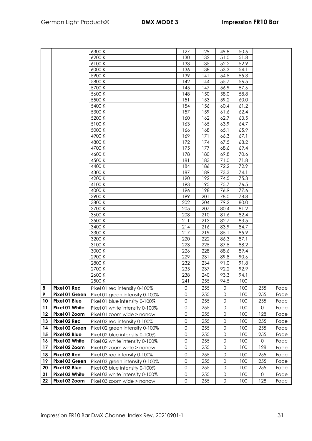|    |                | 6300 K                          | 127                 | 129 | 49.8                | 50.6 |     |      |
|----|----------------|---------------------------------|---------------------|-----|---------------------|------|-----|------|
|    |                | 6200 K                          | 130                 | 132 | 51.0                | 51.8 |     |      |
|    |                | 6100K                           | 133                 | 135 | 52.2                | 52.9 |     |      |
|    |                | 6000 K                          | 136                 | 138 | 53.3                | 54.1 |     |      |
|    |                | 5900 K                          | 139                 | 4   | 54.5                | 55.3 |     |      |
|    |                | 5800 K                          | 142                 | 144 | 55.7                | 56.5 |     |      |
|    |                | 5700 K                          | 145                 | 147 | 56.9                | 57.6 |     |      |
|    |                | 5600 K                          | 148                 | 150 | 58.0                | 58.8 |     |      |
|    |                | 5500 K                          | 151                 | 153 | 59.2                | 60.0 |     |      |
|    |                | 5400K                           | 154                 | 156 | 60.4                | 61.2 |     |      |
|    |                | 5300 K                          | 157                 | 159 | 61.6                | 62.4 |     |      |
|    |                | 5200 K                          | 160                 | 162 | 62.7                | 63.5 |     |      |
|    |                | 5100 K                          | 163                 | 165 | 63.9                | 64.7 |     |      |
|    |                | 5000 K                          | 166                 | 168 | 65.1                | 65.9 |     |      |
|    |                | 4900 K                          | 169                 | 171 | 66.3                | 67.1 |     |      |
|    |                | 4800 K                          | 172                 | 174 | 67.5                | 68.2 |     |      |
|    |                | 4700 K                          | 175                 | 177 | 68.6                | 69.4 |     |      |
|    |                | 4600 K                          | 178                 | 180 | 69.8                | 70.6 |     |      |
|    |                | 4500 K                          | 181                 | 183 | 71.0                | 71.8 |     |      |
|    |                | 4400 K                          | 184                 | 186 | 72.2                | 72.9 |     |      |
|    |                | 4300 K                          | 187                 | 189 | 73.3                | 74.1 |     |      |
|    |                | 4200 K                          | 190                 | 192 | 74.5                | 75.3 |     |      |
|    |                | 4100K                           | 193                 | 195 | 75.7                | 76.5 |     |      |
|    |                | 4000 K                          | 196                 | 198 | 76.9                | 77.6 |     |      |
|    |                | 3900 K                          | 199                 | 201 | 78.0                | 78.8 |     |      |
|    |                | 3800 K                          | 202                 | 204 | 79.2                | 80.0 |     |      |
|    |                | 3700 K                          | 205                 | 207 | 80.4                | 81.2 |     |      |
|    |                | 3600K                           | 208                 | 210 | 81.6                | 82.4 |     |      |
|    |                | 3500 K                          | 211                 | 213 | 82.7                | 83.5 |     |      |
|    |                | 3400K                           | 214                 | 216 | 83.9                | 84.7 |     |      |
|    |                | 3300 K                          | 217                 | 219 | 85.1                | 85.9 |     |      |
|    |                | 3200 K                          | 220                 | 222 | 86.3                | 87.1 |     |      |
|    |                | 3100K                           | 223                 | 225 | 87.5                | 88.2 |     |      |
|    |                | 3000 K                          | 226                 | 228 | 88.6                | 89.4 |     |      |
|    |                | 2900 K                          | 229                 | 231 | 89.8                | 90.6 |     |      |
|    |                | 2800K                           | 232                 | 234 | 91.0                | 91.8 |     |      |
|    |                | 2700 K                          | 235                 | 237 | 92.2                | 92.9 |     |      |
|    |                | 2600 K                          | 238                 | 240 | 93.3                | 94.1 |     |      |
|    |                | 2500 K                          | 241                 | 255 | 94.5                | 100  |     |      |
| 8  | Pixel 01 Red   | Pixel 01 red intensity 0-100%   | $\mathsf{O}\xspace$ | 255 | 0                   | 100  | 255 | Fade |
| 9  | Pixel 01 Green | Pixel 01 green intensity 0-100% | 0                   | 255 | $\Omega$            | 100  | 255 | Fade |
| 10 | Pixel 01 Blue  | Pixel 01 blue intensity 0-100%  | $\mathbf 0$         | 255 | 0                   | 100  | 255 | Fade |
| 11 | Pixel 01 White | Pixel 01 white intensity 0-100% | $\mathsf{O}\xspace$ | 255 | $\mathbf 0$         | 100  | 0   | Fade |
| 12 | Pixel 01 Zoom  | Pixel 01 zoom wide > narrow     | $\mathsf{O}\xspace$ | 255 | $\mathsf{O}\xspace$ | 100  | 128 | Fade |
| 13 | Pixel 02 Red   | Pixel 02 red intensity 0-100%   | $\mathsf{O}\xspace$ | 255 | 0                   | 100  | 255 | Fade |
| 14 | Pixel 02 Green | Pixel 02 green intensity 0-100% | 0                   | 255 | 0                   | 100  | 255 | Fade |
| 15 | Pixel 02 Blue  | Pixel 02 blue intensity 0-100%  | $\mathsf{O}\xspace$ | 255 | $\mathbf 0$         | 100  | 255 | Fade |
| 16 | Pixel 02 White | Pixel 02 white intensity 0-100% | $\mathsf{O}\xspace$ | 255 | $\mathbf 0$         | 100  | 0   | Fade |
| 17 | Pixel 02 Zoom  | Pixel 02 zoom wide > narrow     | $\mathsf{O}\xspace$ | 255 | $\mathbf 0$         | 100  | 128 | Fade |
|    |                |                                 |                     |     |                     |      |     |      |
| 18 | Pixel 03 Red   | Pixel 03 red intensity 0-100%   | $\mathbf 0$         | 255 | 0                   | 100  | 255 | Fade |
| 19 | Pixel 03 Green | Pixel 03 green intensity 0-100% | $\mathsf{O}\xspace$ | 255 | 0                   | 100  | 255 | Fade |
| 20 | Pixel 03 Blue  | Pixel 03 blue intensity 0-100%  | 0                   | 255 | 0                   | 100  | 255 | Fade |
| 21 | Pixel 03 White | Pixel 03 white intensity 0-100% | $\mathsf{O}\xspace$ | 255 | 0                   | 100  | 0   | Fade |
| 22 | Pixel 03 Zoom  | Pixel 03 zoom wide > narrow     | $\mathbf 0$         | 255 | $\mathbf 0$         | 100  | 128 | Fade |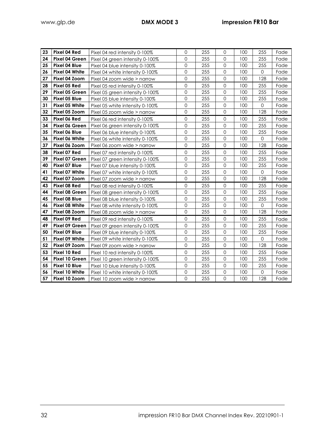| 23 | Pixel 04 Red   | Pixel 04 red intensity 0-100%   | 0              | 255 | $\mathbf 0$         | 100 | 255                 | Fade |
|----|----------------|---------------------------------|----------------|-----|---------------------|-----|---------------------|------|
| 24 | Pixel 04 Green | Pixel 04 green intensity 0-100% | 0              | 255 | $\mathbf 0$         | 100 | 255                 | Fade |
| 25 | Pixel 04 Blue  | Pixel 04 blue intensity 0-100%  | 0              | 255 | $\mathbf 0$         | 100 | 255                 | Fade |
| 26 | Pixel 04 White | Pixel 04 white intensity 0-100% | 0              | 255 | $\mathbf 0$         | 100 | $\mathbf 0$         | Fade |
| 27 | Pixel 04 Zoom  | Pixel 04 zoom wide > narrow     | 0              | 255 | $\mathbf 0$         | 100 | 128                 | Fade |
| 28 | Pixel 05 Red   | Pixel 05 red intensity 0-100%   | 0              | 255 | $\mathbf 0$         | 100 | 255                 | Fade |
| 29 | Pixel 05 Green | Pixel 05 green intensity 0-100% | 0              | 255 | $\mathsf{O}\xspace$ | 100 | 255                 | Fade |
| 30 | Pixel 05 Blue  | Pixel 05 blue intensity 0-100%  | 0              | 255 | $\mathbf 0$         | 100 | 255                 | Fade |
| 31 | Pixel 05 White | Pixel 05 white intensity 0-100% | 0              | 255 | $\mathsf{O}\xspace$ | 100 | $\mathbf 0$         | Fade |
| 32 | Pixel 05 Zoom  | Pixel 05 zoom wide > narrow     | 0              | 255 | $\mathsf{O}\xspace$ | 100 | 128                 | Fade |
| 33 | Pixel 06 Red   | Pixel 06 red intensity 0-100%   | 0              | 255 | $\mathsf{O}\xspace$ | 100 | 255                 | Fade |
| 34 | Pixel 06 Green | Pixel 06 green intensity 0-100% | 0              | 255 | $\mathbf 0$         | 100 | 255                 | Fade |
| 35 | Pixel 06 Blue  | Pixel 06 blue intensity 0-100%  | 0              | 255 | $\mathbf 0$         | 100 | 255                 | Fade |
| 36 | Pixel 06 White | Pixel 06 white intensity 0-100% | $\overline{O}$ | 255 | $\mathbf 0$         | 100 | $\mathbf 0$         | Fade |
| 37 | Pixel 06 Zoom  | Pixel 06 zoom wide > narrow     | $\overline{O}$ | 255 | $\overline{0}$      | 100 | 128                 | Fade |
| 38 | Pixel 07 Red   | Pixel 07 red intensity 0-100%   | 0              | 255 | $\mathbf 0$         | 100 | 255                 | Fade |
| 39 | Pixel 07 Green | Pixel 07 green intensity 0-100% | 0              | 255 | $\Omega$            | 100 | 255                 | Fade |
| 40 | Pixel 07 Blue  | Pixel 07 blue intensity 0-100%  | 0              | 255 | $\mathsf{O}\xspace$ | 100 | 255                 | Fade |
| 41 | Pixel 07 White | Pixel 07 white intensity 0-100% | 0              | 255 | $\mathbf 0$         | 100 | $\mathbf 0$         | Fade |
| 42 | Pixel 07 Zoom  | Pixel 07 zoom wide > narrow     | 0              | 255 | $\mathbf 0$         | 100 | 128                 | Fade |
| 43 | Pixel 08 Red   | Pixel 08 red intensity 0-100%   | 0              | 255 | $\mathbf 0$         | 100 | 255                 | Fade |
| 44 | Pixel 08 Green | Pixel 08 green intensity 0-100% | 0              | 255 | $\mathbf 0$         | 100 | 255                 | Fade |
| 45 | Pixel 08 Blue  | Pixel 08 blue intensity 0-100%  | $\overline{O}$ | 255 | $\mathbf 0$         | 100 | 255                 | Fade |
| 46 | Pixel 08 White | Pixel 08 white intensity 0-100% | 0              | 255 | $\mathsf{O}\xspace$ | 100 | 0                   | Fade |
| 47 | Pixel 08 Zoom  | Pixel 08 zoom wide > narrow     | $\overline{O}$ | 255 | $\mathbf 0$         | 100 | 128                 | Fade |
| 48 | Pixel 09 Red   | Pixel 09 red intensity 0-100%   | 0              | 255 | $\mathbf 0$         | 100 | 255                 | Fade |
| 49 | Pixel 09 Green | Pixel 09 green intensity 0-100% | 0              | 255 | $\mathsf{O}\xspace$ | 100 | 255                 | Fade |
| 50 | Pixel 09 Blue  | Pixel 09 blue intensity 0-100%  | 0              | 255 | $\mathsf{O}\xspace$ | 100 | 255                 | Fade |
| 51 | Pixel 09 White | Pixel 09 white intensity 0-100% | 0              | 255 | $\mathsf{O}\xspace$ | 100 | $\mathsf{O}\xspace$ | Fade |
| 52 | Pixel 09 Zoom  | Pixel 09 zoom wide > narrow     | $\mathsf{O}$   | 255 | $\mathbf 0$         | 100 | 128                 | Fade |
| 53 | Pixel 10 Red   | Pixel 10 red intensity 0-100%   | $\mathsf{O}$   | 255 | $\mathbf 0$         | 100 | 255                 | Fade |
| 54 | Pixel 10 Green | Pixel 10 green intensity 0-100% | $\overline{O}$ | 255 | $\mathbf 0$         | 100 | 255                 | Fade |
| 55 | Pixel 10 Blue  | Pixel 10 blue intensity 0-100%  | 0              | 255 | $\overline{0}$      | 100 | 255                 | Fade |
| 56 | Pixel 10 White | Pixel 10 white intensity 0-100% | 0              | 255 | $\mathbf 0$         | 100 | $\mathbf{O}$        | Fade |
| 57 | Pixel 10 Zoom  | Pixel 10 zoom wide > narrow     | $\overline{O}$ | 255 | $\mathbf 0$         | 100 | 128                 | Fade |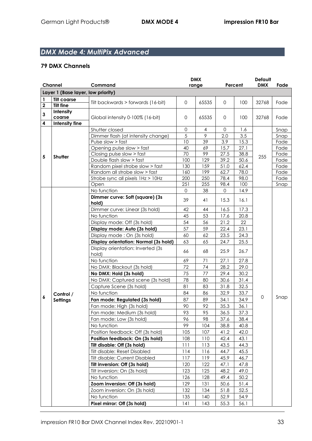# *DMX Mode 4: MultiPix Advanced*

|             |                                    |                                                      | <b>DMX</b>   |       |              | <b>Default</b> |                                          |              |
|-------------|------------------------------------|------------------------------------------------------|--------------|-------|--------------|----------------|------------------------------------------|--------------|
|             | Channel                            | Command                                              |              | range |              | Percent        |                                          | Fade         |
|             | Layer 1 (Base layer, low priority) |                                                      |              |       |              |                |                                          |              |
| 1           | <b>Tilt coarse</b>                 | Tilt backwards > forwards (16-bit)                   | $\mathbf 0$  | 65535 | $\mathbf{0}$ | 100            |                                          | Fade         |
| $\mathbf 2$ | <b>Tilt fine</b>                   |                                                      |              |       |              |                |                                          |              |
| 3           | Intensity                          |                                                      |              |       |              |                |                                          |              |
|             | coarse                             | Global intensity 0-100% (16-bit)                     | $\mathsf{O}$ | 65535 | $\mathbf{0}$ | 100            |                                          | Fade         |
| 4           | Intensity fine                     |                                                      | 0            | 4     | 0            | 1.6            |                                          |              |
|             |                                    | Shutter closed<br>Dimmer flash (at intensity change) | 5            | 9     | 2.0          | 3.5            |                                          | Snap<br>Snap |
|             |                                    | Pulse slow > fast                                    | 10           | 39    | 3.9          | 15.3           |                                          | Fade         |
|             |                                    | Opening pulse slow > fast                            | 40           | 69    | 15.7         | 27.1           |                                          | Fade         |
|             |                                    | Closing pulse slow > fast                            | 70           | 99    | 27.5         | 38.8           |                                          | Fade         |
| 5           | Shutter                            | Double flash slow > fast                             | 100          | 129   | 39.2         | 50.6           |                                          | Fade         |
|             |                                    | Random pixel strobe slow > fast                      | 130          | 159   | 51.0         | 62.4           |                                          | Fade         |
|             |                                    | Random all strobe slow > fast                        | 160          | 199   | 62.7         | 78.0           |                                          | Fade         |
|             |                                    | Strobe sync all pixels 1Hz > 10Hz                    | 200          | 250   | 78.4         | 98.0           |                                          | Fade         |
|             |                                    | Open                                                 | 251          | 255   | 98.4         | 100            |                                          | Snap         |
|             |                                    | No function                                          | $\Omega$     | 38    | $\Omega$     | 14.9           |                                          |              |
|             |                                    | Dimmer curve: Soft (square) (3s)<br>hold)            | 39           | 41    | 15.3         | 16.1           |                                          |              |
|             |                                    | Dimmer curve: Linear (3s hold)                       | 42           | 44    | 16.5         | 17.3           | <b>DMX</b><br>32768<br>32768<br>255<br>0 |              |
|             |                                    | No function                                          | 45           | 53    | 17.6         | 20.8           |                                          |              |
|             |                                    | Display mode: Off (3s hold)                          | 54           | 56    | 21.2         | 22             |                                          |              |
|             |                                    | Display mode: Auto (3s hold)                         | 57           | 59    | 22.4         | 23.1           |                                          |              |
|             |                                    | Display mode: On (3s hold)                           | 60           | 62    | 23.5         | 24.3           |                                          |              |
|             |                                    | Display orientation: Normal (3s hold)                | 63           | 65    | 24.7         | 25.5           |                                          |              |
|             |                                    | Display orientation: Inverted (3s)<br>hold)          | 66           | 68    | 25.9         | 26.7           |                                          |              |
|             |                                    | No function                                          | 69           | 71    | 27.1         | 27.8           |                                          |              |
|             |                                    | No DMX: Blackout (3s hold)                           | 72           | 74    | 28.2         | 29.0           |                                          |              |
|             |                                    | No DMX: Hold (3s hold)                               | 75           | 77    | 29.4         | 30.2           |                                          |              |
|             |                                    | No DMX: Captured scene (3s hold)                     | 78           | 80    | 30.6         | 31.4           |                                          |              |
|             |                                    | Capture Scene (3s hold)                              | 81           | 83    | 31.8         | 32.5           |                                          |              |
|             | Control /                          | No function                                          | 84           | 86    | 32.9         | 33.7           |                                          |              |
| 6           | <b>Settings</b>                    | Fan mode: Regulated (3s hold)                        | 87           | 89    | 34.1         | 34.9           |                                          | Snap         |
|             |                                    | Fan mode: High (3s hold)                             | 90           | 92    | 35.3         | 36.1           |                                          |              |
|             |                                    | Fan mode: Medium (3s hold)                           | 93           | 95    | 36.5         | 37.3           |                                          |              |
|             |                                    | Fan mode: Low (3s hold)                              | 96           | 98    | 37.6         | 38.4           |                                          |              |
|             |                                    | No function                                          | 99           | 104   | 38.8         | 40.8           |                                          |              |
|             |                                    | Position feedback: Off (3s hold)                     | 105          | 107   | 41.2         | 42.0           |                                          |              |
|             |                                    | Position feedback: On (3s hold)                      | 108          | 110   | 42.4         | 43.1           |                                          |              |
|             |                                    | Tilt disable: Off (3s hold)                          | 111          | 113   | 43.5         | 44.3           |                                          |              |
|             |                                    | Tilt disable: Reset Disabled                         | 114          | 116   | 44.7         | 45.5           |                                          |              |
|             |                                    | Tilt disable: Current Disabled                       | 117          | 119   | 45.9         | 46.7           |                                          |              |
|             |                                    | Tilt inversion: Off (3s hold)                        | 120          | 122   | 47.1         | 47.8           |                                          |              |
|             |                                    | Tilt inversion: On (3s hold)                         | 123          | 125   | 48.2         | 49.0           |                                          |              |
|             |                                    | No function                                          | 126          | 128   | 49.4         | 50.2           |                                          |              |
|             |                                    | Zoom inversion: Off (3s hold)                        | 129          | 131   | 50.6         | 51.4           |                                          |              |
|             |                                    | Zoom inversion: On (3s hold)                         | 132          | 134   | 51.8         | 52.5           |                                          |              |
|             |                                    | No function                                          | 135          | 140   | 52.9         | 54.9           |                                          |              |
|             |                                    | Pixel mirror: Off (3s hold)                          | 141          | 143   | 55.3         | 56.1           |                                          |              |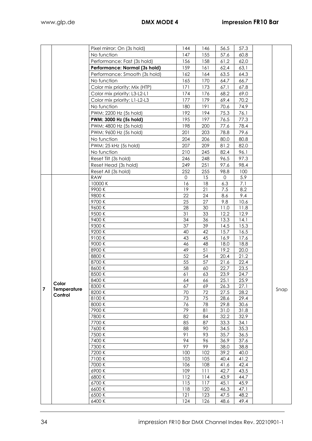|   |             | Pixel mirror: On (3s hold)    | 144             | 146        | 56.5         | 57.3         |      |
|---|-------------|-------------------------------|-----------------|------------|--------------|--------------|------|
|   |             | No function                   | 147             | 155        | 57.6         | 60.8         |      |
|   |             | Performance: Fast (3s hold)   | 156             | 158        | 61,2         | 62,0         |      |
|   |             | Performance: Normal (3s hold) | 159             | 161        | 62,4         | 63,1         |      |
|   |             | Performance: Smooth (3s hold) | 162             | 164        | 63.5         | 64.3         |      |
|   |             | No function                   | 165             | 170        | 64.7         | 66.7         |      |
|   |             | Color mix priority: Mix (HTP) | 171             | 173        | 67.1         | 67.8         |      |
|   |             | Color mix priority: L3-L2-L1  | 174             | 176        | 68.2         | 69.0         |      |
|   |             | Color mix priority: L1-L2-L3  | 177             | 179        | 69.4         | 70.2         |      |
|   |             | No function                   | 180             | 191        | 70.6         | 74.9         |      |
|   |             | PWM: 2200 Hz (5s hold)        | 192             | 194        | 75.3         | 76.1         |      |
|   |             | PWM: 3000 Hz (5s hold)        | 195             | 197        |              | 77.3         |      |
|   |             | PWM: 4800 Hz (5s hold)        | 198             | 200        | 76.5         | 78.4         |      |
|   |             |                               |                 |            | 77.6         | 79.6         |      |
|   |             | PWM: 9600 Hz (5s hold)        | 201             | 203        | 78.8         | 80.8         |      |
|   |             | No function                   | 204             | 206        | 80.0         |              |      |
|   |             | PWM: 25 kHz (5s hold)         | 207             | 209        | 81.2         | 82.0         |      |
|   |             | No function                   | 210             | 245        | 82.4         | 96.1         |      |
|   |             | Reset Tilt (3s hold)          | 246             | 248        | 96.5         | 97.3         |      |
|   |             | Reset Head (3s hold)          | 249             | 251        | 97.6         | 98.4         |      |
|   |             | Reset All (3s hold)           | 252<br>$\Omega$ | 255        | 98.8         | 100          |      |
|   |             | <b>RAW</b><br>10000 K         | 16              | 15<br>18   | 0<br>6.3     | 5.9<br>7.1   |      |
|   |             | 9900K                         | 19              | 21         | 7.5          | 8.2          |      |
|   |             | 9800K                         | 22              | 24         | 8.6          | 9.4          |      |
|   |             | 9700K                         | 25              | 27         | 9.8          | 10.6         |      |
|   |             | 9600K                         | 28              | 30         | 11.0         | 11.8         |      |
|   |             | 9500K                         | 31              | 33         | 12.2         | 12.9         |      |
|   |             | 9400K                         | 34              | 36         | 13.3         | 14.1         |      |
|   |             | 9300K                         | 37              | 39         | 14.5         | 15.3         |      |
|   |             | 9200K                         | 40              | 42         | 15.7         | 16.5         |      |
|   |             | 9100K                         | 43              | 45         | 16.9         | 17.6         |      |
|   |             | 9000 K                        | 46              | 48         | 18.0         | 18.8         |      |
|   |             | 8900K                         | 49              | 51         | 19.2         | 20.0         |      |
|   |             | 8800K                         | 52              | 54         | 20.4         | 21.2         |      |
|   |             | 8700K                         | 55              | 57         | 21.6         | 22.4         |      |
|   |             | 8600K<br>8500K                | 58<br>61        | 60<br>63   | 22.7<br>23.9 | 23.5<br>24.7 |      |
|   |             | 8400K                         | 64              | 66         | 25.1         | 25.9         |      |
|   | Color       | 8300 K                        | 67              | 69         | 26.3         | 27.1         |      |
| 7 | Temperature | 8200 K                        | 70              | 72         | 27.5         | 28.2         | Snap |
|   | Control     | 8100K                         | 73              | 75         | 28.6         | 29.4         |      |
|   |             | 8000 K                        | 76              | 78         | 29.8         | 30.6         |      |
|   |             | 7900 K                        | 79              | 81         | 31.0         | 31.8         |      |
|   |             | 7800 K                        | 82              | 84         | 32.2         | 32.9         |      |
|   |             | 7700 K                        | 85              | 87         | 33.3         | 34.1         |      |
|   |             | 7600K                         | 88              | 90         | 34.5         | 35.3         |      |
|   |             | 7500 K                        | 91              | 93         | 35.7         | 36.5         |      |
|   |             | 7400 K                        | 94              | 96         | 36.9         | 37.6         |      |
|   |             | 7300 K                        | 97              | 99         | 38.0         | 38.8         |      |
|   |             | 7200 K                        | 100             | 102        | 39.2         | 40.0         |      |
|   |             | 7100K<br>7000 K               | 103<br>106      | 105<br>108 | 40.4<br>41.6 | 41.2<br>42.4 |      |
|   |             | 6900K                         | 109             | 111        | 42.7         | 43.5         |      |
|   |             | 6800K                         | 112             | 114        | 43.9         | 44.7         |      |
|   |             | 6700 K                        | 115             | 117        | 45.1         | 45.9         |      |
|   |             | 6600K                         | 118             | 120        | 46.3         | 47.1         |      |
|   |             | 6500 K                        | 121             | 123        | 47.5         | 48.2         |      |
|   |             | 6400 K                        | 124             | 126        | 48.6         | 49.4         |      |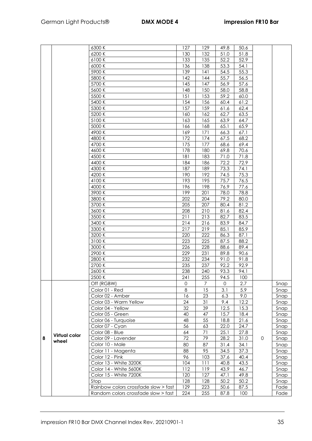|   |                      | 6300 K                               | 127                 | 129             | 49.8        | 50.6 |              |      |
|---|----------------------|--------------------------------------|---------------------|-----------------|-------------|------|--------------|------|
|   |                      | 6200 K                               | 130                 | 132             | 51.0        | 51.8 |              |      |
|   |                      | 6100K                                | 133                 | 135             | 52.2        | 52.9 |              |      |
|   |                      | 6000 K                               | 136                 | 138             | 53.3        | 54.1 |              |      |
|   |                      | 5900 K                               | 139                 | 141             | 54.5        | 55.3 |              |      |
|   |                      | 5800 K                               | 142                 | 144             | 55.7        | 56.5 |              |      |
|   |                      | 5700 K                               | 145                 | 147             | 56.9        | 57.6 |              |      |
|   |                      | 5600 K                               | 148                 | 150             | 58.0        | 58.8 |              |      |
|   |                      | 5500 K                               | 151                 | 153             | 59.2        | 60.0 |              |      |
|   |                      | 5400 K                               | 154                 | 156             | 60.4        | 61.2 |              |      |
|   |                      | 5300 K                               | 157                 | 159             | 61.6        | 62.4 |              |      |
|   |                      |                                      |                     |                 |             |      |              |      |
|   |                      | 5200 K                               | 160                 | 162             | 62.7        | 63.5 |              |      |
|   |                      | 5100 K                               | 163                 | 165             | 63.9        | 64.7 |              |      |
|   |                      | 5000 K                               | 166                 | 168             | 65.1        | 65.9 |              |      |
|   |                      | 4900K                                | 169                 | 171             | 66.3        | 67.1 |              |      |
|   |                      | 4800 K                               | 172                 | 174             | 67.5        | 68.2 |              |      |
|   |                      | 4700 K                               | 175                 | 177             | 68.6        | 69.4 |              |      |
|   |                      | 4600K                                | 178                 | 180             | 69.8        | 70.6 |              |      |
|   |                      | 4500 K                               | 181                 | 183             | 71.0        | 71.8 |              |      |
|   |                      | 4400 K                               | 184                 | 186             | 72.2        | 72.9 |              |      |
|   |                      | 4300 K                               | 187                 | 189             | 73.3        | 74.1 |              |      |
|   |                      | 4200 K                               | 190                 | 192             | 74.5        | 75.3 |              |      |
|   |                      | 4100K                                | 193                 | 195             | 75.7        | 76.5 |              |      |
|   |                      | 4000 K                               | 196                 | 198             | 76.9        | 77.6 |              |      |
|   |                      | 3900 K                               | 199                 | 201             | 78.0        | 78.8 |              |      |
|   |                      | 3800 K                               | 202                 | 204             | 79.2        | 80.0 |              |      |
|   |                      | 3700 K                               | 205                 | 207             | 80.4        | 81.2 |              |      |
|   |                      | 3600 K                               | 208                 | 210             | 81.6        | 82.4 |              |      |
|   |                      | 3500 K                               | 211                 | 213             | 82.7        | 83.5 |              |      |
|   |                      | 3400K                                | 214                 | 216             | 83.9        | 84.7 |              |      |
|   |                      | 3300 K                               | 217                 | 219             | 85.1        | 85.9 |              |      |
|   |                      | 3200 K                               | 220                 | 222             | 86.3        | 87.1 |              |      |
|   |                      | 3100K                                | 223                 | 225             | 87.5        | 88.2 |              |      |
|   |                      | 3000 K                               | 226                 | 228             | 88.6        | 89.4 |              |      |
|   |                      | 2900 K                               | 229                 | 231             | 89.8        | 90.6 |              |      |
|   |                      | 2800 K                               | 232                 | 234             | 91.0        | 91.8 |              |      |
|   |                      | 2700K                                | 235                 | 237             | 92.2        | 92.9 |              |      |
|   |                      | 2600 K                               | 238                 | 240             | 93.3        | 94.1 |              |      |
|   |                      | 2500 K                               | 241                 | 255             | 94.5        | 100  |              |      |
|   |                      | Off (RGBW)                           | $\mathsf{O}\xspace$ | $\overline{7}$  | $\mathbf 0$ | 2.7  |              | Snap |
|   |                      | Color 01 - Red                       | 8                   | 15              | 3.1         | 5.9  |              | Snap |
|   |                      | Color 02 - Amber                     | 16                  | 23              | 6.3         | 9.0  |              | Snap |
|   |                      | Color 03 - Warm Yellow               | 24                  | $\overline{31}$ | 9.4         | 12.2 |              | Snap |
|   |                      | Color 04 - Yellow                    | 32                  | 39              | 12.5        | 15.3 |              | Snap |
|   |                      | Color 05 - Green                     | 40                  | 47              | 15.7        | 18.4 |              | Snap |
|   |                      | Color 06 - Turquoise                 | 48                  | 55              | 18.8        | 21.6 |              | Snap |
|   |                      | Color 07 - Cyan                      | 56                  | 63              | 22.0        | 24.7 |              | Snap |
|   |                      | Color 08 - Blue                      | 64                  | 71              | 25.1        | 27.8 |              | Snap |
| 8 | <b>Virtual color</b> | Color 09 - Lavender                  | 72                  | 79              | 28.2        | 31.0 | $\mathsf{O}$ | Snap |
|   | wheel                | Color 10 - Male                      | 80                  | 87              | 31.4        | 34.1 |              | Snap |
|   |                      | Color 11 - Magenta                   | 88                  | 95              | 34.5        | 37.3 |              | Snap |
|   |                      | Color 12 - Pink                      | 96                  | 103             | 37.6        | 40.4 |              | Snap |
|   |                      | Color 13 - White 3200K               | 104                 | 111             | 40.8        | 43.5 |              | Snap |
|   |                      | Color 14 - White 5600K               | 112                 | 119             | 43.9        | 46.7 |              | Snap |
|   |                      | Color 15 - White 7200K               | 120                 | 127             | 47.1        | 49.8 |              | Snap |
|   |                      | Stop                                 | 128                 | 128             | 50.2        | 50.2 |              | Snap |
|   |                      | Rainbow colors crossfade slow > fast | 129                 | 223             | 50.6        | 87.5 |              | Fade |
|   |                      | Random colors crossfade slow > fast  | 224                 | 255             | 878         | 100  |              | Fade |

Random colors crossfade slow > fast  $\begin{array}{|c|c|c|c|c|c|c|c|} \hline \end{array}$  255  $\begin{array}{|c|c|c|c|c|c|c|c|c|} \hline \end{array}$  87.8  $\begin{array}{|c|c|c|c|c|c|c|c|c|} \hline \end{array}$  Fade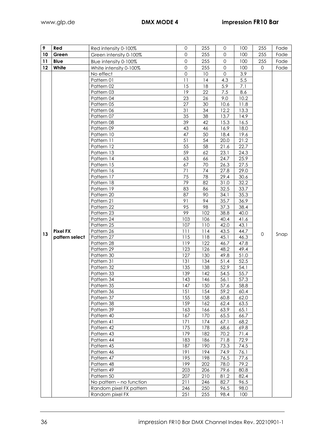| 9               | Red             | Red intensity 0-100%                       | 0            | 255        | 0            | 100          | 255          | Fade |
|-----------------|-----------------|--------------------------------------------|--------------|------------|--------------|--------------|--------------|------|
| 10              | Green           | Green intensity 0-100%                     | $\mathbf 0$  | 255        | $\mathbf 0$  | 100          | 255          | Fade |
| 11              | <b>Blue</b>     | Blue intensity 0-100%                      | $\mathbf{O}$ | 255        | 0            | 100          | 255          | Fade |
| 12 <sup>°</sup> | White           | White intensity 0-100%                     | $\mathbf 0$  | 255        | $\mathbf 0$  | 100          | $\mathbf{O}$ | Fade |
|                 |                 | No effect                                  | $\mathbf 0$  | 10         | $\mathsf{O}$ | 3.9          |              |      |
|                 |                 | Pattern 01                                 | 11           | 14         | 4.3          | 5.5          |              |      |
|                 |                 | Pattern 02                                 | 15           | 18         | 5.9          | 7.1          |              |      |
|                 |                 | Pattern 03                                 | 19           | 22         | 7.5          | 8.6          |              |      |
|                 |                 | Pattern 04                                 | 23           | 26         | 9.0          | 10.2         |              |      |
|                 |                 | Pattern 05                                 | 27           | 30         | 10.6         | 11.8         |              |      |
|                 |                 | Pattern 06                                 | 31           | 34         | 12.2         | 13.3         |              |      |
|                 |                 | Pattern 07                                 | 35           | 38         | 13.7         | 14.9         |              |      |
|                 |                 | Pattern 08                                 | 39           | 42         | 15.3         | 16.5         |              |      |
|                 |                 | Pattern 09                                 | 43           | 46         | 16.9         | 18.0         |              |      |
|                 |                 | Pattern 10                                 | 47           | 50         | 18.4         | 19.6         |              |      |
|                 |                 | Pattern 11                                 | 51           | 54         | 20.0         | 21.2         |              |      |
|                 |                 | Pattern 12                                 | 55           | 58         | 21.6         | 22.7         |              |      |
|                 |                 | Pattern 13                                 | 59           | 62         | 23.1         | 24.3         |              |      |
|                 |                 | Pattern 14                                 | 63           | 66         | 24.7         | 25.9         |              |      |
|                 |                 | Pattern 15                                 | 67           | 70         | 26.3         | 27.5         |              |      |
|                 |                 | Pattern 16                                 | 71           | 74         | 27.8         | 29.0         |              |      |
|                 |                 | Pattern 17                                 | 75           | 78         | 29.4         | 30.6         |              |      |
|                 |                 | Pattern 18                                 | 79           | 82         | 31.0         | 32.2         |              |      |
|                 |                 | Pattern 19                                 | 83           | 86         | 32.5         | 33.7         |              |      |
|                 |                 | Pattern 20                                 | 87           | 90         | 34.1         | 35.3         |              |      |
|                 |                 | Pattern 21                                 | 91           | 94         | 35.7         | 36.9         |              |      |
|                 |                 | Pattern 22                                 | 95           | 98         | 37.3         | 38.4         |              |      |
|                 |                 | Pattern 23                                 | 99           | 102        | 38.8         | 40.0         |              |      |
|                 |                 | Pattern 24<br>Pattern 25                   | 103<br>107   | 106<br>110 | 40.4<br>42.0 | 41.6<br>43.1 |              |      |
|                 | <b>Pixel FX</b> | Pattern 26                                 | 111          | 114        | 43.5         | 44.7         |              |      |
| 13              | pattern select  | Pattern 27                                 | 115          | 118        | 45.1         | 46.3         | 0            | Snap |
|                 |                 | Pattern 28                                 | 119          | 122        | 46.7         | 47.8         |              |      |
|                 |                 | Pattern 29                                 | 123          | 126        | 48.2         | 49.4         |              |      |
|                 |                 | Pattern 30                                 | 127          | 130        | 49.8         | 51.0         |              |      |
|                 |                 | Pattern 31                                 | 131          | 134        | 51.4         | 52.5         |              |      |
|                 |                 | Pattern 32                                 | 135          | 138        | 52.9         | 54.1         |              |      |
|                 |                 | Pattern 33                                 | 139          | 142        | 54.5         | 55.7         |              |      |
|                 |                 | Pattern 34                                 | 143          | 146        | 56.1         | 57.3         |              |      |
|                 |                 | Pattern 35                                 | 147          | 150        | 57.6         | 58.8         |              |      |
|                 |                 | Pattern 36                                 | 151          | 154        | 59.2         | 60.4         |              |      |
|                 |                 | Pattern 37                                 | 155          | 158        | 60.8         | 62.0         |              |      |
|                 |                 | Pattern 38                                 | 159          | 162        | 62.4         | 63.5         |              |      |
|                 |                 | Pattern 39                                 | 163          | 166        | 63.9         | 65.1         |              |      |
|                 |                 | Pattern 40                                 | 167          | 170        | 65.5         | 66.7         |              |      |
|                 |                 | Pattern 41                                 | 171          | 174        | 67.1         | 68.2         |              |      |
|                 |                 | Pattern 42                                 | 175          | 178        | 68.6         | 69.8         |              |      |
|                 |                 | Pattern 43                                 | 179          | 182        | 70.2         | 71.4         |              |      |
|                 |                 | Pattern 44                                 | 183          | 186        | 71.8         | 72.9         |              |      |
|                 |                 | Pattern 45                                 | 187          | 190        | 73.3         | 74.5         |              |      |
|                 |                 | Pattern 46                                 | 191          | 194        | 74.9         | 76.1         |              |      |
|                 |                 | Pattern 47                                 | 195          | 198        | 76.5         | 77.6         |              |      |
|                 |                 | Pattern 48                                 | 199          | 202        | 78.0         | 79.2         |              |      |
|                 |                 | Pattern 49                                 | 203          | 206        | 79.6         | 80.8         |              |      |
|                 |                 | Pattern 50                                 | 207          | 210        | 81.2         | 82.4         |              |      |
|                 |                 | No pattern - no function                   | 211          | 246        | 82.7         | 96.5         |              |      |
|                 |                 | Random pixel FX pattern<br>Random pixel FX | 246<br>251   | 250<br>255 | 96.5<br>98.4 | 98.0<br>100  |              |      |
|                 |                 |                                            |              |            |              |              |              |      |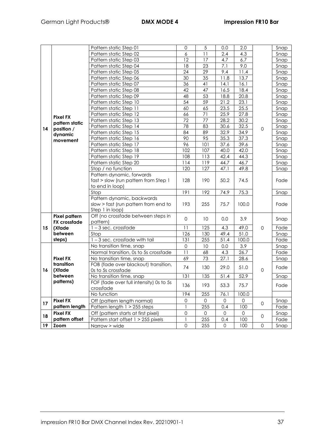|    |                                             | Pattern static Step 01                                | $\mathbf 0$     | 5               | 0.0         | 2.0   |                     | Snap |
|----|---------------------------------------------|-------------------------------------------------------|-----------------|-----------------|-------------|-------|---------------------|------|
|    |                                             | Pattern static Step 02                                | 6               | $\overline{11}$ | 2.4         | 4.3   |                     | Snap |
|    |                                             | Pattern static Step 03                                | 12              | 17              | 4.7         | 6.7   |                     | Snap |
|    |                                             | Pattern static Step 04                                | 18              | 23              | 7.1         | 9.0   |                     | Snap |
|    |                                             | Pattern static Step 05                                | 24              | 29              | 9.4         | 11.4  |                     | Snap |
|    |                                             | Pattern static Step 06                                | $\overline{30}$ | 35              | 11.8        | 13.7  |                     | Snap |
|    |                                             | Pattern static Step 07                                | 36              | 41              | 14.1        | 16.1  |                     | Snap |
|    |                                             | Pattern static Step 08                                | 42              | 47              | 16.5        | 18.4  |                     | Snap |
|    |                                             | Pattern static Step 09                                | 48              | 53              | 18.8        | 20.8  |                     | Snap |
|    |                                             | Pattern static Step 10                                | 54              | 59              | 21.2        | 23.1  |                     | Snap |
|    |                                             | Pattern static Step 11                                | 60              | 65              | 23.5        | 25.5  |                     | Snap |
|    | <b>Pixel FX</b>                             | Pattern static Step 12                                | 66              | 71              | 25.9        | 27.8  |                     | Snap |
|    | pattern static                              | Pattern static Step 13                                | 72              | 77              | 28.2        | 30.2  |                     | Snap |
| 14 | position /                                  | Pattern static Step 14                                | 78              | 83              | 30.6        | 32.5  | $\mathsf{O}\xspace$ | Snap |
|    | dynamic                                     | Pattern static Step 15                                | 84              | 89              | 32.9        | 34.9  |                     | Snap |
|    | movement                                    | Pattern static Step 16                                | 90              | 95              | 35.3        | 37.3  |                     | Snap |
|    |                                             | Pattern static Step 17                                | 96              | 101             | 37.6        | 39.6  |                     | Snap |
|    |                                             | Pattern static Step 18                                | 102             | 107             | 40.0        | 42.0  |                     | Snap |
|    |                                             | Pattern static Step 19                                | 108             | 113             | 42.4        | 44.3  |                     | Snap |
|    |                                             | Pattern static Step 20                                | 114             | 119             | 44.7        | 46.7  |                     | Snap |
|    |                                             | Stop / no function                                    | 120             | 127             | 47.1        | 49.8  |                     | Snap |
|    |                                             | Pattern dynamic, forwards                             |                 |                 |             |       |                     |      |
|    |                                             | fast > slow (run pattern from Step 1                  | 128             | 190             | 50.2        | 74.5  |                     | Fade |
|    |                                             | to end in loop)                                       |                 |                 |             |       |                     |      |
|    |                                             | Stop                                                  | 191             | 192             | 74.9        | 75.3  |                     | Snap |
|    |                                             | Pattern dynamic, backwards                            |                 |                 |             |       |                     |      |
|    |                                             | slow > fast (run pattern from end to                  | 193             | 255             | 75.7        | 100.0 |                     | Fade |
|    |                                             | Step 1 in loop)<br>Off (no crossfade between steps in |                 |                 |             |       |                     |      |
|    | <b>Pixel pattern</b><br><b>FX</b> crossfade | pattern)                                              | $\mathbf 0$     | 10              | 0.0         | 3.9   |                     | Snap |
| 15 | (Xfade                                      | $1 - 3$ sec. crossfade                                | 11              | 125             | 4.3         | 49.0  | $\mathbf 0$         | Fade |
|    | between                                     | Stop                                                  | 126             | 130             | 49.4        | 51.0  |                     | Snap |
|    | steps)                                      | $1 - 3$ sec. crossfade with tail                      | 131             | 255             | 51.4        | 100.0 |                     | Fade |
|    |                                             | No transition time, snap                              | $\mathbf 0$     | 10              | 0.0         | 3.9   |                     | Snap |
|    |                                             | Normal transition, 0s to 5s crossfade                 | 11              | 68              | 4.3         | 26.7  |                     | Fade |
|    | <b>Pixel FX</b>                             | No transition time, snap                              | 69              | 73              | 27.1        | 28.6  |                     | Snap |
|    | transition                                  | FOB (fade over blackout) transition,                  |                 |                 |             |       |                     |      |
| 16 | (Xfade                                      | Os to 5s crossfade                                    | 74              | 130             | 29.0        | 51.0  | 0                   | Fade |
|    | between                                     | No transition time, snap                              | 131             | 135             | 51.4        | 52.9  |                     | Snap |
|    | patterns)                                   | FOF (fade over full intensity) 0s to 5s               |                 |                 |             |       |                     |      |
|    |                                             | crossfade                                             | 136             | 193             | 53.3        | 75.7  |                     | Fade |
|    |                                             | No function                                           | 194             | 255             | 76.1        | 100.0 |                     |      |
|    | <b>Pixel FX</b>                             | Off (pattern length normal)                           | 0               | 0               | 0           | 0     |                     | Snap |
| 17 | pattern length                              | Pattern length 1 > 255 steps                          |                 | 255             | 0.4         | 100   | 0                   | Fade |
|    | <b>Pixel FX</b>                             | Off (pattern starts at first pixel)                   | 0               | 0               | 0           | 0     |                     | Snap |
| 18 | pattern offset                              | Pattern start offset 1 > 255 pixels                   | 1               | 255             | 0.4         | 100   | 0                   | Fade |
| 19 | <b>Zoom</b>                                 | Narrow > wide                                         | $\mathbf 0$     | 255             | $\mathbf 0$ | 100   | 0                   | Snap |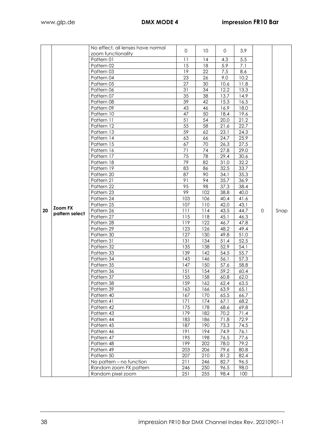|    |                | No effect, all lenses have normal | 0   | 10 <sup>°</sup> | $\mathbf 0$ | 3.9  |   |      |
|----|----------------|-----------------------------------|-----|-----------------|-------------|------|---|------|
|    |                | zoom functionality                |     |                 |             |      |   |      |
|    |                | Pattern 01                        | 11  | 14              | 4.3         | 5.5  |   |      |
|    |                | Pattern 02                        | 15  | 18              | 5.9         | 7.1  |   |      |
|    |                | Pattern 03                        | 19  | 22              | 7.5         | 8.6  |   |      |
|    |                | Pattern 04                        | 23  | 26              | 9.0         | 10.2 |   |      |
|    |                | Pattern 05                        | 27  | 30              | 10.6        | 11.8 |   |      |
|    |                | Pattern 06                        | 31  | 34              | 12.2        | 13.3 |   |      |
|    |                | Pattern 07                        | 35  | 38              | 13.7        | 14.9 |   |      |
|    |                | Pattern 08                        | 39  | 42              | 15.3        | 16.5 |   |      |
|    |                | Pattern 09                        | 43  | 46              | 16.9        | 18.0 |   |      |
|    |                | Pattern 10                        | 47  | 50              | 18.4        | 19.6 |   |      |
|    |                | Pattern 11                        | 51  | 54              | 20.0        | 21.2 |   |      |
|    |                | Pattern 12                        | 55  | 58              | 21.6        | 22.7 |   |      |
|    |                | Pattern 13                        | 59  | 62              | 23.1        | 24.3 |   |      |
|    |                | Pattern 14                        | 63  | 66              | 24.7        | 25.9 |   |      |
|    |                | Pattern 15                        | 67  | 70              | 26.3        | 27.5 |   |      |
|    |                | Pattern 16                        | 71  | 74              | 27.8        | 29.0 |   |      |
|    |                | Pattern 17                        | 75  | 78              | 29.4        | 30.6 |   |      |
|    |                | Pattern 18                        | 79  | 82              | 31.0        | 32.2 |   |      |
|    |                | Pattern 19                        | 83  | 86              | 32.5        | 33.7 |   |      |
|    |                | Pattern 20                        | 87  | 90              | 34.1        | 35.3 |   |      |
|    |                | Pattern 21                        | 91  | 94              | 35.7        | 36.9 |   |      |
|    |                | Pattern 22                        | 95  | 98              | 37.3        | 38.4 |   |      |
|    |                | Pattern 23                        | 99  | 102             | 38.8        | 40.0 |   |      |
|    |                | Pattern 24                        | 103 | 106             | 40.4        | 41.6 |   |      |
|    | <b>Zoom FX</b> | Pattern 25                        | 107 | 110             | 42.0        | 43.1 |   |      |
| 20 | pattern select | Pattern 26                        | 111 | 114             | 43.5        | 44.7 | 0 | Snap |
|    |                | Pattern 27                        | 115 | 118             | 45.1        | 46.3 |   |      |
|    |                | Pattern 28                        | 119 | 122             | 46.7        | 47.8 |   |      |
|    |                | Pattern 29                        | 123 | 126             | 48.2        | 49.4 |   |      |
|    |                | Pattern 30                        | 127 | 130             | 49.8        | 51.0 |   |      |
|    |                | Pattern 31                        | 131 | 134             | 51.4        | 52.5 |   |      |
|    |                | Pattern 32                        | 135 | 138             | 52.9        | 54.1 |   |      |
|    |                | Pattern 33                        | 139 | 142             | 54.5        | 55.7 |   |      |
|    |                | Pattern 34                        | 143 | 146             | 56.1        | 57.3 |   |      |
|    |                | Pattern 35                        | 147 | 150             | 57.6        | 58.8 |   |      |
|    |                | Pattern 36                        | 151 | 154             | 59.2        | 60.4 |   |      |
|    |                | Pattern 37                        | 155 | 158             | 60.8        | 62.0 |   |      |
|    |                | Pattern 38                        | 159 | 162             | 62.4        | 63.5 |   |      |
|    |                | Pattern 39                        | 163 | 166             | 63.9        | 65.1 |   |      |
|    |                | Pattern 40                        | 167 | 170             | 65.5        | 66.7 |   |      |
|    |                | Pattern 41                        | 171 | 174             | 67.1        | 68.2 |   |      |
|    |                | Pattern 42                        | 175 | 178             | 68.6        | 69.8 |   |      |
|    |                | Pattern 43                        | 179 | 182             | 70.2        | 71.4 |   |      |
|    |                | Pattern 44                        | 183 | 186             | 71.8        | 72.9 |   |      |
|    |                | Pattern 45                        | 187 | 190             | 73.3        | 74.5 |   |      |
|    |                | Pattern 46                        | 191 | 194             | 74.9        | 76.1 |   |      |
|    |                | Pattern 47                        | 195 | 198             | 76.5        | 77.6 |   |      |
|    |                | Pattern 48                        | 199 | 202             | 78.0        | 79.2 |   |      |
|    |                | Pattern 49                        | 203 | 206             | 79.6        | 80.8 |   |      |
|    |                | Pattern 50                        | 207 | 210             | 81.2        | 82.4 |   |      |
|    |                | No pattern - no function          | 211 | 246             | 82.7        | 96.5 |   |      |
|    |                |                                   |     |                 |             |      |   |      |
|    |                | Random zoom FX pattern            | 246 | 250             | 96.5        | 98.0 |   |      |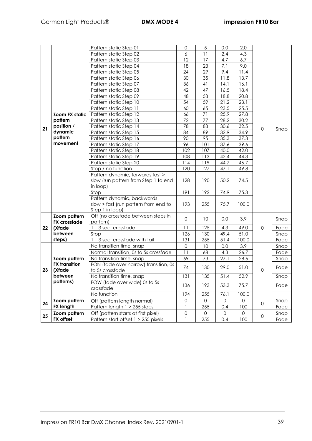|         |                       | Pattern static Step 01                         | $\mathbf 0$ | 5   | 0.0  | 2.0   |             |              |
|---------|-----------------------|------------------------------------------------|-------------|-----|------|-------|-------------|--------------|
|         |                       | Pattern static Step 02                         | 6           | 11  | 2.4  | 4.3   |             |              |
|         |                       | Pattern static Step 03                         | 12          | 17  | 4.7  | 6.7   |             |              |
|         |                       | Pattern static Step 04                         | 18          | 23  | 7.1  | 9.0   |             |              |
|         |                       | Pattern static Step 05                         | 24          | 29  | 9.4  | 11.4  |             |              |
|         |                       | Pattern static Step 06                         | 30          | 35  | 11.8 | 13.7  |             |              |
|         |                       | Pattern static Step 07                         | 36          | 41  | 14.1 | 16.1  |             |              |
|         |                       | Pattern static Step 08                         | 42          | 47  | 16.5 | 18.4  |             |              |
|         |                       | Pattern static Step 09                         | 48          | 53  | 18.8 | 20.8  |             |              |
|         |                       | Pattern static Step 10                         | 54          | 59  | 21.2 | 23.1  |             |              |
|         |                       | Pattern static Step 11                         | 60          | 65  | 23.5 | 25.5  |             |              |
|         | <b>Zoom FX static</b> | Pattern static Step 12                         | 66          | 71  | 25.9 | 27.8  |             |              |
|         | pattern               | Pattern static Step 13                         | 72          | 77  | 28.2 | 30.2  |             |              |
| 21      | position /            | Pattern static Step 14                         | 78          | 83  | 30.6 | 32.5  | $\mathbf 0$ | Snap         |
|         | dynamic               | Pattern static Step 15                         | 84          | 89  | 32.9 | 34.9  |             |              |
|         | pattern               | Pattern static Step 16                         | 90          | 95  | 35.3 | 37.3  |             |              |
|         | movement              | Pattern static Step 17                         | 96          | 101 | 37.6 | 39.6  |             |              |
|         |                       | Pattern static Step 18                         | 102         | 107 | 40.0 | 42.0  |             |              |
|         |                       | Pattern static Step 19                         | 108         | 113 | 42.4 | 44.3  |             |              |
|         |                       | Pattern static Step 20                         | 114         | 119 | 44.7 | 46.7  |             |              |
|         |                       | Stop / no function                             | 120         | 127 | 47.1 | 49.8  |             |              |
|         |                       | Pattern dynamic, forwards fast >               |             |     |      |       |             |              |
|         |                       | slow (run pattern from Step 1 to end           | 128         | 190 | 50.2 | 74.5  |             |              |
|         |                       | in loop)                                       |             |     |      |       |             |              |
|         |                       | Stop                                           | 191         | 192 | 74.9 | 75.3  |             |              |
|         |                       | Pattern dynamic, backwards                     |             |     |      |       |             |              |
|         |                       | slow > fast (run pattern from end to           | 193         | 255 | 75.7 | 100.0 |             |              |
|         |                       | Step 1 in loop)                                |             |     |      |       |             |              |
|         | Zoom pattern          | Off (no crossfade between steps in<br>pattern) | $\mathbf 0$ | 10  | 0.0  | 3.9   |             | Snap         |
| $22 \,$ | <b>FX</b> crossfade   | $1 - 3$ sec. crossfade                         | 11          | 125 | 4.3  | 49.0  |             | Fade         |
|         | (Xfade<br>between     | Stop                                           | 126         | 130 | 49.4 | 51.0  | 0           |              |
|         | steps)                | $1 - 3$ sec. crossfade with tail               | 131         | 255 | 51.4 | 100.0 |             | Snap<br>Fade |
|         |                       | No transition time, snap                       | $\mathbf 0$ | 10  | 0.0  | 3.9   |             |              |
|         |                       | Normal transition, 0s to 5s crossfade          | 11          | 68  | 4.3  | 26.7  |             | Snap<br>Fade |
|         | Zoom pattern          | No transition time, snap                       | 69          | 73  | 27.1 | 28.6  |             | Snap         |
|         | <b>FX</b> transition  | FON (fade over narrow) transition, 0s          |             |     |      |       |             |              |
| 23      | (Xfade                | to 5s crossfade                                | 74          | 130 | 29.0 | 51.0  | 0           | Fade         |
|         | between               | No transition time, snap                       | 131         | 135 | 51.4 | 52.9  |             | Snap         |
|         | patterns)             | FOW (fade over wide) 0s to 5s                  |             |     |      |       |             |              |
|         |                       | crossfade                                      | 136         | 193 | 53.3 | 75.7  |             | Fade         |
|         |                       | No function                                    | 194         | 255 | 76.1 | 100.0 |             |              |
|         | Zoom pattern          | Off (pattern length normal)                    | 0           | 0   | 0    | 0     |             | Snap         |
| 24      | <b>FX length</b>      | Pattern length 1 > 255 steps                   |             | 255 | 0.4  | 100   | 0           | Fade         |
|         | Zoom pattern          | Off (pattern starts at first pixel)            | 0           | 0   | 0    | 0     |             | Snap         |
| 25      | FX offset             | Pattern start offset 1 > 255 pixels            | 1           |     |      |       | 0           |              |
|         |                       |                                                |             | 255 | 0.4  | 100   |             | Fade         |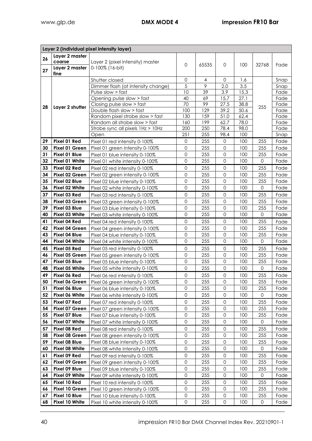| Layer 2 (individual pixel intensity layer) |                        |                                                                  |                     |            |                     |             |             |              |
|--------------------------------------------|------------------------|------------------------------------------------------------------|---------------------|------------|---------------------|-------------|-------------|--------------|
| 26                                         | Layer 2 master         |                                                                  |                     |            |                     |             |             |              |
|                                            | coarse                 | Layer 2 (pixel intensity) master                                 | $\mathbf 0$         | 65535      | 0                   | 100         | 32768       | Fade         |
| 27                                         | Layer 2 master<br>fine | 0-100% (16-bit)                                                  |                     |            |                     |             |             |              |
|                                            |                        | Shutter closed                                                   | $\mathbf 0$         | 4          | $\Omega$            | 1.6         |             | Snap         |
|                                            |                        | Dimmer flash (at intensity change)                               | 5                   | 9          | 2.0                 | 3.5         |             | Snap         |
|                                            |                        | Pulse slow > fast                                                | 10                  | 39         | 3.9                 | 15.3        |             | Fade         |
|                                            |                        | Opening pulse slow > fast                                        | 40                  | 69         | 15.7                | 27.1        |             | Fade         |
| 28                                         | Layer 2 shutter        | Closing pulse slow > fast                                        | 70                  | 99         | 27.5                | 38.8        | 255         | Fade         |
|                                            |                        | Double flash slow > fast                                         | 100                 | 129        | 39.2                | 50.6        |             | Fade         |
|                                            |                        | Random pixel strobe slow > fast                                  | 130                 | 159        | 51.0                | 62.4        |             | Fade         |
|                                            |                        | Random all strobe slow > fast                                    | 160                 | 199<br>250 | 62.7                | 78.0        |             | Fade         |
|                                            |                        | Strobe sync all pixels 1Hz > 10Hz<br>Open                        | 200<br>251          | 255        | 78.4<br>98.4        | 98.0<br>100 |             | Fade<br>Snap |
| 29                                         | Pixel 01 Red           |                                                                  | $\mathbf 0$         | 255        | 0                   | 100         | 255         |              |
| 30                                         | Pixel 01 Green         | Pixel 01 red intensity 0-100%<br>Pixel 01 green intensity 0-100% | $\mathbf 0$         | 255        | $\mathbf 0$         | 100         | 255         | Fade<br>Fade |
| 31                                         | Pixel 01 Blue          | Pixel 01 blue intensity 0-100%                                   | $\mathbf 0$         | 255        | 0                   | 100         | 255         | Fade         |
| 32                                         | Pixel 01 White         | Pixel 01 white intensity 0-100%                                  | $\mathbf 0$         | 255        | $\mathbf 0$         | 100         | $\mathbf 0$ | Fade         |
| 33                                         | Pixel 02 Red           |                                                                  | $\mathbf 0$         | 255        | $\mathbf{0}$        | 100         | 255         |              |
| 34                                         | Pixel 02 Green         | Pixel 02 red intensity 0-100%<br>Pixel 02 green intensity 0-100% | $\mathbf 0$         | 255        | $\mathbf 0$         | 100         | 255         | Fade<br>Fade |
| 35                                         | Pixel 02 Blue          | Pixel 02 blue intensity 0-100%                                   | $\mathbf 0$         | 255        | $\mathbf 0$         | 100         | 255         | Fade         |
| 36                                         | Pixel 02 White         | Pixel 02 white intensity 0-100%                                  | $\mathbf 0$         | 255        | $\mathbf 0$         | 100         | 0           | Fade         |
| 37                                         | Pixel 03 Red           | Pixel 03 red intensity 0-100%                                    | $\mathbf 0$         | 255        | 0                   | 100         | 255         | Fade         |
| 38                                         | Pixel 03 Green         | Pixel 03 green intensity 0-100%                                  | $\mathbf 0$         | 255        | $\mathbf{0}$        | 100         | 255         | Fade         |
| 39                                         | Pixel 03 Blue          | Pixel 03 blue intensity 0-100%                                   | $\mathbf 0$         | 255        | $\mathsf{O}\xspace$ | 100         | 255         | Fade         |
| 40                                         | Pixel 03 White         | Pixel 03 white intensity 0-100%                                  | $\mathbf 0$         | 255        | $\mathbf 0$         | 100         | $\mathbf 0$ | Fade         |
| 41                                         | Pixel 04 Red           | Pixel 04 red intensity 0-100%                                    | 0                   | 255        | $\mathbf 0$         | 100         | 255         | Fade         |
| 42                                         | Pixel 04 Green         | Pixel 04 green intensity 0-100%                                  | $\mathbf 0$         | 255        | $\mathbf 0$         | 100         | 255         | Fade         |
| 43                                         | Pixel 04 Blue          | Pixel 04 blue intensity 0-100%                                   | $\mathsf{O}\xspace$ | 255        | $\mathbf 0$         | 100         | 255         | Fade         |
| 44                                         | Pixel 04 White         | Pixel 04 white intensity 0-100%                                  | $\mathbf 0$         | 255        | $\mathbf 0$         | 100         | $\mathbf 0$ | Fade         |
| 45                                         | Pixel 05 Red           | Pixel 05 red intensity 0-100%                                    | $\mathbf 0$         | 255        | 0                   | 100         | 255         | Fade         |
| 46                                         | Pixel 05 Green         | Pixel 05 green intensity 0-100%                                  | $\mathbf 0$         | 255        | $\mathbf 0$         | 100         | 255         | Fade         |
| 47                                         | Pixel 05 Blue          | Pixel 05 blue intensity 0-100%                                   | $\mathbf 0$         | 255        | $\mathsf{O}\xspace$ | 100         | 255         | Fade         |
| 48                                         | Pixel 05 White         | Pixel 05 white intensity 0-100%                                  | $\mathbf 0$         | 255        | $\mathbf 0$         | 100         | $\Omega$    | Fade         |
| 49                                         | Pixel 06 Red           | Pixel 06 red intensity 0-100%                                    | 0                   | 255        | 0                   | 100         | 255         | Fade         |
| 50                                         | Pixel 06 Green         | Pixel 06 green intensity 0-100%                                  | $\mathsf{O}$        | 255        | $\mathsf{O}\xspace$ | 100         | 255         | Fade         |
| 51                                         | Pixel 06 Blue          | Pixel 06 blue intensity 0-100%                                   | $\mathsf{O}\xspace$ | 255        | 0                   | 100         | 255         | Fade         |
| 52                                         | Pixel 06 White         | Pixel 06 white intensity 0-100%                                  | $\mathbf 0$         | 255        | 0                   | 100         | 0           | Fade         |
| 53                                         | Pixel 07 Red           | Pixel 07 red intensity 0-100%                                    | 0                   | 255        | 0                   | 100         | 255         | Fade         |
| 54                                         | Pixel 07 Green         | Pixel 07 green intensity 0-100%                                  | $\mathbf 0$         | 255        | $\mathsf{O}\xspace$ | 100         | 255         | Fade         |
| 55                                         | Pixel 07 Blue          | Pixel 07 blue intensity 0-100%                                   | $\mathbf 0$         | 255        | 0                   | 100         | 255         | Fade         |
| 56                                         | Pixel 07 White         | Pixel 07 white intensity 0-100%                                  | $\mathbf 0$         | 255        | $\mathbf{0}$        | 100         | 0           | Fade         |
| 57                                         | Pixel 08 Red           | Pixel 08 red intensity 0-100%                                    | $\mathsf{O}\xspace$ | 255        | $\mathsf{O}\xspace$ | 100         | 255         | Fade         |
| 58                                         | Pixel 08 Green         | Pixel 08 green intensity 0-100%                                  | $\mathbf 0$         | 255        | $\mathbf{0}$        | 100         | 255         | Fade         |
| 59                                         | Pixel 08 Blue          | Pixel 08 blue intensity 0-100%                                   | $\mathbf 0$         | 255        | 0                   | 100         | 255         | Fade         |
| 60                                         | Pixel 08 White         | Pixel 08 white intensity 0-100%                                  | $\mathbf 0$         | 255        | 0                   | 100         | 0           | Fade         |
| 61                                         | Pixel 09 Red           | Pixel 09 red intensity 0-100%                                    | $\mathbf 0$         | 255        | 0                   | 100         | 255         | Fade         |
| 62                                         | Pixel 09 Green         | Pixel 09 green intensity 0-100%                                  | $\mathbf 0$         | 255        | $\mathbf{0}$        | 100         | 255         | Fade         |
| 63                                         | Pixel 09 Blue          | Pixel 09 blue intensity 0-100%                                   | $\mathbf 0$         | 255        | 0                   | 100         | 255         | Fade         |
| 64                                         | Pixel 09 White         | Pixel 09 white intensity 0-100%                                  | $\mathbf 0$         | 255        | $\mathbf 0$         | 100         | $\mathbf 0$ | Fade         |
| 65                                         | Pixel 10 Red           | Pixel 10 red intensity 0-100%                                    | $\mathbf 0$         | 255        | 0                   | 100         | 255         | Fade         |
| 66                                         | Pixel 10 Green         | Pixel 10 green intensity 0-100%                                  | $\mathsf{O}\xspace$ | 255        | 0                   | 100         | 255         | Fade         |
| 67                                         | Pixel 10 Blue          | Pixel 10 blue intensity 0-100%                                   | $\mathsf{O}\xspace$ | 255        | 0                   | 100         | 255         | Fade         |
| 68                                         | Pixel 10 White         | Pixel 10 white intensity 0-100%                                  | $\mathbf 0$         | 255        | 0                   | 100         | 0           | Fade         |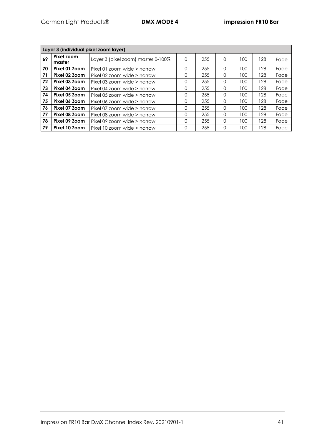| Layer 3 (individual pixel zoom layer) |                      |                                    |   |     |          |     |     |      |
|---------------------------------------|----------------------|------------------------------------|---|-----|----------|-----|-----|------|
| 69                                    | Pixel zoom<br>master | Layer 3 (pixel zoom) master 0-100% | 0 | 255 | 0        | 100 | 128 | Fade |
| 70                                    | Pixel 01 Zoom        | Pixel 01 zoom wide $>$ narrow      | 0 | 255 | $\Omega$ | 100 | 128 | Fade |
| 71                                    | Pixel 02 Zoom        | Pixel 02 zoom wide $>$ narrow      | 0 | 255 | $\Omega$ | 100 | 128 | Fade |
| 72                                    | Pixel 03 Zoom        | Pixel 03 zoom wide $>$ narrow      | 0 | 255 | $\Omega$ | 100 | 128 | Fade |
| 73                                    | Pixel 04 Zoom        | Pixel 04 zoom wide $>$ narrow      | 0 | 255 | $\Omega$ | 100 | 128 | Fade |
| 74                                    | Pixel 05 Zoom        | Pixel 05 zoom wide $>$ narrow      | 0 | 255 | $\Omega$ | 100 | 128 | Fade |
| 75                                    | Pixel 06 Zoom        | Pixel 06 zoom wide $>$ narrow      | 0 | 255 | $\Omega$ | 100 | 128 | Fade |
| 76                                    | Pixel 07 Zoom        | Pixel 07 zoom wide $>$ narrow      | 0 | 255 | $\Omega$ | 100 | 128 | Fade |
| 77                                    | Pixel 08 Zoom        | Pixel 08 zoom wide $>$ narrow      | 0 | 255 | $\Omega$ | 100 | 128 | Fade |
| 78                                    | Pixel 09 Zoom        | Pixel 09 zoom wide $>$ narrow      | 0 | 255 | $\Omega$ | 100 | 128 | Fade |
| 79                                    | Pixel 10 Zoom        | Pixel 10 zoom wide $>$ narrow      | 0 | 255 | $\Omega$ | 100 | 128 | Fade |